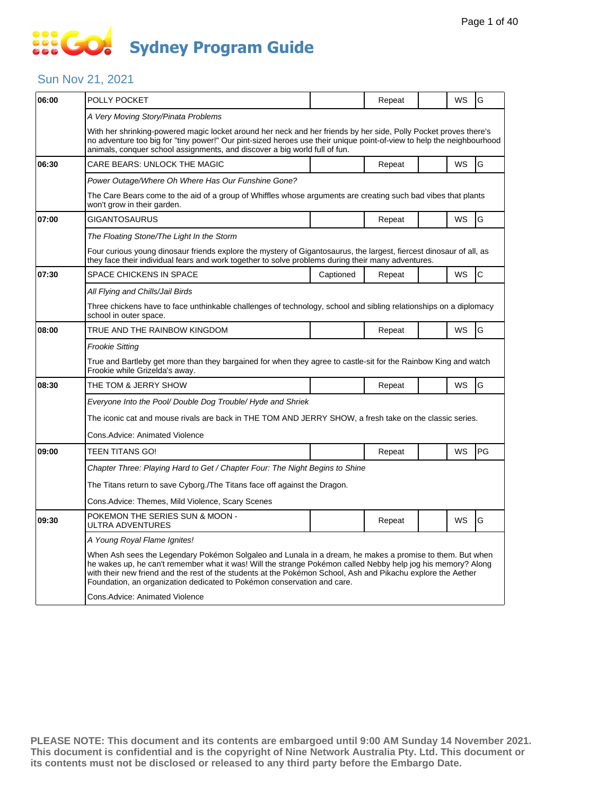# SSE GO **Sydney Program Guide**

### Sun Nov 21, 2021

| 06:00 | POLLY POCKET                                                                                                                                                                                                                                                                                                                                                                                                        |           | Repeat |  | WS        | G            |  |  |  |
|-------|---------------------------------------------------------------------------------------------------------------------------------------------------------------------------------------------------------------------------------------------------------------------------------------------------------------------------------------------------------------------------------------------------------------------|-----------|--------|--|-----------|--------------|--|--|--|
|       | A Very Moving Story/Pinata Problems                                                                                                                                                                                                                                                                                                                                                                                 |           |        |  |           |              |  |  |  |
|       | With her shrinking-powered magic locket around her neck and her friends by her side, Polly Pocket proves there's<br>no adventure too big for "tiny power!" Our pint-sized heroes use their unique point-of-view to help the neighbourhood<br>animals, conquer school assignments, and discover a big world full of fun.                                                                                             |           |        |  |           |              |  |  |  |
| 06:30 | CARE BEARS: UNLOCK THE MAGIC                                                                                                                                                                                                                                                                                                                                                                                        |           | Repeat |  | <b>WS</b> | G            |  |  |  |
|       | Power Outage/Where Oh Where Has Our Funshine Gone?                                                                                                                                                                                                                                                                                                                                                                  |           |        |  |           |              |  |  |  |
|       | The Care Bears come to the aid of a group of Whiffles whose arguments are creating such bad vibes that plants<br>won't grow in their garden.                                                                                                                                                                                                                                                                        |           |        |  |           |              |  |  |  |
| 07:00 | <b>GIGANTOSAURUS</b>                                                                                                                                                                                                                                                                                                                                                                                                |           | Repeat |  | WS        | G            |  |  |  |
|       | The Floating Stone/The Light In the Storm                                                                                                                                                                                                                                                                                                                                                                           |           |        |  |           |              |  |  |  |
|       | Four curious young dinosaur friends explore the mystery of Gigantosaurus, the largest, fiercest dinosaur of all, as<br>they face their individual fears and work together to solve problems during their many adventures.                                                                                                                                                                                           |           |        |  |           |              |  |  |  |
| 07:30 | <b>SPACE CHICKENS IN SPACE</b>                                                                                                                                                                                                                                                                                                                                                                                      | Captioned | Repeat |  | WS        | $\mathsf{C}$ |  |  |  |
|       | All Flying and Chills/Jail Birds                                                                                                                                                                                                                                                                                                                                                                                    |           |        |  |           |              |  |  |  |
|       | Three chickens have to face unthinkable challenges of technology, school and sibling relationships on a diplomacy<br>school in outer space.                                                                                                                                                                                                                                                                         |           |        |  |           |              |  |  |  |
| 08:00 | TRUE AND THE RAINBOW KINGDOM                                                                                                                                                                                                                                                                                                                                                                                        |           | Repeat |  | <b>WS</b> | G            |  |  |  |
|       | <b>Frookie Sitting</b>                                                                                                                                                                                                                                                                                                                                                                                              |           |        |  |           |              |  |  |  |
|       | True and Bartleby get more than they bargained for when they agree to castle-sit for the Rainbow King and watch<br>Frookie while Grizelda's away.                                                                                                                                                                                                                                                                   |           |        |  |           |              |  |  |  |
| 08:30 | THE TOM & JERRY SHOW                                                                                                                                                                                                                                                                                                                                                                                                |           | Repeat |  | WS        | G            |  |  |  |
|       | Everyone Into the Pool/ Double Dog Trouble/ Hyde and Shriek                                                                                                                                                                                                                                                                                                                                                         |           |        |  |           |              |  |  |  |
|       | The iconic cat and mouse rivals are back in THE TOM AND JERRY SHOW, a fresh take on the classic series.                                                                                                                                                                                                                                                                                                             |           |        |  |           |              |  |  |  |
|       | Cons.Advice: Animated Violence                                                                                                                                                                                                                                                                                                                                                                                      |           |        |  |           |              |  |  |  |
| 09:00 | TEEN TITANS GO!                                                                                                                                                                                                                                                                                                                                                                                                     |           | Repeat |  | WS        | PG           |  |  |  |
|       | Chapter Three: Playing Hard to Get / Chapter Four: The Night Begins to Shine                                                                                                                                                                                                                                                                                                                                        |           |        |  |           |              |  |  |  |
|       | The Titans return to save Cyborg./The Titans face off against the Dragon.                                                                                                                                                                                                                                                                                                                                           |           |        |  |           |              |  |  |  |
|       | Cons.Advice: Themes, Mild Violence, Scary Scenes                                                                                                                                                                                                                                                                                                                                                                    |           |        |  |           |              |  |  |  |
| 09:30 | POKEMON THE SERIES SUN & MOON -<br>ULTRA ADVENTURES                                                                                                                                                                                                                                                                                                                                                                 |           | Repeat |  | WS        | G            |  |  |  |
|       | A Young Royal Flame Ignites!                                                                                                                                                                                                                                                                                                                                                                                        |           |        |  |           |              |  |  |  |
|       | When Ash sees the Legendary Pokémon Solgaleo and Lunala in a dream, he makes a promise to them. But when<br>he wakes up, he can't remember what it was! Will the strange Pokémon called Nebby help jog his memory? Along<br>with their new friend and the rest of the students at the Pokémon School, Ash and Pikachu explore the Aether<br>Foundation, an organization dedicated to Pokémon conservation and care. |           |        |  |           |              |  |  |  |
|       | Cons.Advice: Animated Violence                                                                                                                                                                                                                                                                                                                                                                                      |           |        |  |           |              |  |  |  |
|       |                                                                                                                                                                                                                                                                                                                                                                                                                     |           |        |  |           |              |  |  |  |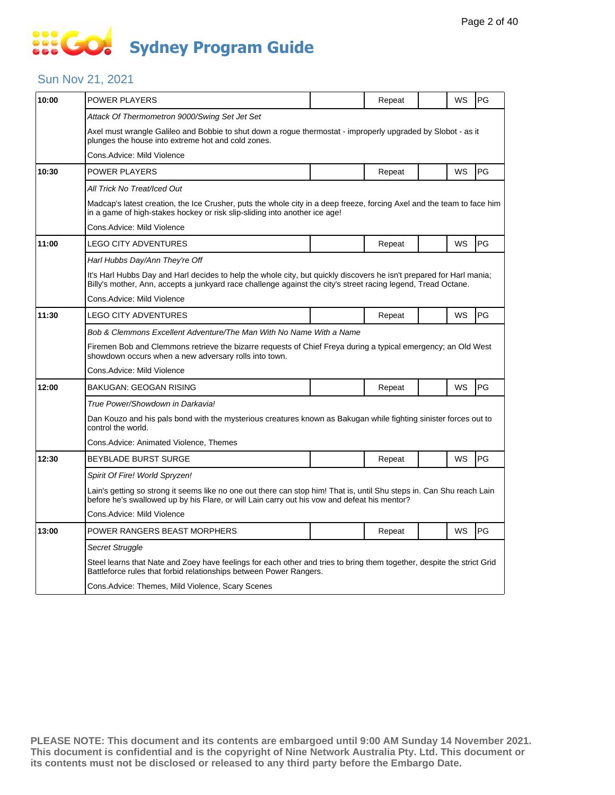# **SOCO Sydney Program Guide**

### Sun Nov 21, 2021

| 10:00 | POWER PLAYERS                                                                                                                                                                                                                         |  | Repeat |  | WS | PG        |  |  |  |
|-------|---------------------------------------------------------------------------------------------------------------------------------------------------------------------------------------------------------------------------------------|--|--------|--|----|-----------|--|--|--|
|       | Attack Of Thermometron 9000/Swing Set Jet Set                                                                                                                                                                                         |  |        |  |    |           |  |  |  |
|       | Axel must wrangle Galileo and Bobbie to shut down a rogue thermostat - improperly upgraded by Slobot - as it<br>plunges the house into extreme hot and cold zones.                                                                    |  |        |  |    |           |  |  |  |
|       | Cons.Advice: Mild Violence                                                                                                                                                                                                            |  |        |  |    |           |  |  |  |
| 10:30 | <b>POWER PLAYERS</b>                                                                                                                                                                                                                  |  | Repeat |  | WS | PG        |  |  |  |
|       | All Trick No Treat/Iced Out                                                                                                                                                                                                           |  |        |  |    |           |  |  |  |
|       | Madcap's latest creation, the Ice Crusher, puts the whole city in a deep freeze, forcing Axel and the team to face him<br>in a game of high-stakes hockey or risk slip-sliding into another ice age!                                  |  |        |  |    |           |  |  |  |
|       | Cons.Advice: Mild Violence                                                                                                                                                                                                            |  |        |  |    |           |  |  |  |
| 11:00 | <b>LEGO CITY ADVENTURES</b>                                                                                                                                                                                                           |  | Repeat |  | WS | PG        |  |  |  |
|       | Harl Hubbs Day/Ann They're Off                                                                                                                                                                                                        |  |        |  |    |           |  |  |  |
|       | It's Harl Hubbs Day and Harl decides to help the whole city, but quickly discovers he isn't prepared for Harl mania;<br>Billy's mother, Ann, accepts a junkyard race challenge against the city's street racing legend, Tread Octane. |  |        |  |    |           |  |  |  |
|       | Cons.Advice: Mild Violence                                                                                                                                                                                                            |  |        |  |    |           |  |  |  |
| 11:30 | LEGO CITY ADVENTURES                                                                                                                                                                                                                  |  | Repeat |  | WS | <b>PG</b> |  |  |  |
|       | Bob & Clemmons Excellent Adventure/The Man With No Name With a Name                                                                                                                                                                   |  |        |  |    |           |  |  |  |
|       | Firemen Bob and Clemmons retrieve the bizarre requests of Chief Freya during a typical emergency; an Old West<br>showdown occurs when a new adversary rolls into town.                                                                |  |        |  |    |           |  |  |  |
|       | Cons.Advice: Mild Violence                                                                                                                                                                                                            |  |        |  |    |           |  |  |  |
| 12:00 | <b>BAKUGAN: GEOGAN RISING</b>                                                                                                                                                                                                         |  | Repeat |  | WS | <b>PG</b> |  |  |  |
|       | True Power/Showdown in Darkavia!                                                                                                                                                                                                      |  |        |  |    |           |  |  |  |
|       | Dan Kouzo and his pals bond with the mysterious creatures known as Bakugan while fighting sinister forces out to<br>control the world.                                                                                                |  |        |  |    |           |  |  |  |
|       | Cons.Advice: Animated Violence, Themes                                                                                                                                                                                                |  |        |  |    |           |  |  |  |
| 12:30 | <b>BEYBLADE BURST SURGE</b>                                                                                                                                                                                                           |  | Repeat |  | WS | PG        |  |  |  |
|       | Spirit Of Fire! World Spryzen!                                                                                                                                                                                                        |  |        |  |    |           |  |  |  |
|       | Lain's getting so strong it seems like no one out there can stop him! That is, until Shu steps in. Can Shu reach Lain<br>before he's swallowed up by his Flare, or will Lain carry out his vow and defeat his mentor?                 |  |        |  |    |           |  |  |  |
|       | Cons.Advice: Mild Violence                                                                                                                                                                                                            |  |        |  |    |           |  |  |  |
| 13:00 | POWER RANGERS BEAST MORPHERS                                                                                                                                                                                                          |  | Repeat |  | WS | PG        |  |  |  |
|       | Secret Struggle                                                                                                                                                                                                                       |  |        |  |    |           |  |  |  |
|       | Steel learns that Nate and Zoey have feelings for each other and tries to bring them together, despite the strict Grid<br>Battleforce rules that forbid relationships between Power Rangers.                                          |  |        |  |    |           |  |  |  |
|       | Cons.Advice: Themes, Mild Violence, Scary Scenes                                                                                                                                                                                      |  |        |  |    |           |  |  |  |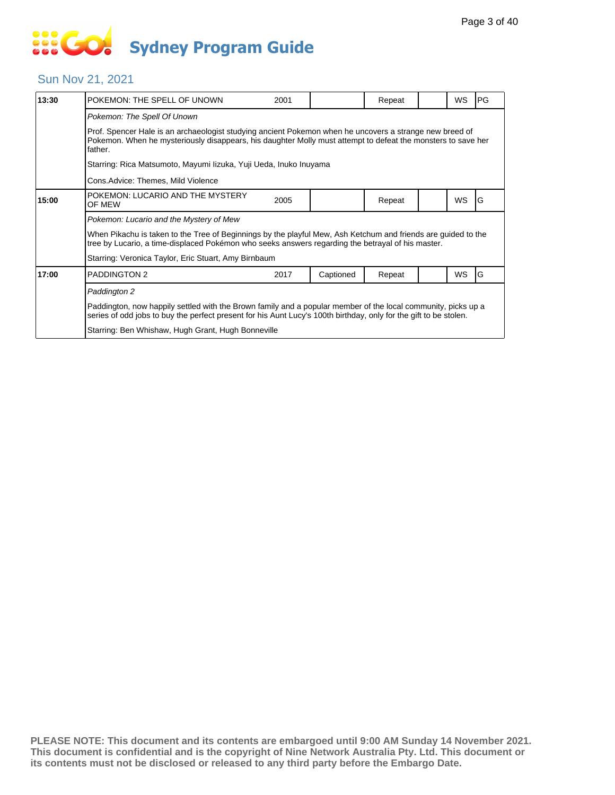# **... Go Sydney Program Guide**

#### Sun Nov 21, 2021

| 13:30 | POKEMON: THE SPELL OF UNOWN                                                                                                                                                                                                        | 2001 |           | Repeat |  | WS        | <b>PG</b> |  |  |
|-------|------------------------------------------------------------------------------------------------------------------------------------------------------------------------------------------------------------------------------------|------|-----------|--------|--|-----------|-----------|--|--|
|       | Pokemon: The Spell Of Unown                                                                                                                                                                                                        |      |           |        |  |           |           |  |  |
|       | Prof. Spencer Hale is an archaeologist studying ancient Pokemon when he uncovers a strange new breed of<br>Pokemon. When he mysteriously disappears, his daughter Molly must attempt to defeat the monsters to save her<br>father. |      |           |        |  |           |           |  |  |
|       | Starring: Rica Matsumoto, Mayumi Iizuka, Yuji Ueda, Inuko Inuyama                                                                                                                                                                  |      |           |        |  |           |           |  |  |
|       | Cons.Advice: Themes, Mild Violence                                                                                                                                                                                                 |      |           |        |  |           |           |  |  |
| 15:00 | POKEMON: LUCARIO AND THE MYSTERY<br>OF MEW                                                                                                                                                                                         | 2005 |           | Repeat |  | <b>WS</b> | G         |  |  |
|       | Pokemon: Lucario and the Mystery of Mew                                                                                                                                                                                            |      |           |        |  |           |           |  |  |
|       | When Pikachu is taken to the Tree of Beginnings by the playful Mew, Ash Ketchum and friends are guided to the<br>tree by Lucario, a time-displaced Pokémon who seeks answers regarding the betrayal of his master.                 |      |           |        |  |           |           |  |  |
|       | Starring: Veronica Taylor, Eric Stuart, Amy Birnbaum                                                                                                                                                                               |      |           |        |  |           |           |  |  |
| 17:00 | <b>PADDINGTON 2</b>                                                                                                                                                                                                                | 2017 | Captioned | Repeat |  | WS        | G         |  |  |
|       | Paddington 2                                                                                                                                                                                                                       |      |           |        |  |           |           |  |  |
|       | Paddington, now happily settled with the Brown family and a popular member of the local community, picks up a<br>series of odd jobs to buy the perfect present for his Aunt Lucy's 100th birthday, only for the gift to be stolen. |      |           |        |  |           |           |  |  |
|       | Starring: Ben Whishaw, Hugh Grant, Hugh Bonneville                                                                                                                                                                                 |      |           |        |  |           |           |  |  |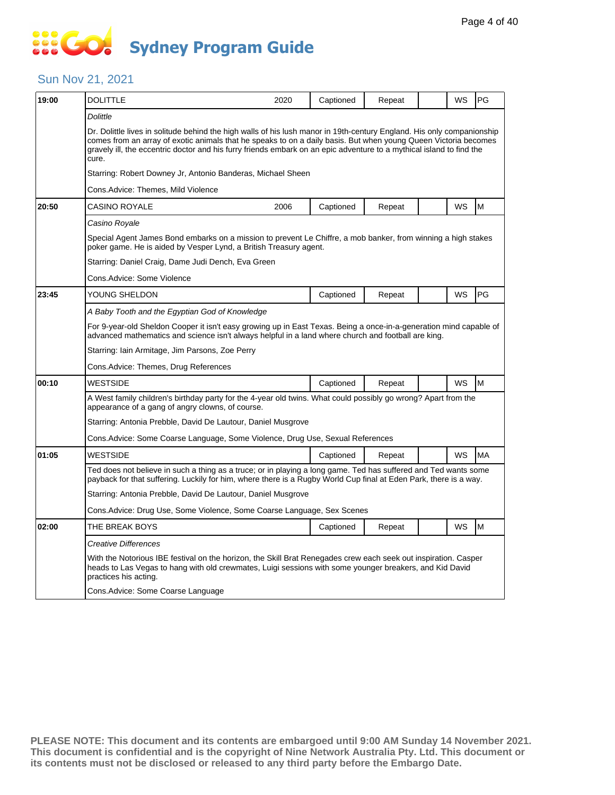# **SOCOL Sydney Program Guide**

### Sun Nov 21, 2021

| 19:00 | DOLITTLE                                                                                                                                                                                                                                                                                                                                                                   | 2020 | Captioned | Repeat |  | WS | PG        |  |  |
|-------|----------------------------------------------------------------------------------------------------------------------------------------------------------------------------------------------------------------------------------------------------------------------------------------------------------------------------------------------------------------------------|------|-----------|--------|--|----|-----------|--|--|
|       | <b>Dolittle</b>                                                                                                                                                                                                                                                                                                                                                            |      |           |        |  |    |           |  |  |
|       | Dr. Dolittle lives in solitude behind the high walls of his lush manor in 19th-century England. His only companionship<br>comes from an array of exotic animals that he speaks to on a daily basis. But when young Queen Victoria becomes<br>gravely ill, the eccentric doctor and his furry friends embark on an epic adventure to a mythical island to find the<br>cure. |      |           |        |  |    |           |  |  |
|       | Starring: Robert Downey Jr, Antonio Banderas, Michael Sheen                                                                                                                                                                                                                                                                                                                |      |           |        |  |    |           |  |  |
|       | Cons.Advice: Themes, Mild Violence                                                                                                                                                                                                                                                                                                                                         |      |           |        |  |    |           |  |  |
| 20:50 | <b>CASINO ROYALE</b>                                                                                                                                                                                                                                                                                                                                                       | 2006 | Captioned | Repeat |  | WS | M         |  |  |
|       | Casino Royale                                                                                                                                                                                                                                                                                                                                                              |      |           |        |  |    |           |  |  |
|       | Special Agent James Bond embarks on a mission to prevent Le Chiffre, a mob banker, from winning a high stakes<br>poker game. He is aided by Vesper Lynd, a British Treasury agent.                                                                                                                                                                                         |      |           |        |  |    |           |  |  |
|       | Starring: Daniel Craig, Dame Judi Dench, Eva Green                                                                                                                                                                                                                                                                                                                         |      |           |        |  |    |           |  |  |
|       | Cons.Advice: Some Violence                                                                                                                                                                                                                                                                                                                                                 |      |           |        |  |    |           |  |  |
| 23:45 | YOUNG SHELDON                                                                                                                                                                                                                                                                                                                                                              |      | Captioned | Repeat |  | WS | PG        |  |  |
|       | A Baby Tooth and the Egyptian God of Knowledge                                                                                                                                                                                                                                                                                                                             |      |           |        |  |    |           |  |  |
|       | For 9-year-old Sheldon Cooper it isn't easy growing up in East Texas. Being a once-in-a-generation mind capable of<br>advanced mathematics and science isn't always helpful in a land where church and football are king.                                                                                                                                                  |      |           |        |  |    |           |  |  |
|       | Starring: Iain Armitage, Jim Parsons, Zoe Perry                                                                                                                                                                                                                                                                                                                            |      |           |        |  |    |           |  |  |
|       | Cons.Advice: Themes, Drug References                                                                                                                                                                                                                                                                                                                                       |      |           |        |  |    |           |  |  |
| 00:10 | <b>WESTSIDE</b>                                                                                                                                                                                                                                                                                                                                                            |      | Captioned | Repeat |  | WS | M         |  |  |
|       | A West family children's birthday party for the 4-year old twins. What could possibly go wrong? Apart from the<br>appearance of a gang of angry clowns, of course.                                                                                                                                                                                                         |      |           |        |  |    |           |  |  |
|       | Starring: Antonia Prebble, David De Lautour, Daniel Musgrove                                                                                                                                                                                                                                                                                                               |      |           |        |  |    |           |  |  |
|       | Cons. Advice: Some Coarse Language, Some Violence, Drug Use, Sexual References                                                                                                                                                                                                                                                                                             |      |           |        |  |    |           |  |  |
| 01:05 | WESTSIDE                                                                                                                                                                                                                                                                                                                                                                   |      | Captioned | Repeat |  | WS | <b>MA</b> |  |  |
|       | Ted does not believe in such a thing as a truce; or in playing a long game. Ted has suffered and Ted wants some<br>payback for that suffering. Luckily for him, where there is a Rugby World Cup final at Eden Park, there is a way.                                                                                                                                       |      |           |        |  |    |           |  |  |
|       | Starring: Antonia Prebble, David De Lautour, Daniel Musgrove                                                                                                                                                                                                                                                                                                               |      |           |        |  |    |           |  |  |
|       | Cons.Advice: Drug Use, Some Violence, Some Coarse Language, Sex Scenes                                                                                                                                                                                                                                                                                                     |      |           |        |  |    |           |  |  |
| 02:00 | THE BREAK BOYS                                                                                                                                                                                                                                                                                                                                                             |      | Captioned | Repeat |  | WS | M         |  |  |
|       | Creative Differences                                                                                                                                                                                                                                                                                                                                                       |      |           |        |  |    |           |  |  |
|       | With the Notorious IBE festival on the horizon, the Skill Brat Renegades crew each seek out inspiration. Casper<br>heads to Las Vegas to hang with old crewmates, Luigi sessions with some younger breakers, and Kid David<br>practices his acting.                                                                                                                        |      |           |        |  |    |           |  |  |
|       | Cons. Advice: Some Coarse Language                                                                                                                                                                                                                                                                                                                                         |      |           |        |  |    |           |  |  |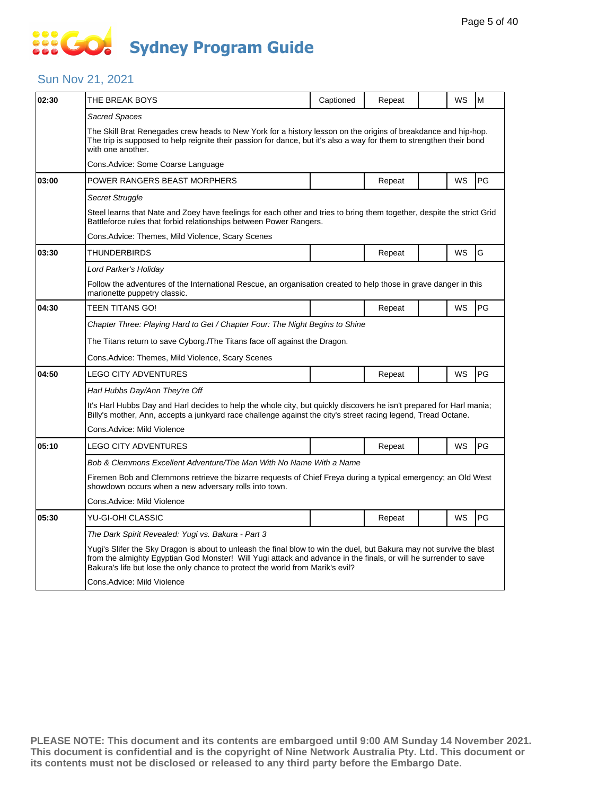# **SECT Sydney Program Guide**

### Sun Nov 21, 2021

| 02:30 | THE BREAK BOYS                                                                                                                                                                                                                                                                                                              | Captioned | Repeat |  | WS        | M  |  |  |
|-------|-----------------------------------------------------------------------------------------------------------------------------------------------------------------------------------------------------------------------------------------------------------------------------------------------------------------------------|-----------|--------|--|-----------|----|--|--|
|       | Sacred Spaces                                                                                                                                                                                                                                                                                                               |           |        |  |           |    |  |  |
|       | The Skill Brat Renegades crew heads to New York for a history lesson on the origins of breakdance and hip-hop.<br>The trip is supposed to help reignite their passion for dance, but it's also a way for them to strengthen their bond<br>with one another.                                                                 |           |        |  |           |    |  |  |
|       | Cons.Advice: Some Coarse Language                                                                                                                                                                                                                                                                                           |           |        |  |           |    |  |  |
| 03:00 | POWER RANGERS BEAST MORPHERS                                                                                                                                                                                                                                                                                                |           | Repeat |  | <b>WS</b> | PG |  |  |
|       | Secret Struggle                                                                                                                                                                                                                                                                                                             |           |        |  |           |    |  |  |
|       | Steel learns that Nate and Zoey have feelings for each other and tries to bring them together, despite the strict Grid<br>Battleforce rules that forbid relationships between Power Rangers.                                                                                                                                |           |        |  |           |    |  |  |
|       | Cons.Advice: Themes, Mild Violence, Scary Scenes                                                                                                                                                                                                                                                                            |           |        |  |           |    |  |  |
| 03:30 | THUNDERBIRDS                                                                                                                                                                                                                                                                                                                |           | Repeat |  | WS        | G  |  |  |
|       | Lord Parker's Holiday                                                                                                                                                                                                                                                                                                       |           |        |  |           |    |  |  |
|       | Follow the adventures of the International Rescue, an organisation created to help those in grave danger in this<br>marionette puppetry classic.                                                                                                                                                                            |           |        |  |           |    |  |  |
| 04:30 | TEEN TITANS GO!                                                                                                                                                                                                                                                                                                             |           | Repeat |  | WS        | PG |  |  |
|       | Chapter Three: Playing Hard to Get / Chapter Four: The Night Begins to Shine                                                                                                                                                                                                                                                |           |        |  |           |    |  |  |
|       | The Titans return to save Cyborg./The Titans face off against the Dragon.                                                                                                                                                                                                                                                   |           |        |  |           |    |  |  |
|       | Cons.Advice: Themes, Mild Violence, Scary Scenes                                                                                                                                                                                                                                                                            |           |        |  |           |    |  |  |
| 04:50 | <b>LEGO CITY ADVENTURES</b>                                                                                                                                                                                                                                                                                                 |           | Repeat |  | WS        | PG |  |  |
|       | Harl Hubbs Day/Ann They're Off                                                                                                                                                                                                                                                                                              |           |        |  |           |    |  |  |
|       | It's Harl Hubbs Day and Harl decides to help the whole city, but quickly discovers he isn't prepared for Harl mania;<br>Billy's mother, Ann, accepts a junkyard race challenge against the city's street racing legend, Tread Octane.                                                                                       |           |        |  |           |    |  |  |
|       | Cons.Advice: Mild Violence                                                                                                                                                                                                                                                                                                  |           |        |  |           |    |  |  |
| 05:10 | LEGO CITY ADVENTURES                                                                                                                                                                                                                                                                                                        |           | Repeat |  | WS        | PG |  |  |
|       | Bob & Clemmons Excellent Adventure/The Man With No Name With a Name                                                                                                                                                                                                                                                         |           |        |  |           |    |  |  |
|       | Firemen Bob and Clemmons retrieve the bizarre requests of Chief Freya during a typical emergency; an Old West<br>showdown occurs when a new adversary rolls into town.                                                                                                                                                      |           |        |  |           |    |  |  |
|       | Cons.Advice: Mild Violence                                                                                                                                                                                                                                                                                                  |           |        |  |           |    |  |  |
| 05:30 | YU-GI-OH! CLASSIC                                                                                                                                                                                                                                                                                                           |           | Repeat |  | WS        | PG |  |  |
|       | The Dark Spirit Revealed: Yugi vs. Bakura - Part 3                                                                                                                                                                                                                                                                          |           |        |  |           |    |  |  |
|       | Yugi's Slifer the Sky Dragon is about to unleash the final blow to win the duel, but Bakura may not survive the blast<br>from the almighty Egyptian God Monster! Will Yugi attack and advance in the finals, or will he surrender to save<br>Bakura's life but lose the only chance to protect the world from Marik's evil? |           |        |  |           |    |  |  |
|       | Cons.Advice: Mild Violence                                                                                                                                                                                                                                                                                                  |           |        |  |           |    |  |  |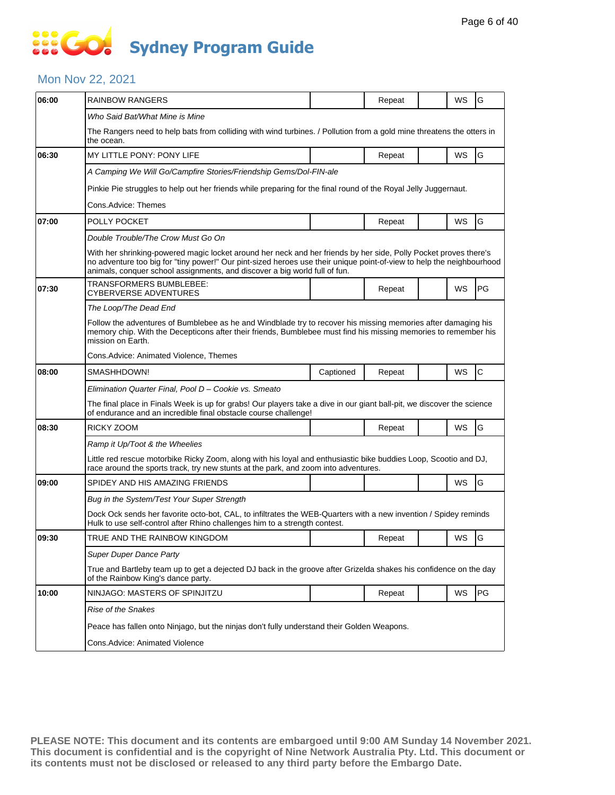### **SIS GO Sydney Program Guide**

### Mon Nov 22, 2021

| 06:00 | <b>RAINBOW RANGERS</b>                                                                                                                                                                                                                                                                                                  |           | Repeat |  | WS | G            |  |  |  |
|-------|-------------------------------------------------------------------------------------------------------------------------------------------------------------------------------------------------------------------------------------------------------------------------------------------------------------------------|-----------|--------|--|----|--------------|--|--|--|
|       | Who Said Bat/What Mine is Mine                                                                                                                                                                                                                                                                                          |           |        |  |    |              |  |  |  |
|       | The Rangers need to help bats from colliding with wind turbines. / Pollution from a gold mine threatens the otters in<br>the ocean.                                                                                                                                                                                     |           |        |  |    |              |  |  |  |
| 06:30 | MY LITTLE PONY: PONY LIFE                                                                                                                                                                                                                                                                                               |           | Repeat |  | WS | G            |  |  |  |
|       | A Camping We Will Go/Campfire Stories/Friendship Gems/Dol-FIN-ale                                                                                                                                                                                                                                                       |           |        |  |    |              |  |  |  |
|       | Pinkie Pie struggles to help out her friends while preparing for the final round of the Royal Jelly Juggernaut.                                                                                                                                                                                                         |           |        |  |    |              |  |  |  |
|       | Cons.Advice: Themes                                                                                                                                                                                                                                                                                                     |           |        |  |    |              |  |  |  |
| 07:00 | POLLY POCKET                                                                                                                                                                                                                                                                                                            |           | Repeat |  | WS | G            |  |  |  |
|       | Double Trouble/The Crow Must Go On                                                                                                                                                                                                                                                                                      |           |        |  |    |              |  |  |  |
|       | With her shrinking-powered magic locket around her neck and her friends by her side, Polly Pocket proves there's<br>no adventure too big for "tiny power!" Our pint-sized heroes use their unique point-of-view to help the neighbourhood<br>animals, conquer school assignments, and discover a big world full of fun. |           |        |  |    |              |  |  |  |
| 07:30 | TRANSFORMERS BUMBLEBEE:<br>CYBERVERSE ADVENTURES                                                                                                                                                                                                                                                                        |           | Repeat |  | WS | PG           |  |  |  |
|       | The Loop/The Dead End                                                                                                                                                                                                                                                                                                   |           |        |  |    |              |  |  |  |
|       | Follow the adventures of Bumblebee as he and Windblade try to recover his missing memories after damaging his<br>memory chip. With the Decepticons after their friends, Bumblebee must find his missing memories to remember his<br>mission on Earth.                                                                   |           |        |  |    |              |  |  |  |
|       | Cons. Advice: Animated Violence, Themes                                                                                                                                                                                                                                                                                 |           |        |  |    |              |  |  |  |
| 08:00 | SMASHHDOWN!                                                                                                                                                                                                                                                                                                             | Captioned | Repeat |  | WS | $\mathsf{C}$ |  |  |  |
|       | Elimination Quarter Final, Pool D - Cookie vs. Smeato                                                                                                                                                                                                                                                                   |           |        |  |    |              |  |  |  |
|       | The final place in Finals Week is up for grabs! Our players take a dive in our giant ball-pit, we discover the science<br>of endurance and an incredible final obstacle course challenge!                                                                                                                               |           |        |  |    |              |  |  |  |
| 08:30 | RICKY ZOOM                                                                                                                                                                                                                                                                                                              |           | Repeat |  | WS | G            |  |  |  |
|       | Ramp it Up/Toot & the Wheelies                                                                                                                                                                                                                                                                                          |           |        |  |    |              |  |  |  |
|       | Little red rescue motorbike Ricky Zoom, along with his loyal and enthusiastic bike buddies Loop, Scootio and DJ,<br>race around the sports track, try new stunts at the park, and zoom into adventures.                                                                                                                 |           |        |  |    |              |  |  |  |
| 09:00 | SPIDEY AND HIS AMAZING FRIENDS                                                                                                                                                                                                                                                                                          |           |        |  | WS | G            |  |  |  |
|       | Bug in the System/Test Your Super Strength                                                                                                                                                                                                                                                                              |           |        |  |    |              |  |  |  |
|       | Dock Ock sends her favorite octo-bot, CAL, to infiltrates the WEB-Quarters with a new invention / Spidey reminds<br>Hulk to use self-control after Rhino challenges him to a strength contest.                                                                                                                          |           |        |  |    |              |  |  |  |
| 09:30 | TRUE AND THE RAINBOW KINGDOM                                                                                                                                                                                                                                                                                            |           | Repeat |  | WS | G            |  |  |  |
|       | <b>Super Duper Dance Party</b>                                                                                                                                                                                                                                                                                          |           |        |  |    |              |  |  |  |
|       | True and Bartleby team up to get a dejected DJ back in the groove after Grizelda shakes his confidence on the day<br>of the Rainbow King's dance party.                                                                                                                                                                 |           |        |  |    |              |  |  |  |
| 10:00 | NINJAGO: MASTERS OF SPINJITZU                                                                                                                                                                                                                                                                                           |           | Repeat |  | WS | PG           |  |  |  |
|       | Rise of the Snakes                                                                                                                                                                                                                                                                                                      |           |        |  |    |              |  |  |  |
|       | Peace has fallen onto Ninjago, but the ninjas don't fully understand their Golden Weapons.                                                                                                                                                                                                                              |           |        |  |    |              |  |  |  |
|       | Cons.Advice: Animated Violence                                                                                                                                                                                                                                                                                          |           |        |  |    |              |  |  |  |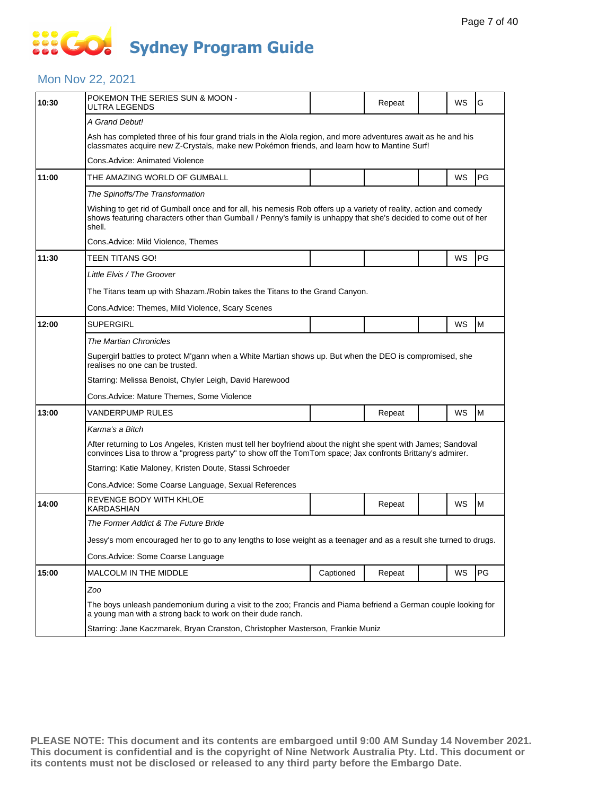# 888 **Sydney Program Guide**

### Mon Nov 22, 2021

| 10:30 | POKEMON THE SERIES SUN & MOON -<br>ULTRA LEGENDS                                                                                                                                                                                               |                                                                                | Repeat |  | WS | G  |  |  |  |
|-------|------------------------------------------------------------------------------------------------------------------------------------------------------------------------------------------------------------------------------------------------|--------------------------------------------------------------------------------|--------|--|----|----|--|--|--|
|       | A Grand Debut!                                                                                                                                                                                                                                 |                                                                                |        |  |    |    |  |  |  |
|       | Ash has completed three of his four grand trials in the Alola region, and more adventures await as he and his<br>classmates acquire new Z-Crystals, make new Pokémon friends, and learn how to Mantine Surf!                                   |                                                                                |        |  |    |    |  |  |  |
|       | Cons.Advice: Animated Violence                                                                                                                                                                                                                 |                                                                                |        |  |    |    |  |  |  |
| 11:00 | THE AMAZING WORLD OF GUMBALL                                                                                                                                                                                                                   |                                                                                |        |  | WS | PG |  |  |  |
|       | The Spinoffs/The Transformation                                                                                                                                                                                                                |                                                                                |        |  |    |    |  |  |  |
|       | Wishing to get rid of Gumball once and for all, his nemesis Rob offers up a variety of reality, action and comedy<br>shows featuring characters other than Gumball / Penny's family is unhappy that she's decided to come out of her<br>shell. |                                                                                |        |  |    |    |  |  |  |
|       | Cons.Advice: Mild Violence, Themes                                                                                                                                                                                                             |                                                                                |        |  |    |    |  |  |  |
| 11:30 | TEEN TITANS GO!                                                                                                                                                                                                                                |                                                                                |        |  | WS | PG |  |  |  |
|       | Little Elvis / The Groover                                                                                                                                                                                                                     |                                                                                |        |  |    |    |  |  |  |
|       | The Titans team up with Shazam./Robin takes the Titans to the Grand Canyon.                                                                                                                                                                    |                                                                                |        |  |    |    |  |  |  |
|       | Cons.Advice: Themes, Mild Violence, Scary Scenes                                                                                                                                                                                               |                                                                                |        |  |    |    |  |  |  |
| 12:00 | SUPERGIRL                                                                                                                                                                                                                                      |                                                                                |        |  | WS | M  |  |  |  |
|       | <b>The Martian Chronicles</b>                                                                                                                                                                                                                  |                                                                                |        |  |    |    |  |  |  |
|       | Supergirl battles to protect M'gann when a White Martian shows up. But when the DEO is compromised, she<br>realises no one can be trusted.                                                                                                     |                                                                                |        |  |    |    |  |  |  |
|       | Starring: Melissa Benoist, Chyler Leigh, David Harewood                                                                                                                                                                                        |                                                                                |        |  |    |    |  |  |  |
|       | Cons.Advice: Mature Themes, Some Violence                                                                                                                                                                                                      |                                                                                |        |  |    |    |  |  |  |
| 13:00 | VANDERPUMP RULES                                                                                                                                                                                                                               |                                                                                | Repeat |  | WS | M  |  |  |  |
|       | Karma's a Bitch                                                                                                                                                                                                                                |                                                                                |        |  |    |    |  |  |  |
|       | After returning to Los Angeles, Kristen must tell her boyfriend about the night she spent with James; Sandoval<br>convinces Lisa to throw a "progress party" to show off the TomTom space; Jax confronts Brittany's admirer.                   |                                                                                |        |  |    |    |  |  |  |
|       | Starring: Katie Maloney, Kristen Doute, Stassi Schroeder                                                                                                                                                                                       |                                                                                |        |  |    |    |  |  |  |
|       | Cons.Advice: Some Coarse Language, Sexual References                                                                                                                                                                                           |                                                                                |        |  |    |    |  |  |  |
| 14:00 | REVENGE BODY WITH KHLOE<br>KARDASHIAN                                                                                                                                                                                                          |                                                                                | Repeat |  | WS | M  |  |  |  |
|       | The Former Addict & The Future Bride                                                                                                                                                                                                           |                                                                                |        |  |    |    |  |  |  |
|       | Jessy's mom encouraged her to go to any lengths to lose weight as a teenager and as a result she turned to drugs.                                                                                                                              |                                                                                |        |  |    |    |  |  |  |
|       | Cons.Advice: Some Coarse Language                                                                                                                                                                                                              |                                                                                |        |  |    |    |  |  |  |
| 15:00 | MALCOLM IN THE MIDDLE                                                                                                                                                                                                                          | Captioned                                                                      | Repeat |  | WS | PG |  |  |  |
|       | Zoo                                                                                                                                                                                                                                            |                                                                                |        |  |    |    |  |  |  |
|       | The boys unleash pandemonium during a visit to the zoo; Francis and Piama befriend a German couple looking for<br>a young man with a strong back to work on their dude ranch.                                                                  |                                                                                |        |  |    |    |  |  |  |
|       |                                                                                                                                                                                                                                                | Starring: Jane Kaczmarek, Bryan Cranston, Christopher Masterson, Frankie Muniz |        |  |    |    |  |  |  |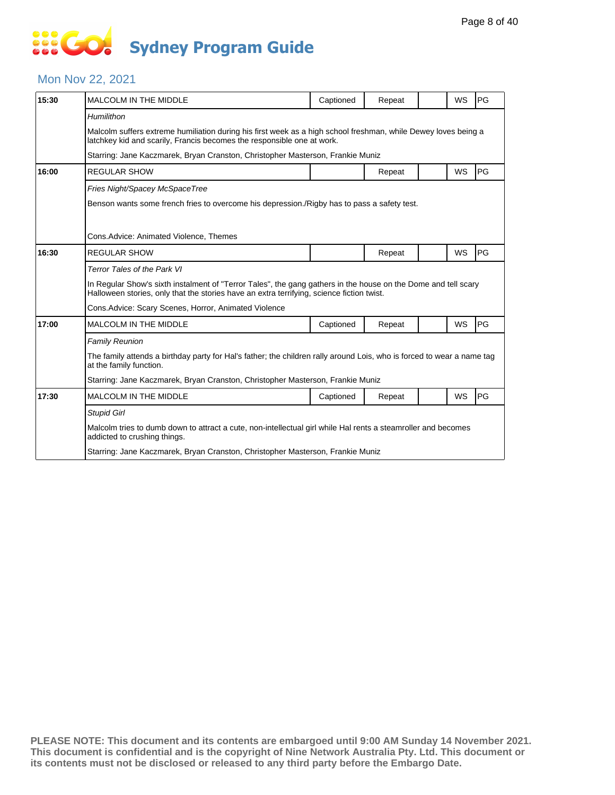# **... Go Sydney Program Guide**

### Mon Nov 22, 2021

| 15:30                                                                                                                                                                                                                                                                                                                                                                                                                                                                                                                                                                                                                                                                                                                           | <b>MALCOLM IN THE MIDDLE</b>                                                                                                                      | Captioned                                                                      | Repeat |  | WS        | PG |  |  |  |
|---------------------------------------------------------------------------------------------------------------------------------------------------------------------------------------------------------------------------------------------------------------------------------------------------------------------------------------------------------------------------------------------------------------------------------------------------------------------------------------------------------------------------------------------------------------------------------------------------------------------------------------------------------------------------------------------------------------------------------|---------------------------------------------------------------------------------------------------------------------------------------------------|--------------------------------------------------------------------------------|--------|--|-----------|----|--|--|--|
|                                                                                                                                                                                                                                                                                                                                                                                                                                                                                                                                                                                                                                                                                                                                 | Humilithon                                                                                                                                        |                                                                                |        |  |           |    |  |  |  |
|                                                                                                                                                                                                                                                                                                                                                                                                                                                                                                                                                                                                                                                                                                                                 |                                                                                                                                                   |                                                                                |        |  |           |    |  |  |  |
|                                                                                                                                                                                                                                                                                                                                                                                                                                                                                                                                                                                                                                                                                                                                 |                                                                                                                                                   |                                                                                |        |  |           |    |  |  |  |
| Malcolm suffers extreme humiliation during his first week as a high school freshman, while Dewey loves being a<br>latchkey kid and scarily, Francis becomes the responsible one at work.<br>Starring: Jane Kaczmarek, Bryan Cranston, Christopher Masterson, Frankie Muniz<br>16:00<br><b>REGULAR SHOW</b><br>Repeat<br>Fries Night/Spacey McSpaceTree<br>Benson wants some french fries to overcome his depression./Rigby has to pass a safety test.<br>Cons. Advice: Animated Violence, Themes<br>16:30<br><b>REGULAR SHOW</b><br>Repeat<br>Terror Tales of the Park VI<br>Halloween stories, only that the stories have an extra terrifying, science fiction twist.<br>Cons. Advice: Scary Scenes, Horror, Animated Violence |                                                                                                                                                   | WS                                                                             | PG     |  |           |    |  |  |  |
|                                                                                                                                                                                                                                                                                                                                                                                                                                                                                                                                                                                                                                                                                                                                 |                                                                                                                                                   |                                                                                |        |  |           |    |  |  |  |
|                                                                                                                                                                                                                                                                                                                                                                                                                                                                                                                                                                                                                                                                                                                                 |                                                                                                                                                   |                                                                                |        |  |           |    |  |  |  |
|                                                                                                                                                                                                                                                                                                                                                                                                                                                                                                                                                                                                                                                                                                                                 |                                                                                                                                                   |                                                                                |        |  |           |    |  |  |  |
|                                                                                                                                                                                                                                                                                                                                                                                                                                                                                                                                                                                                                                                                                                                                 |                                                                                                                                                   |                                                                                |        |  |           |    |  |  |  |
|                                                                                                                                                                                                                                                                                                                                                                                                                                                                                                                                                                                                                                                                                                                                 |                                                                                                                                                   |                                                                                |        |  | WS        | PG |  |  |  |
|                                                                                                                                                                                                                                                                                                                                                                                                                                                                                                                                                                                                                                                                                                                                 |                                                                                                                                                   |                                                                                |        |  |           |    |  |  |  |
|                                                                                                                                                                                                                                                                                                                                                                                                                                                                                                                                                                                                                                                                                                                                 | In Regular Show's sixth instalment of "Terror Tales", the gang gathers in the house on the Dome and tell scary                                    |                                                                                |        |  |           |    |  |  |  |
|                                                                                                                                                                                                                                                                                                                                                                                                                                                                                                                                                                                                                                                                                                                                 |                                                                                                                                                   |                                                                                |        |  |           |    |  |  |  |
| 17:00                                                                                                                                                                                                                                                                                                                                                                                                                                                                                                                                                                                                                                                                                                                           | <b>MALCOLM IN THE MIDDLE</b>                                                                                                                      | Captioned                                                                      | Repeat |  | <b>WS</b> | PG |  |  |  |
|                                                                                                                                                                                                                                                                                                                                                                                                                                                                                                                                                                                                                                                                                                                                 | <b>Family Reunion</b>                                                                                                                             |                                                                                |        |  |           |    |  |  |  |
|                                                                                                                                                                                                                                                                                                                                                                                                                                                                                                                                                                                                                                                                                                                                 | The family attends a birthday party for Hal's father; the children rally around Lois, who is forced to wear a name tag<br>at the family function. |                                                                                |        |  |           |    |  |  |  |
|                                                                                                                                                                                                                                                                                                                                                                                                                                                                                                                                                                                                                                                                                                                                 |                                                                                                                                                   | Starring: Jane Kaczmarek, Bryan Cranston, Christopher Masterson, Frankie Muniz |        |  |           |    |  |  |  |
| 17:30                                                                                                                                                                                                                                                                                                                                                                                                                                                                                                                                                                                                                                                                                                                           | <b>MALCOLM IN THE MIDDLE</b>                                                                                                                      | Captioned                                                                      | Repeat |  | WS        | PG |  |  |  |
|                                                                                                                                                                                                                                                                                                                                                                                                                                                                                                                                                                                                                                                                                                                                 | <b>Stupid Girl</b>                                                                                                                                |                                                                                |        |  |           |    |  |  |  |
|                                                                                                                                                                                                                                                                                                                                                                                                                                                                                                                                                                                                                                                                                                                                 | Malcolm tries to dumb down to attract a cute, non-intellectual girl while Hal rents a steamroller and becomes<br>addicted to crushing things.     |                                                                                |        |  |           |    |  |  |  |
|                                                                                                                                                                                                                                                                                                                                                                                                                                                                                                                                                                                                                                                                                                                                 | Starring: Jane Kaczmarek, Bryan Cranston, Christopher Masterson, Frankie Muniz                                                                    |                                                                                |        |  |           |    |  |  |  |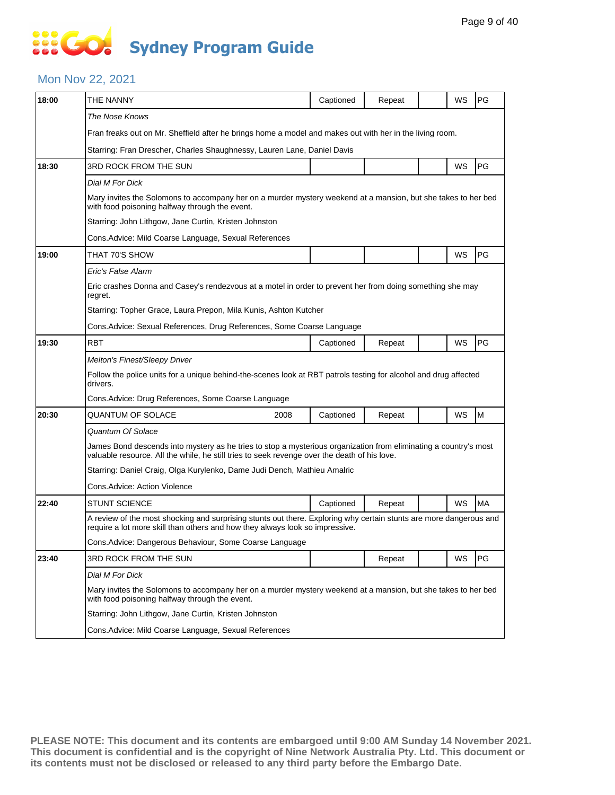# **SOCO Sydney Program Guide**

### Mon Nov 22, 2021

| 18:00 | THE NANNY                                                                                                                                                                                                        | Captioned | Repeat |  | WS | PG        |  |  |  |
|-------|------------------------------------------------------------------------------------------------------------------------------------------------------------------------------------------------------------------|-----------|--------|--|----|-----------|--|--|--|
|       |                                                                                                                                                                                                                  |           |        |  |    |           |  |  |  |
|       | The Nose Knows                                                                                                                                                                                                   |           |        |  |    |           |  |  |  |
|       | Fran freaks out on Mr. Sheffield after he brings home a model and makes out with her in the living room.                                                                                                         |           |        |  |    |           |  |  |  |
|       | Starring: Fran Drescher, Charles Shaughnessy, Lauren Lane, Daniel Davis                                                                                                                                          |           |        |  |    |           |  |  |  |
|       | PG<br>WS<br>3RD ROCK FROM THE SUN                                                                                                                                                                                |           |        |  |    |           |  |  |  |
|       | Dial M For Dick                                                                                                                                                                                                  |           |        |  |    |           |  |  |  |
|       | Mary invites the Solomons to accompany her on a murder mystery weekend at a mansion, but she takes to her bed<br>with food poisoning halfway through the event.                                                  |           |        |  |    |           |  |  |  |
|       | Starring: John Lithgow, Jane Curtin, Kristen Johnston                                                                                                                                                            |           |        |  |    |           |  |  |  |
|       | Cons. Advice: Mild Coarse Language, Sexual References                                                                                                                                                            |           |        |  |    |           |  |  |  |
| 19:00 | THAT 70'S SHOW                                                                                                                                                                                                   |           |        |  | WS | PG        |  |  |  |
|       | Eric's False Alarm                                                                                                                                                                                               |           |        |  |    |           |  |  |  |
|       | Eric crashes Donna and Casey's rendezvous at a motel in order to prevent her from doing something she may<br>regret.                                                                                             |           |        |  |    |           |  |  |  |
|       | Starring: Topher Grace, Laura Prepon, Mila Kunis, Ashton Kutcher                                                                                                                                                 |           |        |  |    |           |  |  |  |
|       | Cons.Advice: Sexual References, Drug References, Some Coarse Language                                                                                                                                            |           |        |  |    |           |  |  |  |
| 19:30 | RBT                                                                                                                                                                                                              | Captioned | Repeat |  | WS | PG        |  |  |  |
| 20:30 | Melton's Finest/Sleepy Driver                                                                                                                                                                                    |           |        |  |    |           |  |  |  |
|       | Follow the police units for a unique behind-the-scenes look at RBT patrols testing for alcohol and drug affected<br>drivers.                                                                                     |           |        |  |    |           |  |  |  |
|       | Cons. Advice: Drug References, Some Coarse Language                                                                                                                                                              |           |        |  |    |           |  |  |  |
|       | QUANTUM OF SOLACE<br>2008                                                                                                                                                                                        | Captioned | Repeat |  | WS | M         |  |  |  |
| 18:30 | Quantum Of Solace                                                                                                                                                                                                |           |        |  |    |           |  |  |  |
|       | James Bond descends into mystery as he tries to stop a mysterious organization from eliminating a country's most<br>valuable resource. All the while, he still tries to seek revenge over the death of his love. |           |        |  |    |           |  |  |  |
|       | Starring: Daniel Craig, Olga Kurylenko, Dame Judi Dench, Mathieu Amalric                                                                                                                                         |           |        |  |    |           |  |  |  |
|       | Cons.Advice: Action Violence                                                                                                                                                                                     |           |        |  |    |           |  |  |  |
| 22:40 | <b>STUNT SCIENCE</b>                                                                                                                                                                                             | Captioned | Repeat |  | WS | <b>MA</b> |  |  |  |
|       | A review of the most shocking and surprising stunts out there. Exploring why certain stunts are more dangerous and<br>require a lot more skill than others and how they always look so impressive.               |           |        |  |    |           |  |  |  |
|       | Cons.Advice: Dangerous Behaviour, Some Coarse Language                                                                                                                                                           |           |        |  |    |           |  |  |  |
| 23:40 | 3RD ROCK FROM THE SUN                                                                                                                                                                                            |           | Repeat |  | WS | PG        |  |  |  |
|       | Dial M For Dick                                                                                                                                                                                                  |           |        |  |    |           |  |  |  |
|       | Mary invites the Solomons to accompany her on a murder mystery weekend at a mansion, but she takes to her bed<br>with food poisoning halfway through the event.                                                  |           |        |  |    |           |  |  |  |
|       | Starring: John Lithgow, Jane Curtin, Kristen Johnston                                                                                                                                                            |           |        |  |    |           |  |  |  |
|       | Cons. Advice: Mild Coarse Language, Sexual References                                                                                                                                                            |           |        |  |    |           |  |  |  |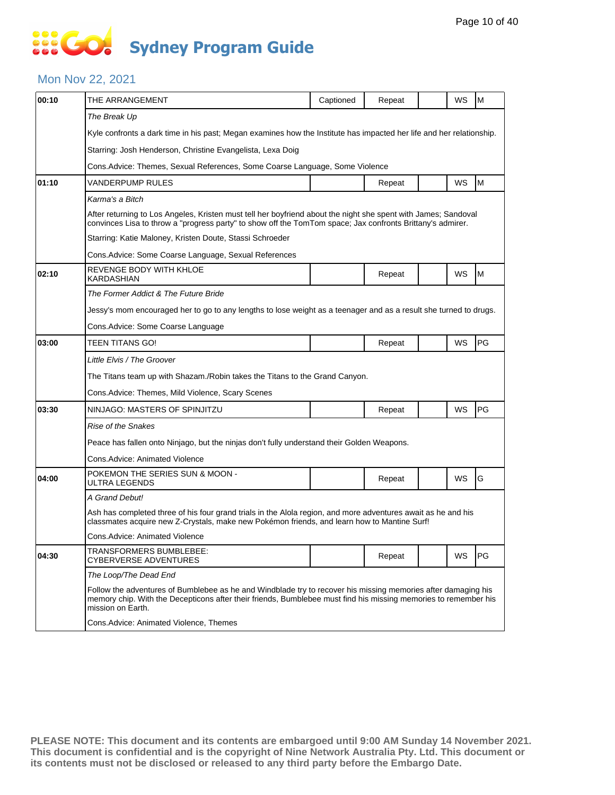# **... Go Sydney Program Guide**

### Mon Nov 22, 2021

| The Break Up<br>Kyle confronts a dark time in his past; Megan examines how the Institute has impacted her life and her relationship.<br>Starring: Josh Henderson, Christine Evangelista, Lexa Doig<br>Cons. Advice: Themes, Sexual References, Some Coarse Language, Some Violence<br>M<br>WS<br>01:10<br>VANDERPUMP RULES<br>Repeat<br>Karma's a Bitch<br>After returning to Los Angeles, Kristen must tell her boyfriend about the night she spent with James; Sandoval<br>convinces Lisa to throw a "progress party" to show off the TomTom space; Jax confronts Brittany's admirer.<br>Starring: Katie Maloney, Kristen Doute, Stassi Schroeder<br>Cons. Advice: Some Coarse Language, Sexual References<br>REVENGE BODY WITH KHLOE<br>WS<br>M<br>02:10<br>Repeat<br>KARDASHIAN<br>The Former Addict & The Future Bride<br>Jessy's mom encouraged her to go to any lengths to lose weight as a teenager and as a result she turned to drugs.<br>Cons.Advice: Some Coarse Language<br>PG<br>WS<br>03:00<br>TEEN TITANS GO!<br>Repeat<br>Little Elvis / The Groover<br>The Titans team up with Shazam./Robin takes the Titans to the Grand Canyon.<br>Cons. Advice: Themes, Mild Violence, Scary Scenes<br>WS<br>PG<br>03:30<br>NINJAGO: MASTERS OF SPINJITZU<br>Repeat<br>Rise of the Snakes<br>Peace has fallen onto Ninjago, but the ninjas don't fully understand their Golden Weapons.<br>Cons.Advice: Animated Violence<br>POKEMON THE SERIES SUN & MOON -<br>G<br>WS<br>04:00<br>Repeat<br>ULTRA LEGENDS<br>A Grand Debut!<br>Ash has completed three of his four grand trials in the Alola region, and more adventures await as he and his<br>classmates acquire new Z-Crystals, make new Pokémon friends, and learn how to Mantine Surf!<br>Cons. Advice: Animated Violence<br>TRANSFORMERS BUMBLEBEE:<br>04:30<br>WS<br>PG<br>Repeat<br><b>CYBERVERSE ADVENTURES</b><br>The Loop/The Dead End | 00:10 | THE ARRANGEMENT | Captioned | Repeat |  | WS | M |  |  |  |
|-----------------------------------------------------------------------------------------------------------------------------------------------------------------------------------------------------------------------------------------------------------------------------------------------------------------------------------------------------------------------------------------------------------------------------------------------------------------------------------------------------------------------------------------------------------------------------------------------------------------------------------------------------------------------------------------------------------------------------------------------------------------------------------------------------------------------------------------------------------------------------------------------------------------------------------------------------------------------------------------------------------------------------------------------------------------------------------------------------------------------------------------------------------------------------------------------------------------------------------------------------------------------------------------------------------------------------------------------------------------------------------------------------------------------------------------------------------------------------------------------------------------------------------------------------------------------------------------------------------------------------------------------------------------------------------------------------------------------------------------------------------------------------------------------------------------------------------------------------------------------------------------------------------|-------|-----------------|-----------|--------|--|----|---|--|--|--|
|                                                                                                                                                                                                                                                                                                                                                                                                                                                                                                                                                                                                                                                                                                                                                                                                                                                                                                                                                                                                                                                                                                                                                                                                                                                                                                                                                                                                                                                                                                                                                                                                                                                                                                                                                                                                                                                                                                           |       |                 |           |        |  |    |   |  |  |  |
|                                                                                                                                                                                                                                                                                                                                                                                                                                                                                                                                                                                                                                                                                                                                                                                                                                                                                                                                                                                                                                                                                                                                                                                                                                                                                                                                                                                                                                                                                                                                                                                                                                                                                                                                                                                                                                                                                                           |       |                 |           |        |  |    |   |  |  |  |
|                                                                                                                                                                                                                                                                                                                                                                                                                                                                                                                                                                                                                                                                                                                                                                                                                                                                                                                                                                                                                                                                                                                                                                                                                                                                                                                                                                                                                                                                                                                                                                                                                                                                                                                                                                                                                                                                                                           |       |                 |           |        |  |    |   |  |  |  |
|                                                                                                                                                                                                                                                                                                                                                                                                                                                                                                                                                                                                                                                                                                                                                                                                                                                                                                                                                                                                                                                                                                                                                                                                                                                                                                                                                                                                                                                                                                                                                                                                                                                                                                                                                                                                                                                                                                           |       |                 |           |        |  |    |   |  |  |  |
|                                                                                                                                                                                                                                                                                                                                                                                                                                                                                                                                                                                                                                                                                                                                                                                                                                                                                                                                                                                                                                                                                                                                                                                                                                                                                                                                                                                                                                                                                                                                                                                                                                                                                                                                                                                                                                                                                                           |       |                 |           |        |  |    |   |  |  |  |
|                                                                                                                                                                                                                                                                                                                                                                                                                                                                                                                                                                                                                                                                                                                                                                                                                                                                                                                                                                                                                                                                                                                                                                                                                                                                                                                                                                                                                                                                                                                                                                                                                                                                                                                                                                                                                                                                                                           |       |                 |           |        |  |    |   |  |  |  |
|                                                                                                                                                                                                                                                                                                                                                                                                                                                                                                                                                                                                                                                                                                                                                                                                                                                                                                                                                                                                                                                                                                                                                                                                                                                                                                                                                                                                                                                                                                                                                                                                                                                                                                                                                                                                                                                                                                           |       |                 |           |        |  |    |   |  |  |  |
|                                                                                                                                                                                                                                                                                                                                                                                                                                                                                                                                                                                                                                                                                                                                                                                                                                                                                                                                                                                                                                                                                                                                                                                                                                                                                                                                                                                                                                                                                                                                                                                                                                                                                                                                                                                                                                                                                                           |       |                 |           |        |  |    |   |  |  |  |
|                                                                                                                                                                                                                                                                                                                                                                                                                                                                                                                                                                                                                                                                                                                                                                                                                                                                                                                                                                                                                                                                                                                                                                                                                                                                                                                                                                                                                                                                                                                                                                                                                                                                                                                                                                                                                                                                                                           |       |                 |           |        |  |    |   |  |  |  |
|                                                                                                                                                                                                                                                                                                                                                                                                                                                                                                                                                                                                                                                                                                                                                                                                                                                                                                                                                                                                                                                                                                                                                                                                                                                                                                                                                                                                                                                                                                                                                                                                                                                                                                                                                                                                                                                                                                           |       |                 |           |        |  |    |   |  |  |  |
|                                                                                                                                                                                                                                                                                                                                                                                                                                                                                                                                                                                                                                                                                                                                                                                                                                                                                                                                                                                                                                                                                                                                                                                                                                                                                                                                                                                                                                                                                                                                                                                                                                                                                                                                                                                                                                                                                                           |       |                 |           |        |  |    |   |  |  |  |
|                                                                                                                                                                                                                                                                                                                                                                                                                                                                                                                                                                                                                                                                                                                                                                                                                                                                                                                                                                                                                                                                                                                                                                                                                                                                                                                                                                                                                                                                                                                                                                                                                                                                                                                                                                                                                                                                                                           |       |                 |           |        |  |    |   |  |  |  |
|                                                                                                                                                                                                                                                                                                                                                                                                                                                                                                                                                                                                                                                                                                                                                                                                                                                                                                                                                                                                                                                                                                                                                                                                                                                                                                                                                                                                                                                                                                                                                                                                                                                                                                                                                                                                                                                                                                           |       |                 |           |        |  |    |   |  |  |  |
|                                                                                                                                                                                                                                                                                                                                                                                                                                                                                                                                                                                                                                                                                                                                                                                                                                                                                                                                                                                                                                                                                                                                                                                                                                                                                                                                                                                                                                                                                                                                                                                                                                                                                                                                                                                                                                                                                                           |       |                 |           |        |  |    |   |  |  |  |
|                                                                                                                                                                                                                                                                                                                                                                                                                                                                                                                                                                                                                                                                                                                                                                                                                                                                                                                                                                                                                                                                                                                                                                                                                                                                                                                                                                                                                                                                                                                                                                                                                                                                                                                                                                                                                                                                                                           |       |                 |           |        |  |    |   |  |  |  |
|                                                                                                                                                                                                                                                                                                                                                                                                                                                                                                                                                                                                                                                                                                                                                                                                                                                                                                                                                                                                                                                                                                                                                                                                                                                                                                                                                                                                                                                                                                                                                                                                                                                                                                                                                                                                                                                                                                           |       |                 |           |        |  |    |   |  |  |  |
|                                                                                                                                                                                                                                                                                                                                                                                                                                                                                                                                                                                                                                                                                                                                                                                                                                                                                                                                                                                                                                                                                                                                                                                                                                                                                                                                                                                                                                                                                                                                                                                                                                                                                                                                                                                                                                                                                                           |       |                 |           |        |  |    |   |  |  |  |
|                                                                                                                                                                                                                                                                                                                                                                                                                                                                                                                                                                                                                                                                                                                                                                                                                                                                                                                                                                                                                                                                                                                                                                                                                                                                                                                                                                                                                                                                                                                                                                                                                                                                                                                                                                                                                                                                                                           |       |                 |           |        |  |    |   |  |  |  |
|                                                                                                                                                                                                                                                                                                                                                                                                                                                                                                                                                                                                                                                                                                                                                                                                                                                                                                                                                                                                                                                                                                                                                                                                                                                                                                                                                                                                                                                                                                                                                                                                                                                                                                                                                                                                                                                                                                           |       |                 |           |        |  |    |   |  |  |  |
|                                                                                                                                                                                                                                                                                                                                                                                                                                                                                                                                                                                                                                                                                                                                                                                                                                                                                                                                                                                                                                                                                                                                                                                                                                                                                                                                                                                                                                                                                                                                                                                                                                                                                                                                                                                                                                                                                                           |       |                 |           |        |  |    |   |  |  |  |
|                                                                                                                                                                                                                                                                                                                                                                                                                                                                                                                                                                                                                                                                                                                                                                                                                                                                                                                                                                                                                                                                                                                                                                                                                                                                                                                                                                                                                                                                                                                                                                                                                                                                                                                                                                                                                                                                                                           |       |                 |           |        |  |    |   |  |  |  |
|                                                                                                                                                                                                                                                                                                                                                                                                                                                                                                                                                                                                                                                                                                                                                                                                                                                                                                                                                                                                                                                                                                                                                                                                                                                                                                                                                                                                                                                                                                                                                                                                                                                                                                                                                                                                                                                                                                           |       |                 |           |        |  |    |   |  |  |  |
|                                                                                                                                                                                                                                                                                                                                                                                                                                                                                                                                                                                                                                                                                                                                                                                                                                                                                                                                                                                                                                                                                                                                                                                                                                                                                                                                                                                                                                                                                                                                                                                                                                                                                                                                                                                                                                                                                                           |       |                 |           |        |  |    |   |  |  |  |
|                                                                                                                                                                                                                                                                                                                                                                                                                                                                                                                                                                                                                                                                                                                                                                                                                                                                                                                                                                                                                                                                                                                                                                                                                                                                                                                                                                                                                                                                                                                                                                                                                                                                                                                                                                                                                                                                                                           |       |                 |           |        |  |    |   |  |  |  |
|                                                                                                                                                                                                                                                                                                                                                                                                                                                                                                                                                                                                                                                                                                                                                                                                                                                                                                                                                                                                                                                                                                                                                                                                                                                                                                                                                                                                                                                                                                                                                                                                                                                                                                                                                                                                                                                                                                           |       |                 |           |        |  |    |   |  |  |  |
|                                                                                                                                                                                                                                                                                                                                                                                                                                                                                                                                                                                                                                                                                                                                                                                                                                                                                                                                                                                                                                                                                                                                                                                                                                                                                                                                                                                                                                                                                                                                                                                                                                                                                                                                                                                                                                                                                                           |       |                 |           |        |  |    |   |  |  |  |
|                                                                                                                                                                                                                                                                                                                                                                                                                                                                                                                                                                                                                                                                                                                                                                                                                                                                                                                                                                                                                                                                                                                                                                                                                                                                                                                                                                                                                                                                                                                                                                                                                                                                                                                                                                                                                                                                                                           |       |                 |           |        |  |    |   |  |  |  |
| Follow the adventures of Bumblebee as he and Windblade try to recover his missing memories after damaging his<br>memory chip. With the Decepticons after their friends, Bumblebee must find his missing memories to remember his<br>mission on Earth.                                                                                                                                                                                                                                                                                                                                                                                                                                                                                                                                                                                                                                                                                                                                                                                                                                                                                                                                                                                                                                                                                                                                                                                                                                                                                                                                                                                                                                                                                                                                                                                                                                                     |       |                 |           |        |  |    |   |  |  |  |
| Cons.Advice: Animated Violence, Themes                                                                                                                                                                                                                                                                                                                                                                                                                                                                                                                                                                                                                                                                                                                                                                                                                                                                                                                                                                                                                                                                                                                                                                                                                                                                                                                                                                                                                                                                                                                                                                                                                                                                                                                                                                                                                                                                    |       |                 |           |        |  |    |   |  |  |  |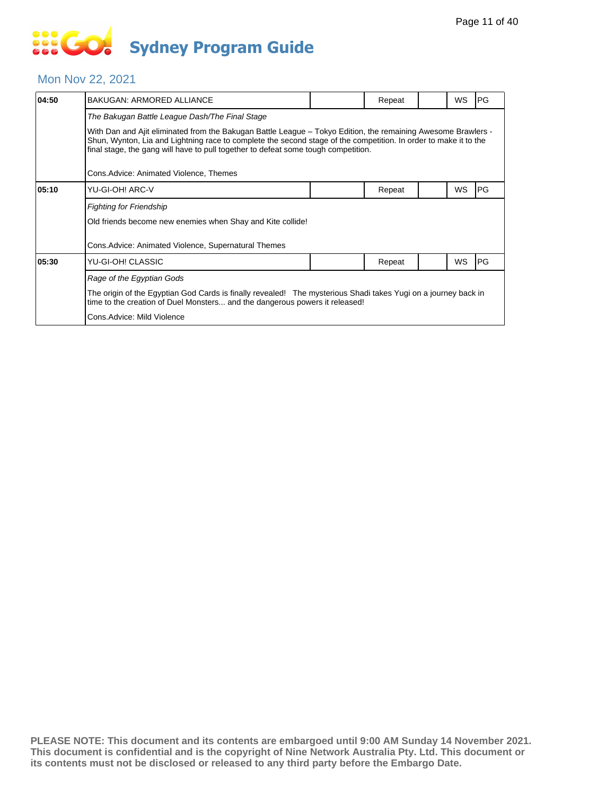# **SIS GO Sydney Program Guide**

### Mon Nov 22, 2021

| 04:50 | <b>BAKUGAN: ARMORED ALLIANCE</b>                                                                                                                                                                                                                                                                                        |  | Repeat |  | WS        | PG |  |  |
|-------|-------------------------------------------------------------------------------------------------------------------------------------------------------------------------------------------------------------------------------------------------------------------------------------------------------------------------|--|--------|--|-----------|----|--|--|
|       | The Bakugan Battle League Dash/The Final Stage                                                                                                                                                                                                                                                                          |  |        |  |           |    |  |  |
|       | With Dan and Ajit eliminated from the Bakugan Battle League – Tokyo Edition, the remaining Awesome Brawlers -<br>Shun, Wynton, Lia and Lightning race to complete the second stage of the competition. In order to make it to the<br>final stage, the gang will have to pull together to defeat some tough competition. |  |        |  |           |    |  |  |
|       | Cons. Advice: Animated Violence, Themes                                                                                                                                                                                                                                                                                 |  |        |  |           |    |  |  |
| 05:10 | YU-GI-OH! ARC-V                                                                                                                                                                                                                                                                                                         |  | Repeat |  | WS        | PG |  |  |
|       | <b>Fighting for Friendship</b>                                                                                                                                                                                                                                                                                          |  |        |  |           |    |  |  |
|       | Old friends become new enemies when Shay and Kite collide!                                                                                                                                                                                                                                                              |  |        |  |           |    |  |  |
|       | Cons. Advice: Animated Violence, Supernatural Themes                                                                                                                                                                                                                                                                    |  |        |  |           |    |  |  |
| 05:30 | YU-GI-OH! CLASSIC                                                                                                                                                                                                                                                                                                       |  | Repeat |  | <b>WS</b> | PG |  |  |
|       | Rage of the Egyptian Gods                                                                                                                                                                                                                                                                                               |  |        |  |           |    |  |  |
|       | The origin of the Egyptian God Cards is finally revealed! The mysterious Shadi takes Yugi on a journey back in<br>time to the creation of Duel Monsters and the dangerous powers it released!                                                                                                                           |  |        |  |           |    |  |  |
|       | Cons.Advice: Mild Violence                                                                                                                                                                                                                                                                                              |  |        |  |           |    |  |  |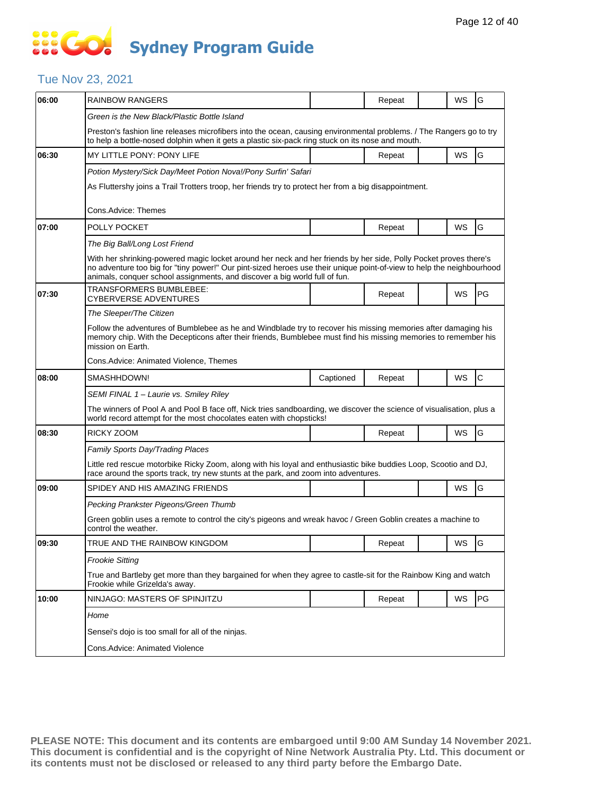### **SOCO Sydney Program Guide**

### Tue Nov 23, 2021

| 06:00 | <b>RAINBOW RANGERS</b>                                                                                                                                                                                                                                                                                                  |           | Repeat | WS | G  |  |  |  |  |
|-------|-------------------------------------------------------------------------------------------------------------------------------------------------------------------------------------------------------------------------------------------------------------------------------------------------------------------------|-----------|--------|----|----|--|--|--|--|
|       | Green is the New Black/Plastic Bottle Island                                                                                                                                                                                                                                                                            |           |        |    |    |  |  |  |  |
|       | Preston's fashion line releases microfibers into the ocean, causing environmental problems. / The Rangers go to try<br>to help a bottle-nosed dolphin when it gets a plastic six-pack ring stuck on its nose and mouth.                                                                                                 |           |        |    |    |  |  |  |  |
| 06:30 | <b>MY LITTLE PONY: PONY LIFE</b>                                                                                                                                                                                                                                                                                        |           | Repeat | WS | G  |  |  |  |  |
|       | Potion Mystery/Sick Day/Meet Potion Nova!/Pony Surfin' Safari<br>As Fluttershy joins a Trail Trotters troop, her friends try to protect her from a big disappointment.<br>Cons.Advice: Themes                                                                                                                           |           |        |    |    |  |  |  |  |
| 07:00 | POLLY POCKET                                                                                                                                                                                                                                                                                                            |           | Repeat | WS | G  |  |  |  |  |
|       | The Big Ball/Long Lost Friend                                                                                                                                                                                                                                                                                           |           |        |    |    |  |  |  |  |
|       | With her shrinking-powered magic locket around her neck and her friends by her side, Polly Pocket proves there's<br>no adventure too big for "tiny power!" Our pint-sized heroes use their unique point-of-view to help the neighbourhood<br>animals, conquer school assignments, and discover a big world full of fun. |           |        |    |    |  |  |  |  |
| 07:30 | TRANSFORMERS BUMBLEBEE:<br>CYBERVERSE ADVENTURES                                                                                                                                                                                                                                                                        |           | Repeat | WS | PG |  |  |  |  |
|       | The Sleeper/The Citizen                                                                                                                                                                                                                                                                                                 |           |        |    |    |  |  |  |  |
|       | Follow the adventures of Bumblebee as he and Windblade try to recover his missing memories after damaging his<br>memory chip. With the Decepticons after their friends, Bumblebee must find his missing memories to remember his<br>mission on Earth.                                                                   |           |        |    |    |  |  |  |  |
|       | Cons. Advice: Animated Violence, Themes                                                                                                                                                                                                                                                                                 |           |        |    |    |  |  |  |  |
| 08:00 | SMASHHDOWN!                                                                                                                                                                                                                                                                                                             | Captioned | Repeat | WS | C  |  |  |  |  |
|       | SEMI FINAL 1 – Laurie vs. Smiley Riley                                                                                                                                                                                                                                                                                  |           |        |    |    |  |  |  |  |
|       | The winners of Pool A and Pool B face off, Nick tries sandboarding, we discover the science of visualisation, plus a<br>world record attempt for the most chocolates eaten with chopsticks!                                                                                                                             |           |        |    |    |  |  |  |  |
| 08:30 | RICKY ZOOM                                                                                                                                                                                                                                                                                                              |           | Repeat | WS | G  |  |  |  |  |
|       | Family Sports Day/Trading Places                                                                                                                                                                                                                                                                                        |           |        |    |    |  |  |  |  |
|       | Little red rescue motorbike Ricky Zoom, along with his loyal and enthusiastic bike buddies Loop, Scootio and DJ,<br>race around the sports track, try new stunts at the park, and zoom into adventures.                                                                                                                 |           |        |    |    |  |  |  |  |
| 09:00 | SPIDEY AND HIS AMAZING FRIENDS                                                                                                                                                                                                                                                                                          |           |        | WS | G  |  |  |  |  |
|       | Pecking Prankster Pigeons/Green Thumb                                                                                                                                                                                                                                                                                   |           |        |    |    |  |  |  |  |
|       | Green goblin uses a remote to control the city's pigeons and wreak havoc / Green Goblin creates a machine to<br>control the weather.                                                                                                                                                                                    |           |        |    |    |  |  |  |  |
| 09:30 | TRUE AND THE RAINBOW KINGDOM                                                                                                                                                                                                                                                                                            |           | Repeat | WS | G  |  |  |  |  |
|       | <b>Frookie Sitting</b>                                                                                                                                                                                                                                                                                                  |           |        |    |    |  |  |  |  |
|       | True and Bartleby get more than they bargained for when they agree to castle-sit for the Rainbow King and watch<br>Frookie while Grizelda's away.                                                                                                                                                                       |           |        |    |    |  |  |  |  |
| 10:00 | NINJAGO: MASTERS OF SPINJITZU                                                                                                                                                                                                                                                                                           |           | Repeat | WS | PG |  |  |  |  |
|       |                                                                                                                                                                                                                                                                                                                         |           |        |    |    |  |  |  |  |
|       | Home                                                                                                                                                                                                                                                                                                                    |           |        |    |    |  |  |  |  |
|       | Sensei's dojo is too small for all of the ninjas.                                                                                                                                                                                                                                                                       |           |        |    |    |  |  |  |  |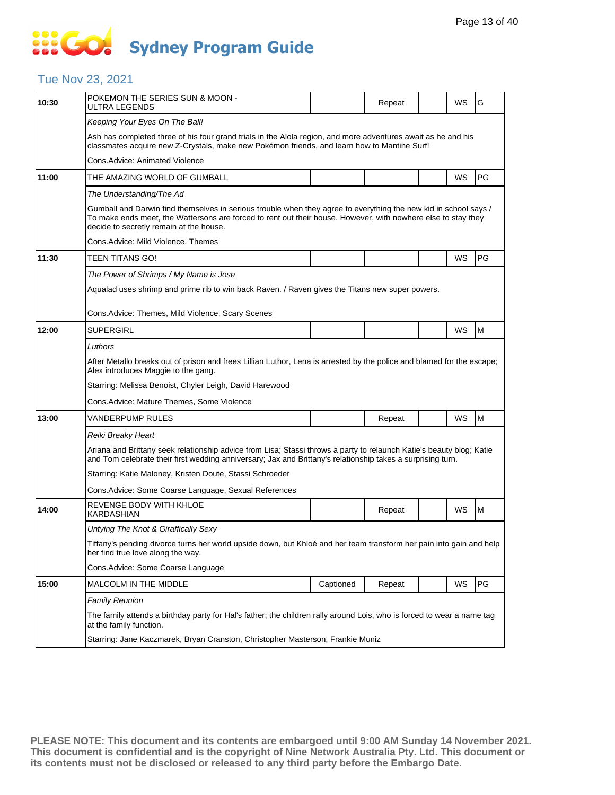## **SOCO Sydney Program Guide**

### Tue Nov 23, 2021

| 10:30 | POKEMON THE SERIES SUN & MOON -<br>ULTRA LEGENDS                                                                                                                                                                                                                             |           | Repeat |  | WS | G  |  |  |  |
|-------|------------------------------------------------------------------------------------------------------------------------------------------------------------------------------------------------------------------------------------------------------------------------------|-----------|--------|--|----|----|--|--|--|
|       | Keeping Your Eyes On The Ball!                                                                                                                                                                                                                                               |           |        |  |    |    |  |  |  |
|       | Ash has completed three of his four grand trials in the Alola region, and more adventures await as he and his<br>classmates acquire new Z-Crystals, make new Pokémon friends, and learn how to Mantine Surf!                                                                 |           |        |  |    |    |  |  |  |
|       | Cons. Advice: Animated Violence                                                                                                                                                                                                                                              |           |        |  |    |    |  |  |  |
| 11:00 | THE AMAZING WORLD OF GUMBALL                                                                                                                                                                                                                                                 |           |        |  | WS | PG |  |  |  |
|       | The Understanding/The Ad                                                                                                                                                                                                                                                     |           |        |  |    |    |  |  |  |
|       | Gumball and Darwin find themselves in serious trouble when they agree to everything the new kid in school says /<br>To make ends meet, the Wattersons are forced to rent out their house. However, with nowhere else to stay they<br>decide to secretly remain at the house. |           |        |  |    |    |  |  |  |
|       | Cons.Advice: Mild Violence, Themes                                                                                                                                                                                                                                           |           |        |  |    |    |  |  |  |
| 11:30 | TEEN TITANS GO!                                                                                                                                                                                                                                                              |           |        |  | WS | PG |  |  |  |
|       | The Power of Shrimps / My Name is Jose                                                                                                                                                                                                                                       |           |        |  |    |    |  |  |  |
|       | Aqualad uses shrimp and prime rib to win back Raven. / Raven gives the Titans new super powers.                                                                                                                                                                              |           |        |  |    |    |  |  |  |
|       | Cons. Advice: Themes, Mild Violence, Scary Scenes                                                                                                                                                                                                                            |           |        |  |    |    |  |  |  |
| 12:00 | <b>SUPERGIRL</b>                                                                                                                                                                                                                                                             |           |        |  | WS | M  |  |  |  |
|       | Luthors                                                                                                                                                                                                                                                                      |           |        |  |    |    |  |  |  |
|       | After Metallo breaks out of prison and frees Lillian Luthor, Lena is arrested by the police and blamed for the escape;<br>Alex introduces Maggie to the gang.                                                                                                                |           |        |  |    |    |  |  |  |
|       | Starring: Melissa Benoist, Chyler Leigh, David Harewood                                                                                                                                                                                                                      |           |        |  |    |    |  |  |  |
|       | Cons.Advice: Mature Themes, Some Violence                                                                                                                                                                                                                                    |           |        |  |    |    |  |  |  |
| 13:00 | VANDERPUMP RULES                                                                                                                                                                                                                                                             |           | Repeat |  | WS | M  |  |  |  |
|       | Reiki Breaky Heart                                                                                                                                                                                                                                                           |           |        |  |    |    |  |  |  |
|       | Ariana and Brittany seek relationship advice from Lisa; Stassi throws a party to relaunch Katie's beauty blog; Katie<br>and Tom celebrate their first wedding anniversary; Jax and Brittany's relationship takes a surprising turn.                                          |           |        |  |    |    |  |  |  |
|       | Starring: Katie Maloney, Kristen Doute, Stassi Schroeder                                                                                                                                                                                                                     |           |        |  |    |    |  |  |  |
|       | Cons. Advice: Some Coarse Language, Sexual References                                                                                                                                                                                                                        |           |        |  |    |    |  |  |  |
| 14:00 | REVENGE BODY WITH KHLOE<br><b>KARDASHIAN</b>                                                                                                                                                                                                                                 |           | Repeat |  | WS | M  |  |  |  |
|       | Untying The Knot & Giraffically Sexy                                                                                                                                                                                                                                         |           |        |  |    |    |  |  |  |
|       | Tiffany's pending divorce turns her world upside down, but Khloé and her team transform her pain into gain and help<br>her find true love along the way.                                                                                                                     |           |        |  |    |    |  |  |  |
|       | Cons.Advice: Some Coarse Language                                                                                                                                                                                                                                            |           |        |  |    |    |  |  |  |
| 15:00 | MALCOLM IN THE MIDDLE                                                                                                                                                                                                                                                        | Captioned | Repeat |  | WS | PG |  |  |  |
|       | <b>Family Reunion</b>                                                                                                                                                                                                                                                        |           |        |  |    |    |  |  |  |
|       | The family attends a birthday party for Hal's father; the children rally around Lois, who is forced to wear a name tag<br>at the family function.                                                                                                                            |           |        |  |    |    |  |  |  |
|       | Starring: Jane Kaczmarek, Bryan Cranston, Christopher Masterson, Frankie Muniz                                                                                                                                                                                               |           |        |  |    |    |  |  |  |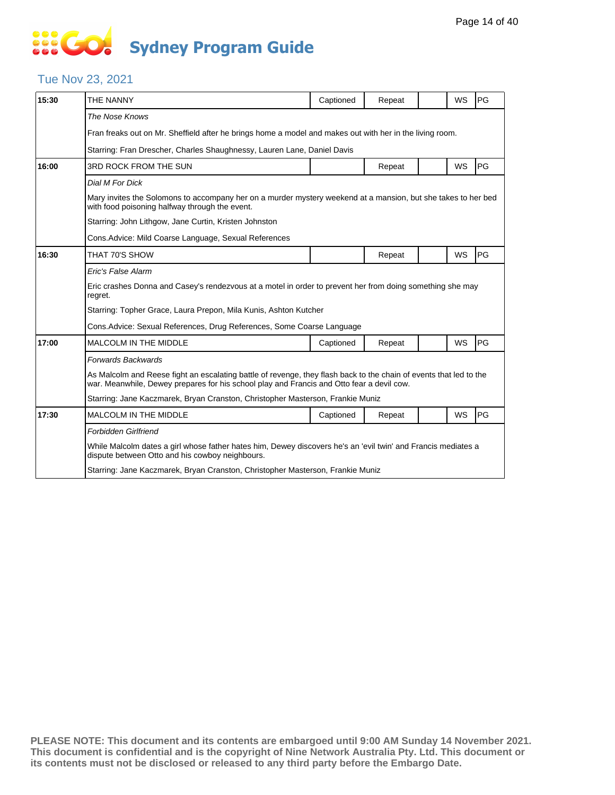# **SIS GO Sydney Program Guide**

#### Tue Nov 23, 2021

| 15:30 | THE NANNY                                                                                                                                                                                                       | Captioned | Repeat |  | WS | PG |  |  |
|-------|-----------------------------------------------------------------------------------------------------------------------------------------------------------------------------------------------------------------|-----------|--------|--|----|----|--|--|
|       | The Nose Knows                                                                                                                                                                                                  |           |        |  |    |    |  |  |
|       | Fran freaks out on Mr. Sheffield after he brings home a model and makes out with her in the living room.                                                                                                        |           |        |  |    |    |  |  |
|       | Starring: Fran Drescher, Charles Shaughnessy, Lauren Lane, Daniel Davis                                                                                                                                         |           |        |  |    |    |  |  |
| 16:00 | 3RD ROCK FROM THE SUN                                                                                                                                                                                           |           | Repeat |  | WS | PG |  |  |
|       | Dial M For Dick                                                                                                                                                                                                 |           |        |  |    |    |  |  |
|       | Mary invites the Solomons to accompany her on a murder mystery weekend at a mansion, but she takes to her bed<br>with food poisoning halfway through the event.                                                 |           |        |  |    |    |  |  |
|       | Starring: John Lithgow, Jane Curtin, Kristen Johnston                                                                                                                                                           |           |        |  |    |    |  |  |
|       | Cons. Advice: Mild Coarse Language, Sexual References                                                                                                                                                           |           |        |  |    |    |  |  |
| 16:30 | THAT 70'S SHOW                                                                                                                                                                                                  |           | Repeat |  | WS | PG |  |  |
|       | Eric's False Alarm                                                                                                                                                                                              |           |        |  |    |    |  |  |
|       | Eric crashes Donna and Casey's rendezvous at a motel in order to prevent her from doing something she may<br>regret.                                                                                            |           |        |  |    |    |  |  |
|       | Starring: Topher Grace, Laura Prepon, Mila Kunis, Ashton Kutcher                                                                                                                                                |           |        |  |    |    |  |  |
|       | Cons. Advice: Sexual References, Drug References, Some Coarse Language                                                                                                                                          |           |        |  |    |    |  |  |
| 17:00 | <b>MALCOLM IN THE MIDDLE</b>                                                                                                                                                                                    | Captioned | Repeat |  | WS | PG |  |  |
|       | <b>Forwards Backwards</b>                                                                                                                                                                                       |           |        |  |    |    |  |  |
|       | As Malcolm and Reese fight an escalating battle of revenge, they flash back to the chain of events that led to the<br>war. Meanwhile, Dewey prepares for his school play and Francis and Otto fear a devil cow. |           |        |  |    |    |  |  |
|       | Starring: Jane Kaczmarek, Bryan Cranston, Christopher Masterson, Frankie Muniz                                                                                                                                  |           |        |  |    |    |  |  |
| 17:30 | <b>MALCOLM IN THE MIDDLE</b>                                                                                                                                                                                    | Captioned | Repeat |  | WS | PG |  |  |
|       | <b>Forbidden Girlfriend</b>                                                                                                                                                                                     |           |        |  |    |    |  |  |
|       | While Malcolm dates a girl whose father hates him, Dewey discovers he's an 'evil twin' and Francis mediates a<br>dispute between Otto and his cowboy neighbours.                                                |           |        |  |    |    |  |  |
|       | Starring: Jane Kaczmarek, Bryan Cranston, Christopher Masterson, Frankie Muniz                                                                                                                                  |           |        |  |    |    |  |  |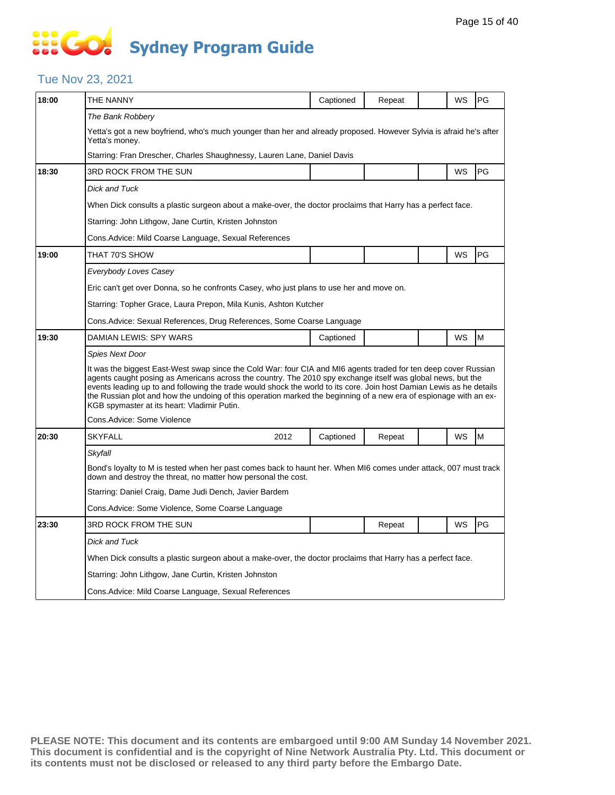# **SOCO Sydney Program Guide**

#### Tue Nov 23, 2021

| 18:00 | THE NANNY                                                                                                                                                                                                                                                                                                                                                                                                                                                                                                                  | Captioned | Repeat |  | WS        | PG |  |  |  |
|-------|----------------------------------------------------------------------------------------------------------------------------------------------------------------------------------------------------------------------------------------------------------------------------------------------------------------------------------------------------------------------------------------------------------------------------------------------------------------------------------------------------------------------------|-----------|--------|--|-----------|----|--|--|--|
|       | The Bank Robbery                                                                                                                                                                                                                                                                                                                                                                                                                                                                                                           |           |        |  |           |    |  |  |  |
|       | Yetta's got a new boyfriend, who's much younger than her and already proposed. However Sylvia is afraid he's after<br>Yetta's money.                                                                                                                                                                                                                                                                                                                                                                                       |           |        |  |           |    |  |  |  |
|       | Starring: Fran Drescher, Charles Shaughnessy, Lauren Lane, Daniel Davis                                                                                                                                                                                                                                                                                                                                                                                                                                                    |           |        |  |           |    |  |  |  |
| 18:30 | 3RD ROCK FROM THE SUN                                                                                                                                                                                                                                                                                                                                                                                                                                                                                                      |           |        |  | WS        | PG |  |  |  |
|       | <b>Dick and Tuck</b>                                                                                                                                                                                                                                                                                                                                                                                                                                                                                                       |           |        |  |           |    |  |  |  |
|       | When Dick consults a plastic surgeon about a make-over, the doctor proclaims that Harry has a perfect face.                                                                                                                                                                                                                                                                                                                                                                                                                |           |        |  |           |    |  |  |  |
|       | Starring: John Lithgow, Jane Curtin, Kristen Johnston                                                                                                                                                                                                                                                                                                                                                                                                                                                                      |           |        |  |           |    |  |  |  |
|       | Cons. Advice: Mild Coarse Language, Sexual References                                                                                                                                                                                                                                                                                                                                                                                                                                                                      |           |        |  |           |    |  |  |  |
| 19:00 | THAT 70'S SHOW                                                                                                                                                                                                                                                                                                                                                                                                                                                                                                             |           |        |  | <b>WS</b> | PG |  |  |  |
|       | Everybody Loves Casey                                                                                                                                                                                                                                                                                                                                                                                                                                                                                                      |           |        |  |           |    |  |  |  |
|       | Eric can't get over Donna, so he confronts Casey, who just plans to use her and move on.                                                                                                                                                                                                                                                                                                                                                                                                                                   |           |        |  |           |    |  |  |  |
|       | Starring: Topher Grace, Laura Prepon, Mila Kunis, Ashton Kutcher                                                                                                                                                                                                                                                                                                                                                                                                                                                           |           |        |  |           |    |  |  |  |
|       | Cons. Advice: Sexual References, Drug References, Some Coarse Language                                                                                                                                                                                                                                                                                                                                                                                                                                                     |           |        |  |           |    |  |  |  |
| 19:30 | DAMIAN LEWIS: SPY WARS                                                                                                                                                                                                                                                                                                                                                                                                                                                                                                     | Captioned |        |  | <b>WS</b> | M  |  |  |  |
|       | Spies Next Door                                                                                                                                                                                                                                                                                                                                                                                                                                                                                                            |           |        |  |           |    |  |  |  |
|       | It was the biggest East-West swap since the Cold War: four CIA and MI6 agents traded for ten deep cover Russian<br>agents caught posing as Americans across the country. The 2010 spy exchange itself was global news, but the<br>events leading up to and following the trade would shock the world to its core. Join host Damian Lewis as he details<br>the Russian plot and how the undoing of this operation marked the beginning of a new era of espionage with an ex-<br>KGB spymaster at its heart: Vladimir Putin. |           |        |  |           |    |  |  |  |
|       | Cons.Advice: Some Violence                                                                                                                                                                                                                                                                                                                                                                                                                                                                                                 |           |        |  |           |    |  |  |  |
| 20:30 | <b>SKYFALL</b><br>2012                                                                                                                                                                                                                                                                                                                                                                                                                                                                                                     | Captioned | Repeat |  | <b>WS</b> | M  |  |  |  |
|       | Skyfall                                                                                                                                                                                                                                                                                                                                                                                                                                                                                                                    |           |        |  |           |    |  |  |  |
|       | Bond's loyalty to M is tested when her past comes back to haunt her. When MI6 comes under attack, 007 must track<br>down and destroy the threat, no matter how personal the cost.                                                                                                                                                                                                                                                                                                                                          |           |        |  |           |    |  |  |  |
|       | Starring: Daniel Craig, Dame Judi Dench, Javier Bardem                                                                                                                                                                                                                                                                                                                                                                                                                                                                     |           |        |  |           |    |  |  |  |
|       | Cons.Advice: Some Violence, Some Coarse Language                                                                                                                                                                                                                                                                                                                                                                                                                                                                           |           |        |  |           |    |  |  |  |
| 23:30 | 3RD ROCK FROM THE SUN                                                                                                                                                                                                                                                                                                                                                                                                                                                                                                      |           | Repeat |  | WS        | PG |  |  |  |
|       | Dick and Tuck                                                                                                                                                                                                                                                                                                                                                                                                                                                                                                              |           |        |  |           |    |  |  |  |
|       | When Dick consults a plastic surgeon about a make-over, the doctor proclaims that Harry has a perfect face.                                                                                                                                                                                                                                                                                                                                                                                                                |           |        |  |           |    |  |  |  |
|       | Starring: John Lithgow, Jane Curtin, Kristen Johnston                                                                                                                                                                                                                                                                                                                                                                                                                                                                      |           |        |  |           |    |  |  |  |
|       | Cons. Advice: Mild Coarse Language, Sexual References                                                                                                                                                                                                                                                                                                                                                                                                                                                                      |           |        |  |           |    |  |  |  |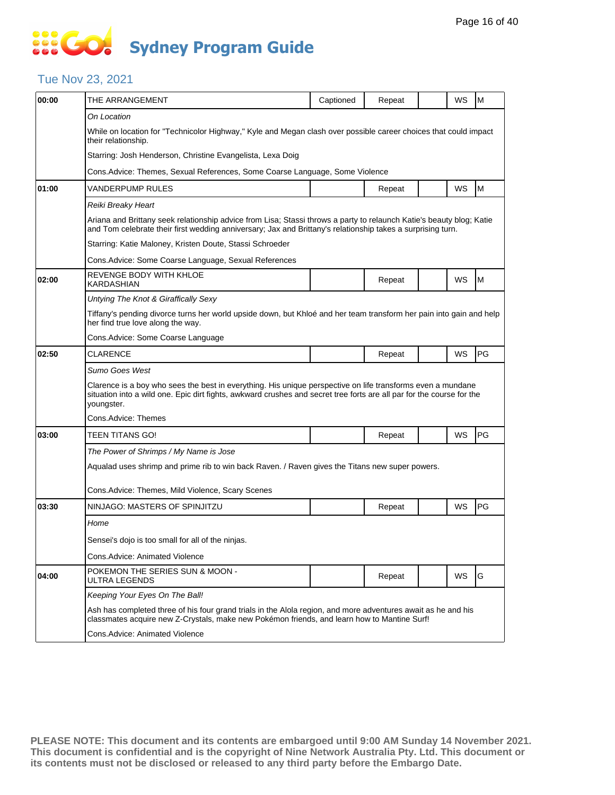# **SOPICION Sydney Program Guide**

### Tue Nov 23, 2021

| 00:00 | THE ARRANGEMENT                                                                                                                                                                                                                                    | Captioned                                                                                       | Repeat |  | WS | M  |  |  |  |
|-------|----------------------------------------------------------------------------------------------------------------------------------------------------------------------------------------------------------------------------------------------------|-------------------------------------------------------------------------------------------------|--------|--|----|----|--|--|--|
|       | On Location                                                                                                                                                                                                                                        |                                                                                                 |        |  |    |    |  |  |  |
|       | While on location for "Technicolor Highway," Kyle and Megan clash over possible career choices that could impact<br>their relationship.                                                                                                            |                                                                                                 |        |  |    |    |  |  |  |
|       | Starring: Josh Henderson, Christine Evangelista, Lexa Doig                                                                                                                                                                                         |                                                                                                 |        |  |    |    |  |  |  |
|       | Cons. Advice: Themes, Sexual References, Some Coarse Language, Some Violence                                                                                                                                                                       |                                                                                                 |        |  |    |    |  |  |  |
| 01:00 | VANDERPUMP RULES                                                                                                                                                                                                                                   |                                                                                                 | Repeat |  | WS | M  |  |  |  |
|       | Reiki Breaky Heart                                                                                                                                                                                                                                 |                                                                                                 |        |  |    |    |  |  |  |
|       | Ariana and Brittany seek relationship advice from Lisa; Stassi throws a party to relaunch Katie's beauty blog; Katie<br>and Tom celebrate their first wedding anniversary; Jax and Brittany's relationship takes a surprising turn.                |                                                                                                 |        |  |    |    |  |  |  |
|       | Starring: Katie Maloney, Kristen Doute, Stassi Schroeder                                                                                                                                                                                           |                                                                                                 |        |  |    |    |  |  |  |
|       | Cons. Advice: Some Coarse Language, Sexual References                                                                                                                                                                                              |                                                                                                 |        |  |    |    |  |  |  |
| 02:00 | REVENGE BODY WITH KHLOE<br>KARDASHIAN                                                                                                                                                                                                              |                                                                                                 | Repeat |  | WS | M  |  |  |  |
|       | Untying The Knot & Giraffically Sexy                                                                                                                                                                                                               |                                                                                                 |        |  |    |    |  |  |  |
|       | Tiffany's pending divorce turns her world upside down, but Khloé and her team transform her pain into gain and help<br>her find true love along the way.                                                                                           |                                                                                                 |        |  |    |    |  |  |  |
|       | Cons. Advice: Some Coarse Language                                                                                                                                                                                                                 |                                                                                                 |        |  |    |    |  |  |  |
| 02:50 | <b>CLARENCE</b>                                                                                                                                                                                                                                    |                                                                                                 | Repeat |  | WS | PG |  |  |  |
|       | Sumo Goes West                                                                                                                                                                                                                                     |                                                                                                 |        |  |    |    |  |  |  |
|       | Clarence is a boy who sees the best in everything. His unique perspective on life transforms even a mundane<br>situation into a wild one. Epic dirt fights, awkward crushes and secret tree forts are all par for the course for the<br>youngster. |                                                                                                 |        |  |    |    |  |  |  |
|       | Cons.Advice: Themes                                                                                                                                                                                                                                |                                                                                                 |        |  |    |    |  |  |  |
| 03:00 | TEEN TITANS GO!                                                                                                                                                                                                                                    |                                                                                                 | Repeat |  | WS | PG |  |  |  |
|       | The Power of Shrimps / My Name is Jose                                                                                                                                                                                                             |                                                                                                 |        |  |    |    |  |  |  |
|       |                                                                                                                                                                                                                                                    | Aqualad uses shrimp and prime rib to win back Raven. / Raven gives the Titans new super powers. |        |  |    |    |  |  |  |
|       | Cons. Advice: Themes, Mild Violence, Scary Scenes                                                                                                                                                                                                  |                                                                                                 |        |  |    |    |  |  |  |
| 03:30 | NINJAGO: MASTERS OF SPINJITZU                                                                                                                                                                                                                      |                                                                                                 | Repeat |  | WS | PG |  |  |  |
|       | Home                                                                                                                                                                                                                                               |                                                                                                 |        |  |    |    |  |  |  |
|       | Sensei's dojo is too small for all of the ninjas.                                                                                                                                                                                                  |                                                                                                 |        |  |    |    |  |  |  |
|       | Cons. Advice: Animated Violence                                                                                                                                                                                                                    |                                                                                                 |        |  |    |    |  |  |  |
| 04:00 | POKEMON THE SERIES SUN & MOON -<br>ULTRA LEGENDS                                                                                                                                                                                                   |                                                                                                 | Repeat |  | WS | G  |  |  |  |
|       | Keeping Your Eyes On The Ball!                                                                                                                                                                                                                     |                                                                                                 |        |  |    |    |  |  |  |
|       | Ash has completed three of his four grand trials in the Alola region, and more adventures await as he and his<br>classmates acquire new Z-Crystals, make new Pokémon friends, and learn how to Mantine Surf!                                       |                                                                                                 |        |  |    |    |  |  |  |
|       | Cons.Advice: Animated Violence                                                                                                                                                                                                                     |                                                                                                 |        |  |    |    |  |  |  |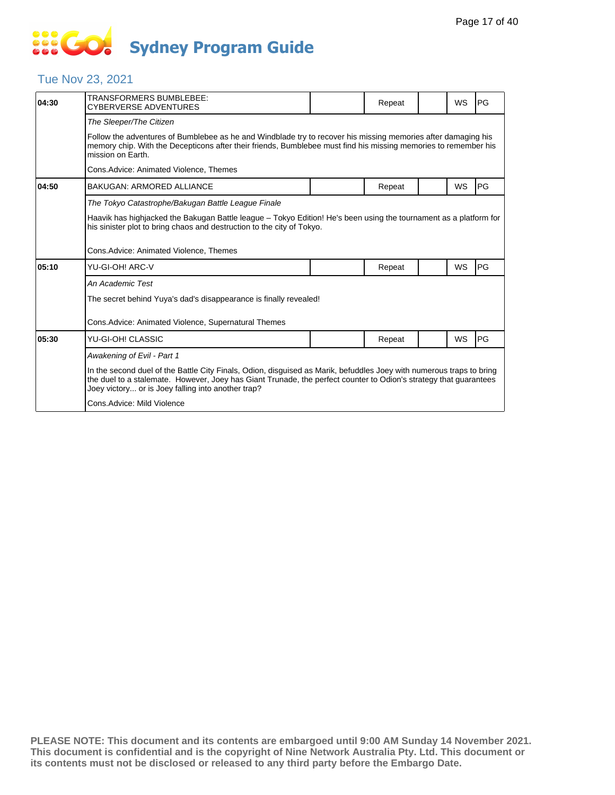# **SOS GO Sydney Program Guide**

### Tue Nov 23, 2021

| 04:30 | TRANSFORMERS BUMBLEBEE:<br>CYBERVERSE ADVENTURES                                                                                                                                                                                                                                                |  | Repeat |  | WS        | PG        |  |  |  |
|-------|-------------------------------------------------------------------------------------------------------------------------------------------------------------------------------------------------------------------------------------------------------------------------------------------------|--|--------|--|-----------|-----------|--|--|--|
|       | The Sleeper/The Citizen                                                                                                                                                                                                                                                                         |  |        |  |           |           |  |  |  |
|       | Follow the adventures of Bumblebee as he and Windblade try to recover his missing memories after damaging his<br>memory chip. With the Decepticons after their friends, Bumblebee must find his missing memories to remember his<br>mission on Earth.                                           |  |        |  |           |           |  |  |  |
|       | Cons.Advice: Animated Violence, Themes                                                                                                                                                                                                                                                          |  |        |  |           |           |  |  |  |
| 04:50 | <b>BAKUGAN: ARMORED ALLIANCE</b>                                                                                                                                                                                                                                                                |  | Repeat |  | WS        | PG        |  |  |  |
|       | The Tokyo Catastrophe/Bakugan Battle League Finale                                                                                                                                                                                                                                              |  |        |  |           |           |  |  |  |
|       | Haavik has highjacked the Bakugan Battle league - Tokyo Edition! He's been using the tournament as a platform for<br>his sinister plot to bring chaos and destruction to the city of Tokyo.                                                                                                     |  |        |  |           |           |  |  |  |
|       | Cons.Advice: Animated Violence, Themes                                                                                                                                                                                                                                                          |  |        |  |           |           |  |  |  |
| 05:10 | YU-GI-OH! ARC-V                                                                                                                                                                                                                                                                                 |  | Repeat |  | <b>WS</b> | <b>PG</b> |  |  |  |
|       | An Academic Test                                                                                                                                                                                                                                                                                |  |        |  |           |           |  |  |  |
|       | The secret behind Yuya's dad's disappearance is finally revealed!                                                                                                                                                                                                                               |  |        |  |           |           |  |  |  |
|       | Cons.Advice: Animated Violence, Supernatural Themes                                                                                                                                                                                                                                             |  |        |  |           |           |  |  |  |
| 05:30 | YU-GI-OH! CLASSIC                                                                                                                                                                                                                                                                               |  | Repeat |  | WS        | PG        |  |  |  |
|       | Awakening of Evil - Part 1                                                                                                                                                                                                                                                                      |  |        |  |           |           |  |  |  |
|       | In the second duel of the Battle City Finals, Odion, disguised as Marik, befuddles Joey with numerous traps to bring<br>the duel to a stalemate. However, Joey has Giant Trunade, the perfect counter to Odion's strategy that guarantees<br>Joey victory or is Joey falling into another trap? |  |        |  |           |           |  |  |  |
|       | Cons. Advice: Mild Violence                                                                                                                                                                                                                                                                     |  |        |  |           |           |  |  |  |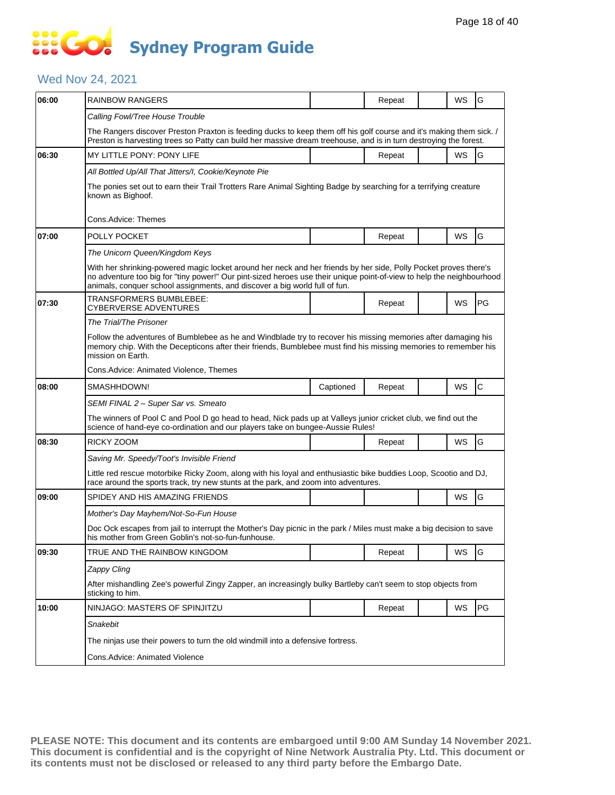### **SO GO Sydney Program Guide**

#### Wed Nov 24, 2021

| 06:00 | <b>RAINBOW RANGERS</b>                                                                                                                                                                                                                                                                                                  |           | Repeat |  | WS | G            |  |  |  |
|-------|-------------------------------------------------------------------------------------------------------------------------------------------------------------------------------------------------------------------------------------------------------------------------------------------------------------------------|-----------|--------|--|----|--------------|--|--|--|
|       | Calling Fowl/Tree House Trouble                                                                                                                                                                                                                                                                                         |           |        |  |    |              |  |  |  |
|       | The Rangers discover Preston Praxton is feeding ducks to keep them off his golf course and it's making them sick. /<br>Preston is harvesting trees so Patty can build her massive dream treehouse, and is in turn destroying the forest.                                                                                |           |        |  |    |              |  |  |  |
| 06:30 | MY LITTLE PONY: PONY LIFE                                                                                                                                                                                                                                                                                               |           | Repeat |  | WS | G            |  |  |  |
|       | All Bottled Up/All That Jitters/I, Cookie/Keynote Pie                                                                                                                                                                                                                                                                   |           |        |  |    |              |  |  |  |
|       | The ponies set out to earn their Trail Trotters Rare Animal Sighting Badge by searching for a terrifying creature<br>known as Bighoof.                                                                                                                                                                                  |           |        |  |    |              |  |  |  |
|       | Cons.Advice: Themes                                                                                                                                                                                                                                                                                                     |           |        |  |    |              |  |  |  |
| 07:00 | POLLY POCKET                                                                                                                                                                                                                                                                                                            |           | Repeat |  | WS | G            |  |  |  |
|       | The Unicorn Queen/Kingdom Keys                                                                                                                                                                                                                                                                                          |           |        |  |    |              |  |  |  |
|       | With her shrinking-powered magic locket around her neck and her friends by her side, Polly Pocket proves there's<br>no adventure too big for "tiny power!" Our pint-sized heroes use their unique point-of-view to help the neighbourhood<br>animals, conquer school assignments, and discover a big world full of fun. |           |        |  |    |              |  |  |  |
| 07:30 | TRANSFORMERS BUMBLEBEE:<br>CYBERVERSE ADVENTURES                                                                                                                                                                                                                                                                        |           | Repeat |  | WS | PG           |  |  |  |
|       | The Trial/The Prisoner                                                                                                                                                                                                                                                                                                  |           |        |  |    |              |  |  |  |
|       | Follow the adventures of Bumblebee as he and Windblade try to recover his missing memories after damaging his<br>memory chip. With the Decepticons after their friends, Bumblebee must find his missing memories to remember his<br>mission on Earth.                                                                   |           |        |  |    |              |  |  |  |
|       | Cons.Advice: Animated Violence, Themes                                                                                                                                                                                                                                                                                  |           |        |  |    |              |  |  |  |
| 08:00 | SMASHHDOWN!                                                                                                                                                                                                                                                                                                             | Captioned | Repeat |  | WS | $\mathsf{C}$ |  |  |  |
|       | SEMI FINAL 2 - Super Sar vs. Smeato                                                                                                                                                                                                                                                                                     |           |        |  |    |              |  |  |  |
|       | The winners of Pool C and Pool D go head to head, Nick pads up at Valleys junior cricket club, we find out the<br>science of hand-eye co-ordination and our players take on bungee-Aussie Rules!                                                                                                                        |           |        |  |    |              |  |  |  |
| 08:30 | RICKY ZOOM                                                                                                                                                                                                                                                                                                              |           | Repeat |  | WS | G            |  |  |  |
|       | Saving Mr. Speedy/Toot's Invisible Friend                                                                                                                                                                                                                                                                               |           |        |  |    |              |  |  |  |
|       | Little red rescue motorbike Ricky Zoom, along with his loyal and enthusiastic bike buddies Loop, Scootio and DJ,<br>race around the sports track, try new stunts at the park, and zoom into adventures.                                                                                                                 |           |        |  |    |              |  |  |  |
| 09:00 | SPIDEY AND HIS AMAZING FRIENDS                                                                                                                                                                                                                                                                                          |           |        |  | WS | G            |  |  |  |
|       | Mother's Day Mayhem/Not-So-Fun House                                                                                                                                                                                                                                                                                    |           |        |  |    |              |  |  |  |
|       | Doc Ock escapes from jail to interrupt the Mother's Day picnic in the park / Miles must make a big decision to save<br>his mother from Green Goblin's not-so-fun-funhouse.                                                                                                                                              |           |        |  |    |              |  |  |  |
| 09:30 | TRUE AND THE RAINBOW KINGDOM                                                                                                                                                                                                                                                                                            |           | Repeat |  | WS | G            |  |  |  |
|       |                                                                                                                                                                                                                                                                                                                         |           |        |  |    |              |  |  |  |
|       | Zappy Cling                                                                                                                                                                                                                                                                                                             |           |        |  |    |              |  |  |  |
|       | After mishandling Zee's powerful Zingy Zapper, an increasingly bulky Bartleby can't seem to stop objects from<br>sticking to him.                                                                                                                                                                                       |           |        |  |    |              |  |  |  |
| 10:00 | NINJAGO: MASTERS OF SPINJITZU                                                                                                                                                                                                                                                                                           |           | Repeat |  | WS | PG           |  |  |  |
|       | Snakebit                                                                                                                                                                                                                                                                                                                |           |        |  |    |              |  |  |  |
|       | The ninjas use their powers to turn the old windmill into a defensive fortress.                                                                                                                                                                                                                                         |           |        |  |    |              |  |  |  |
|       | Cons.Advice: Animated Violence                                                                                                                                                                                                                                                                                          |           |        |  |    |              |  |  |  |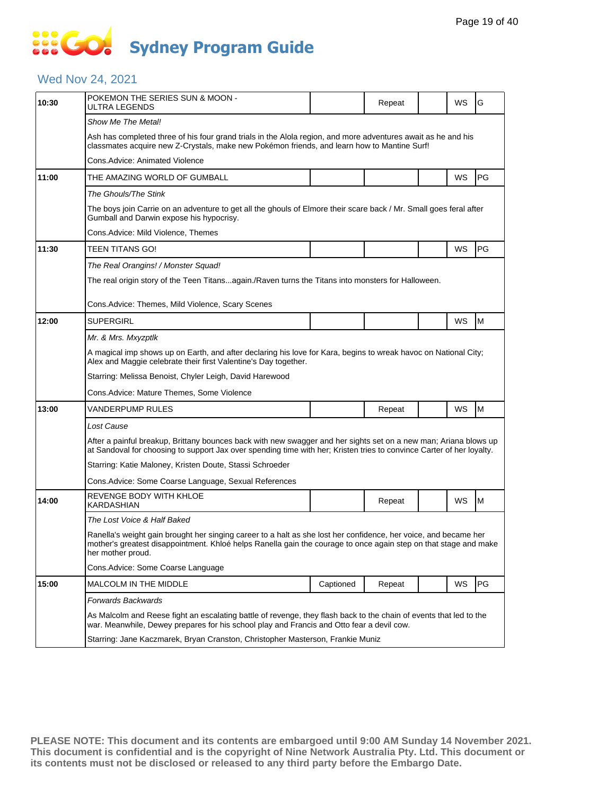# **SOCO Sydney Program Guide**

### Wed Nov 24, 2021

| 10:30 | POKEMON THE SERIES SUN & MOON -<br>ULTRA LEGENDS                                                                                                                                                                                                          |           | Repeat |  | WS | G  |  |  |  |  |
|-------|-----------------------------------------------------------------------------------------------------------------------------------------------------------------------------------------------------------------------------------------------------------|-----------|--------|--|----|----|--|--|--|--|
|       | Show Me The Metal!                                                                                                                                                                                                                                        |           |        |  |    |    |  |  |  |  |
|       | Ash has completed three of his four grand trials in the Alola region, and more adventures await as he and his<br>classmates acquire new Z-Crystals, make new Pokémon friends, and learn how to Mantine Surf!                                              |           |        |  |    |    |  |  |  |  |
|       | Cons.Advice: Animated Violence                                                                                                                                                                                                                            |           |        |  |    |    |  |  |  |  |
| 11:00 | THE AMAZING WORLD OF GUMBALL                                                                                                                                                                                                                              |           |        |  | WS | PG |  |  |  |  |
|       | The Ghouls/The Stink                                                                                                                                                                                                                                      |           |        |  |    |    |  |  |  |  |
|       | The boys join Carrie on an adventure to get all the ghouls of Elmore their scare back / Mr. Small goes feral after<br>Gumball and Darwin expose his hypocrisy.                                                                                            |           |        |  |    |    |  |  |  |  |
|       | Cons.Advice: Mild Violence, Themes                                                                                                                                                                                                                        |           |        |  |    |    |  |  |  |  |
| 11:30 | TEEN TITANS GO!                                                                                                                                                                                                                                           |           |        |  | WS | PG |  |  |  |  |
|       | The Real Orangins! / Monster Squad!                                                                                                                                                                                                                       |           |        |  |    |    |  |  |  |  |
|       | The real origin story of the Teen Titansagain./Raven turns the Titans into monsters for Halloween.                                                                                                                                                        |           |        |  |    |    |  |  |  |  |
|       | Cons.Advice: Themes, Mild Violence, Scary Scenes                                                                                                                                                                                                          |           |        |  |    |    |  |  |  |  |
| 12:00 | <b>SUPERGIRL</b>                                                                                                                                                                                                                                          |           |        |  | WS | M  |  |  |  |  |
|       | Mr. & Mrs. Mxyzptlk                                                                                                                                                                                                                                       |           |        |  |    |    |  |  |  |  |
|       | A magical imp shows up on Earth, and after declaring his love for Kara, begins to wreak havoc on National City;<br>Alex and Maggie celebrate their first Valentine's Day together.                                                                        |           |        |  |    |    |  |  |  |  |
|       | Starring: Melissa Benoist, Chyler Leigh, David Harewood                                                                                                                                                                                                   |           |        |  |    |    |  |  |  |  |
|       | Cons.Advice: Mature Themes, Some Violence                                                                                                                                                                                                                 |           |        |  |    |    |  |  |  |  |
| 13:00 | VANDERPUMP RULES                                                                                                                                                                                                                                          |           | Repeat |  | WS | M  |  |  |  |  |
|       | Lost Cause                                                                                                                                                                                                                                                |           |        |  |    |    |  |  |  |  |
|       | After a painful breakup, Brittany bounces back with new swagger and her sights set on a new man; Ariana blows up<br>at Sandoval for choosing to support Jax over spending time with her; Kristen tries to convince Carter of her loyalty.                 |           |        |  |    |    |  |  |  |  |
|       | Starring: Katie Maloney, Kristen Doute, Stassi Schroeder                                                                                                                                                                                                  |           |        |  |    |    |  |  |  |  |
|       | Cons.Advice: Some Coarse Language, Sexual References                                                                                                                                                                                                      |           |        |  |    |    |  |  |  |  |
| 14:00 | REVENGE BODY WITH KHLOE<br>KARDASHIAN                                                                                                                                                                                                                     |           | Repeat |  | WS | M  |  |  |  |  |
|       | The Lost Voice & Half Baked                                                                                                                                                                                                                               |           |        |  |    |    |  |  |  |  |
|       | Ranella's weight gain brought her singing career to a halt as she lost her confidence, her voice, and became her<br>mother's greatest disappointment. Khloé helps Ranella gain the courage to once again step on that stage and make<br>her mother proud. |           |        |  |    |    |  |  |  |  |
|       | Cons.Advice: Some Coarse Language                                                                                                                                                                                                                         |           |        |  |    |    |  |  |  |  |
| 15:00 | MALCOLM IN THE MIDDLE                                                                                                                                                                                                                                     | Captioned | Repeat |  | WS | PG |  |  |  |  |
|       | Forwards Backwards                                                                                                                                                                                                                                        |           |        |  |    |    |  |  |  |  |
|       | As Malcolm and Reese fight an escalating battle of revenge, they flash back to the chain of events that led to the<br>war. Meanwhile, Dewey prepares for his school play and Francis and Otto fear a devil cow.                                           |           |        |  |    |    |  |  |  |  |
|       | Starring: Jane Kaczmarek, Bryan Cranston, Christopher Masterson, Frankie Muniz                                                                                                                                                                            |           |        |  |    |    |  |  |  |  |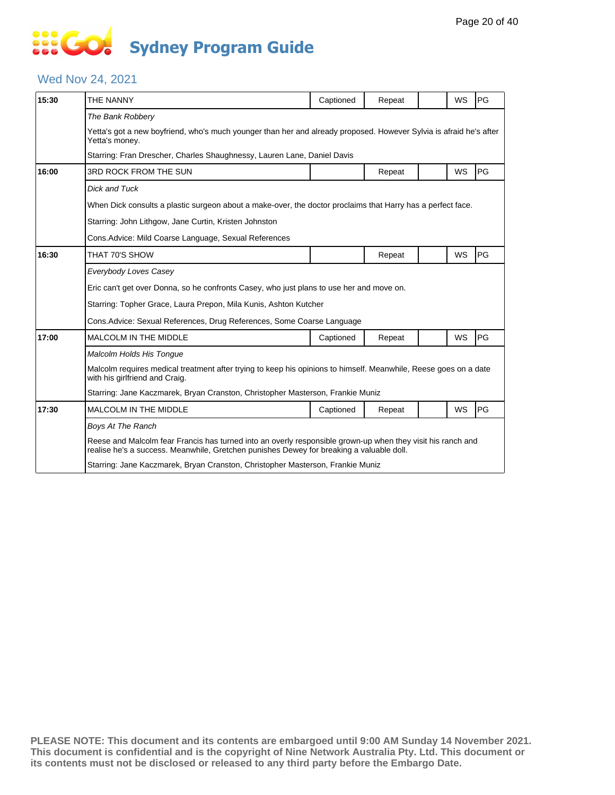# **... Go Sydney Program Guide**

### Wed Nov 24, 2021

| 15:30 | THE NANNY                                                                                                                                                                                               | Captioned                                                                                                   | Repeat |  | <b>WS</b> | PG |  |  |  |
|-------|---------------------------------------------------------------------------------------------------------------------------------------------------------------------------------------------------------|-------------------------------------------------------------------------------------------------------------|--------|--|-----------|----|--|--|--|
|       | The Bank Robbery                                                                                                                                                                                        |                                                                                                             |        |  |           |    |  |  |  |
|       | Yetta's got a new boyfriend, who's much younger than her and already proposed. However Sylvia is afraid he's after<br>Yetta's money.                                                                    |                                                                                                             |        |  |           |    |  |  |  |
|       | Starring: Fran Drescher, Charles Shaughnessy, Lauren Lane, Daniel Davis                                                                                                                                 |                                                                                                             |        |  |           |    |  |  |  |
| 16:00 | 3RD ROCK FROM THE SUN                                                                                                                                                                                   |                                                                                                             | Repeat |  | WS        | PG |  |  |  |
|       | <b>Dick and Tuck</b>                                                                                                                                                                                    |                                                                                                             |        |  |           |    |  |  |  |
|       |                                                                                                                                                                                                         | When Dick consults a plastic surgeon about a make-over, the doctor proclaims that Harry has a perfect face. |        |  |           |    |  |  |  |
|       | Starring: John Lithgow, Jane Curtin, Kristen Johnston                                                                                                                                                   |                                                                                                             |        |  |           |    |  |  |  |
|       | Cons. Advice: Mild Coarse Language, Sexual References                                                                                                                                                   |                                                                                                             |        |  |           |    |  |  |  |
| 16:30 | THAT 70'S SHOW                                                                                                                                                                                          |                                                                                                             | Repeat |  | WS        | PG |  |  |  |
|       | Everybody Loves Casey                                                                                                                                                                                   |                                                                                                             |        |  |           |    |  |  |  |
|       | Eric can't get over Donna, so he confronts Casey, who just plans to use her and move on.                                                                                                                |                                                                                                             |        |  |           |    |  |  |  |
|       | Starring: Topher Grace, Laura Prepon, Mila Kunis, Ashton Kutcher                                                                                                                                        |                                                                                                             |        |  |           |    |  |  |  |
|       | Cons.Advice: Sexual References, Drug References, Some Coarse Language                                                                                                                                   |                                                                                                             |        |  |           |    |  |  |  |
| 17:00 | <b>MALCOLM IN THE MIDDLE</b>                                                                                                                                                                            | Captioned                                                                                                   | Repeat |  | WS        | PG |  |  |  |
|       | Malcolm Holds His Tongue                                                                                                                                                                                |                                                                                                             |        |  |           |    |  |  |  |
|       | Malcolm requires medical treatment after trying to keep his opinions to himself. Meanwhile, Reese goes on a date<br>with his girlfriend and Craig.                                                      |                                                                                                             |        |  |           |    |  |  |  |
|       | Starring: Jane Kaczmarek, Bryan Cranston, Christopher Masterson, Frankie Muniz                                                                                                                          |                                                                                                             |        |  |           |    |  |  |  |
| 17:30 | <b>MALCOLM IN THE MIDDLE</b>                                                                                                                                                                            | Captioned                                                                                                   | Repeat |  | WS        | PG |  |  |  |
|       | <b>Boys At The Ranch</b>                                                                                                                                                                                |                                                                                                             |        |  |           |    |  |  |  |
|       | Reese and Malcolm fear Francis has turned into an overly responsible grown-up when they visit his ranch and<br>realise he's a success. Meanwhile, Gretchen punishes Dewey for breaking a valuable doll. |                                                                                                             |        |  |           |    |  |  |  |
|       | Starring: Jane Kaczmarek, Bryan Cranston, Christopher Masterson, Frankie Muniz                                                                                                                          |                                                                                                             |        |  |           |    |  |  |  |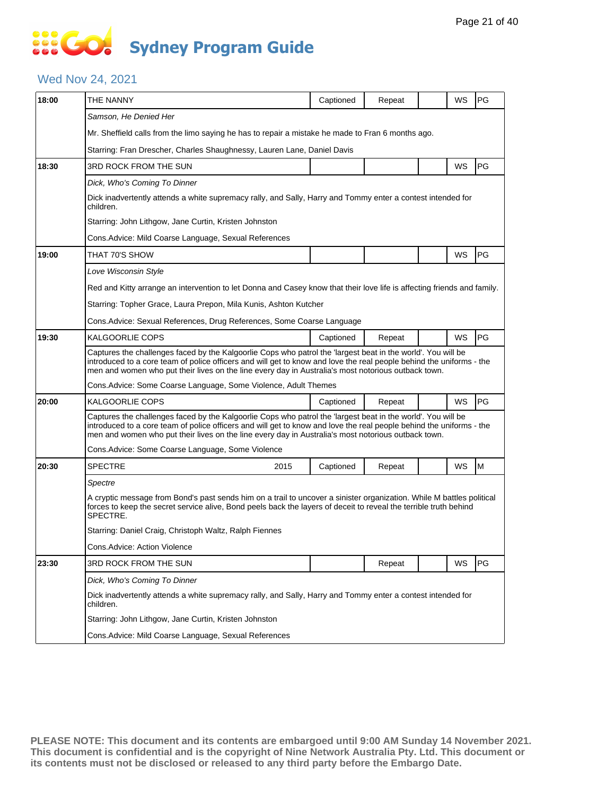# **SOCO Sydney Program Guide**

### Wed Nov 24, 2021

| 18:00 | THE NANNY                                                                                                                                                                                                                                                                                                                                   | Captioned | Repeat |  | WS | PG        |  |  |  |
|-------|---------------------------------------------------------------------------------------------------------------------------------------------------------------------------------------------------------------------------------------------------------------------------------------------------------------------------------------------|-----------|--------|--|----|-----------|--|--|--|
|       | Samson, He Denied Her                                                                                                                                                                                                                                                                                                                       |           |        |  |    |           |  |  |  |
|       | Mr. Sheffield calls from the limo saying he has to repair a mistake he made to Fran 6 months ago.                                                                                                                                                                                                                                           |           |        |  |    |           |  |  |  |
|       | Starring: Fran Drescher, Charles Shaughnessy, Lauren Lane, Daniel Davis                                                                                                                                                                                                                                                                     |           |        |  |    |           |  |  |  |
| 18:30 | <b>3RD ROCK FROM THE SUN</b>                                                                                                                                                                                                                                                                                                                |           |        |  | WS | PG        |  |  |  |
|       | Dick, Who's Coming To Dinner                                                                                                                                                                                                                                                                                                                |           |        |  |    |           |  |  |  |
|       | Dick inadvertently attends a white supremacy rally, and Sally, Harry and Tommy enter a contest intended for<br>children.                                                                                                                                                                                                                    |           |        |  |    |           |  |  |  |
|       | Starring: John Lithgow, Jane Curtin, Kristen Johnston                                                                                                                                                                                                                                                                                       |           |        |  |    |           |  |  |  |
|       | Cons.Advice: Mild Coarse Language, Sexual References                                                                                                                                                                                                                                                                                        |           |        |  |    |           |  |  |  |
| 19:00 | THAT 70'S SHOW                                                                                                                                                                                                                                                                                                                              |           |        |  | WS | <b>PG</b> |  |  |  |
|       | Love Wisconsin Style                                                                                                                                                                                                                                                                                                                        |           |        |  |    |           |  |  |  |
|       | Red and Kitty arrange an intervention to let Donna and Casey know that their love life is affecting friends and family.                                                                                                                                                                                                                     |           |        |  |    |           |  |  |  |
|       | Starring: Topher Grace, Laura Prepon, Mila Kunis, Ashton Kutcher                                                                                                                                                                                                                                                                            |           |        |  |    |           |  |  |  |
|       | Cons. Advice: Sexual References, Drug References, Some Coarse Language                                                                                                                                                                                                                                                                      |           |        |  |    |           |  |  |  |
| 19:30 | KALGOORLIE COPS                                                                                                                                                                                                                                                                                                                             | Captioned | Repeat |  | WS | PG        |  |  |  |
|       | Captures the challenges faced by the Kalgoorlie Cops who patrol the 'largest beat in the world'. You will be<br>introduced to a core team of police officers and will get to know and love the real people behind the uniforms - the<br>men and women who put their lives on the line every day in Australia's most notorious outback town. |           |        |  |    |           |  |  |  |
|       | Cons. Advice: Some Coarse Language, Some Violence, Adult Themes                                                                                                                                                                                                                                                                             |           |        |  |    |           |  |  |  |
| 20:00 | KALGOORLIE COPS                                                                                                                                                                                                                                                                                                                             | Captioned | Repeat |  | WS | PG        |  |  |  |
|       | Captures the challenges faced by the Kalgoorlie Cops who patrol the 'largest beat in the world'. You will be<br>introduced to a core team of police officers and will get to know and love the real people behind the uniforms - the<br>men and women who put their lives on the line every day in Australia's most notorious outback town. |           |        |  |    |           |  |  |  |
|       | Cons. Advice: Some Coarse Language, Some Violence                                                                                                                                                                                                                                                                                           |           |        |  |    |           |  |  |  |
| 20:30 | <b>SPECTRE</b><br>2015                                                                                                                                                                                                                                                                                                                      | Captioned | Repeat |  | WS | M         |  |  |  |
|       | Spectre                                                                                                                                                                                                                                                                                                                                     |           |        |  |    |           |  |  |  |
|       | A cryptic message from Bond's past sends him on a trail to uncover a sinister organization. While M battles political<br>forces to keep the secret service alive, Bond peels back the layers of deceit to reveal the terrible truth behind<br>SPECTRE.                                                                                      |           |        |  |    |           |  |  |  |
|       | Starring: Daniel Craig, Christoph Waltz, Ralph Fiennes                                                                                                                                                                                                                                                                                      |           |        |  |    |           |  |  |  |
|       | Cons.Advice: Action Violence                                                                                                                                                                                                                                                                                                                |           |        |  |    |           |  |  |  |
| 23:30 | 3RD ROCK FROM THE SUN                                                                                                                                                                                                                                                                                                                       |           | Repeat |  | WS | PG        |  |  |  |
|       | Dick, Who's Coming To Dinner                                                                                                                                                                                                                                                                                                                |           |        |  |    |           |  |  |  |
|       | Dick inadvertently attends a white supremacy rally, and Sally, Harry and Tommy enter a contest intended for<br>children.                                                                                                                                                                                                                    |           |        |  |    |           |  |  |  |
|       | Starring: John Lithgow, Jane Curtin, Kristen Johnston                                                                                                                                                                                                                                                                                       |           |        |  |    |           |  |  |  |
|       | Cons. Advice: Mild Coarse Language, Sexual References                                                                                                                                                                                                                                                                                       |           |        |  |    |           |  |  |  |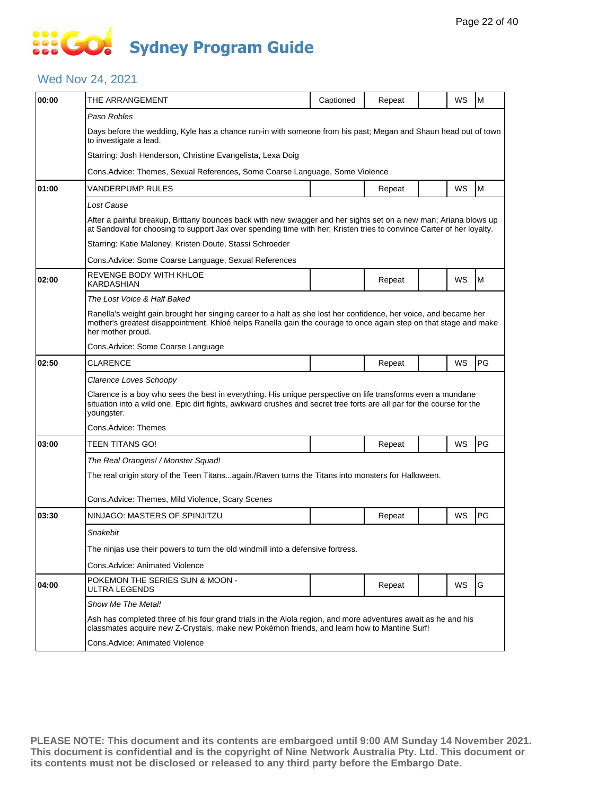# **SO GO Sydney Program Guide**

#### Wed Nov 24, 2021

| 00:00 | THE ARRANGEMENT                                                                                                                                                                                                                                           | Captioned | Repeat |  | WS | M  |  |  |  |
|-------|-----------------------------------------------------------------------------------------------------------------------------------------------------------------------------------------------------------------------------------------------------------|-----------|--------|--|----|----|--|--|--|
|       | Paso Robles                                                                                                                                                                                                                                               |           |        |  |    |    |  |  |  |
|       | Days before the wedding, Kyle has a chance run-in with someone from his past; Megan and Shaun head out of town<br>to investigate a lead.                                                                                                                  |           |        |  |    |    |  |  |  |
|       | Starring: Josh Henderson, Christine Evangelista, Lexa Doig                                                                                                                                                                                                |           |        |  |    |    |  |  |  |
|       | Cons. Advice: Themes, Sexual References, Some Coarse Language, Some Violence                                                                                                                                                                              |           |        |  |    |    |  |  |  |
| 01:00 | VANDERPUMP RULES                                                                                                                                                                                                                                          |           | Repeat |  | WS | M  |  |  |  |
|       | Lost Cause                                                                                                                                                                                                                                                |           |        |  |    |    |  |  |  |
|       | After a painful breakup, Brittany bounces back with new swagger and her sights set on a new man; Ariana blows up<br>at Sandoval for choosing to support Jax over spending time with her; Kristen tries to convince Carter of her loyalty.                 |           |        |  |    |    |  |  |  |
|       | Starring: Katie Maloney, Kristen Doute, Stassi Schroeder                                                                                                                                                                                                  |           |        |  |    |    |  |  |  |
|       | Cons.Advice: Some Coarse Language, Sexual References                                                                                                                                                                                                      |           |        |  |    |    |  |  |  |
| 02:00 | REVENGE BODY WITH KHLOE<br>KARDASHIAN                                                                                                                                                                                                                     |           | Repeat |  | WS | M  |  |  |  |
|       | The Lost Voice & Half Baked                                                                                                                                                                                                                               |           |        |  |    |    |  |  |  |
|       | Ranella's weight gain brought her singing career to a halt as she lost her confidence, her voice, and became her<br>mother's greatest disappointment. Khloé helps Ranella gain the courage to once again step on that stage and make<br>her mother proud. |           |        |  |    |    |  |  |  |
|       | Cons.Advice: Some Coarse Language                                                                                                                                                                                                                         |           |        |  |    |    |  |  |  |
| 02:50 | <b>CLARENCE</b>                                                                                                                                                                                                                                           |           | Repeat |  | WS | PG |  |  |  |
|       | Clarence Loves Schoopy                                                                                                                                                                                                                                    |           |        |  |    |    |  |  |  |
|       | Clarence is a boy who sees the best in everything. His unique perspective on life transforms even a mundane<br>situation into a wild one. Epic dirt fights, awkward crushes and secret tree forts are all par for the course for the<br>youngster.        |           |        |  |    |    |  |  |  |
|       | Cons.Advice: Themes                                                                                                                                                                                                                                       |           |        |  |    |    |  |  |  |
| 03:00 | TEEN TITANS GO!                                                                                                                                                                                                                                           |           | Repeat |  | WS | PG |  |  |  |
|       | The Real Orangins! / Monster Squad!                                                                                                                                                                                                                       |           |        |  |    |    |  |  |  |
|       | The real origin story of the Teen Titansagain./Raven turns the Titans into monsters for Halloween.                                                                                                                                                        |           |        |  |    |    |  |  |  |
|       | Cons.Advice: Themes, Mild Violence, Scary Scenes                                                                                                                                                                                                          |           |        |  |    |    |  |  |  |
| 03:30 | NINJAGO: MASTERS OF SPINJITZU                                                                                                                                                                                                                             |           | Repeat |  | WS | PG |  |  |  |
|       | Snakebit                                                                                                                                                                                                                                                  |           |        |  |    |    |  |  |  |
|       | The ninjas use their powers to turn the old windmill into a defensive fortress.                                                                                                                                                                           |           |        |  |    |    |  |  |  |
|       | Cons.Advice: Animated Violence                                                                                                                                                                                                                            |           |        |  |    |    |  |  |  |
| 04:00 | POKEMON THE SERIES SUN & MOON -<br><b>ULTRA LEGENDS</b>                                                                                                                                                                                                   |           | Repeat |  | WS | G  |  |  |  |
|       | Show Me The Metal!                                                                                                                                                                                                                                        |           |        |  |    |    |  |  |  |
|       | Ash has completed three of his four grand trials in the Alola region, and more adventures await as he and his<br>classmates acquire new Z-Crystals, make new Pokémon friends, and learn how to Mantine Surf!                                              |           |        |  |    |    |  |  |  |
|       | Cons.Advice: Animated Violence                                                                                                                                                                                                                            |           |        |  |    |    |  |  |  |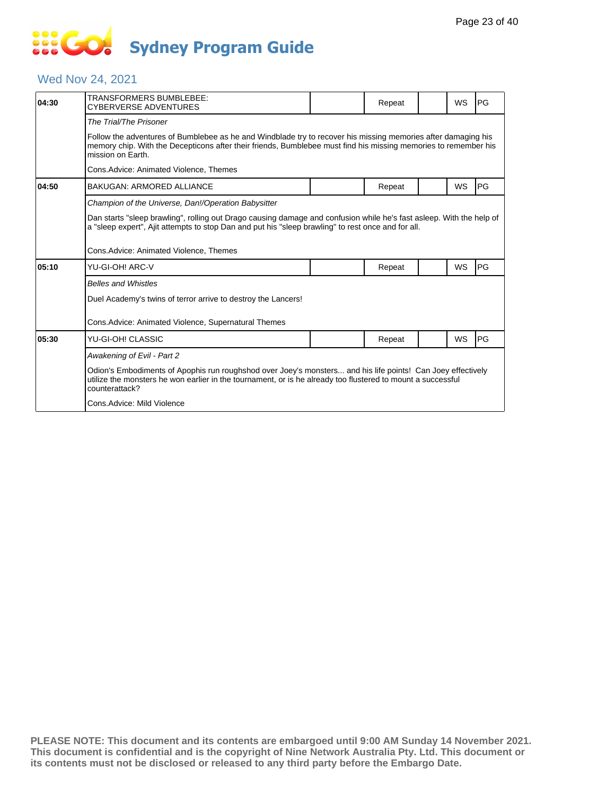# **... Go Sydney Program Guide**

### Wed Nov 24, 2021

| 04:30 | TRANSFORMERS BUMBLEBEE:<br>CYBERVERSE ADVENTURES                                                                                                                                                                                                      |  | Repeat |  | <b>WS</b> | PG         |  |  |  |
|-------|-------------------------------------------------------------------------------------------------------------------------------------------------------------------------------------------------------------------------------------------------------|--|--------|--|-----------|------------|--|--|--|
|       | The Trial/The Prisoner                                                                                                                                                                                                                                |  |        |  |           |            |  |  |  |
|       | Follow the adventures of Bumblebee as he and Windblade try to recover his missing memories after damaging his<br>memory chip. With the Decepticons after their friends, Bumblebee must find his missing memories to remember his<br>mission on Earth. |  |        |  |           |            |  |  |  |
|       | Cons.Advice: Animated Violence, Themes                                                                                                                                                                                                                |  |        |  |           |            |  |  |  |
| 04:50 | BAKUGAN: ARMORED ALLIANCE                                                                                                                                                                                                                             |  | Repeat |  | WS        | <b>IPG</b> |  |  |  |
|       | Champion of the Universe, Dan!/Operation Babysitter                                                                                                                                                                                                   |  |        |  |           |            |  |  |  |
|       | Dan starts "sleep brawling", rolling out Drago causing damage and confusion while he's fast asleep. With the help of<br>a "sleep expert", Ajit attempts to stop Dan and put his "sleep brawling" to rest once and for all.                            |  |        |  |           |            |  |  |  |
|       | Cons.Advice: Animated Violence, Themes                                                                                                                                                                                                                |  |        |  |           |            |  |  |  |
| 05:10 | YU-GI-OH! ARC-V                                                                                                                                                                                                                                       |  | Repeat |  | WS        | PG         |  |  |  |
|       | <b>Belles and Whistles</b>                                                                                                                                                                                                                            |  |        |  |           |            |  |  |  |
|       | Duel Academy's twins of terror arrive to destroy the Lancers!                                                                                                                                                                                         |  |        |  |           |            |  |  |  |
|       | Cons. Advice: Animated Violence, Supernatural Themes                                                                                                                                                                                                  |  |        |  |           |            |  |  |  |
| 05:30 | YU-GI-OH! CLASSIC                                                                                                                                                                                                                                     |  | Repeat |  | <b>WS</b> | PG         |  |  |  |
|       | Awakening of Evil - Part 2                                                                                                                                                                                                                            |  |        |  |           |            |  |  |  |
|       | Odion's Embodiments of Apophis run roughshod over Joey's monsters and his life points! Can Joey effectively<br>utilize the monsters he won earlier in the tournament, or is he already too flustered to mount a successful<br>counterattack?          |  |        |  |           |            |  |  |  |
|       | Cons.Advice: Mild Violence                                                                                                                                                                                                                            |  |        |  |           |            |  |  |  |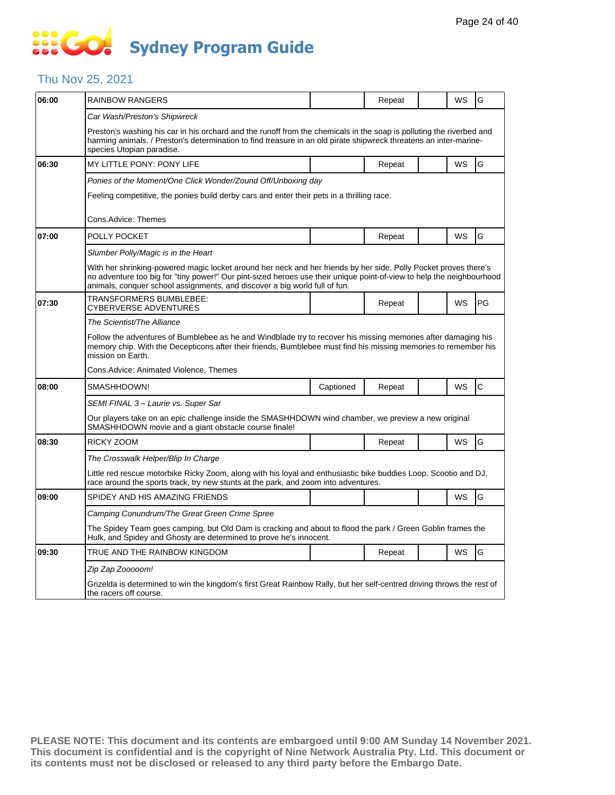# **SIS GO Sydney Program Guide**

#### Thu Nov 25, 2021

| 06:00 | RAINBOW RANGERS                                                                                                                                                                                                                                                                                                         |                                                                                            | Repeat |  | WS | G            |  |  |  |
|-------|-------------------------------------------------------------------------------------------------------------------------------------------------------------------------------------------------------------------------------------------------------------------------------------------------------------------------|--------------------------------------------------------------------------------------------|--------|--|----|--------------|--|--|--|
|       | Car Wash/Preston's Shipwreck                                                                                                                                                                                                                                                                                            |                                                                                            |        |  |    |              |  |  |  |
|       | Preston's washing his car in his orchard and the runoff from the chemicals in the soap is polluting the riverbed and<br>harming animals. / Preston's determination to find treasure in an old pirate shipwreck threatens an inter-marine-<br>species Utopian paradise.                                                  |                                                                                            |        |  |    |              |  |  |  |
| 06:30 | MY LITTLE PONY: PONY LIFE                                                                                                                                                                                                                                                                                               |                                                                                            | Repeat |  | WS | G            |  |  |  |
|       | Ponies of the Moment/One Click Wonder/Zound Off/Unboxing day                                                                                                                                                                                                                                                            |                                                                                            |        |  |    |              |  |  |  |
|       |                                                                                                                                                                                                                                                                                                                         | Feeling competitive, the ponies build derby cars and enter their pets in a thrilling race. |        |  |    |              |  |  |  |
|       | Cons.Advice: Themes                                                                                                                                                                                                                                                                                                     |                                                                                            |        |  |    |              |  |  |  |
| 07:00 | POLLY POCKET                                                                                                                                                                                                                                                                                                            |                                                                                            | Repeat |  | WS | G            |  |  |  |
|       | Slumber Polly/Magic is in the Heart                                                                                                                                                                                                                                                                                     |                                                                                            |        |  |    |              |  |  |  |
|       | With her shrinking-powered magic locket around her neck and her friends by her side, Polly Pocket proves there's<br>no adventure too big for "tiny power!" Our pint-sized heroes use their unique point-of-view to help the neighbourhood<br>animals, conquer school assignments, and discover a big world full of fun. |                                                                                            |        |  |    |              |  |  |  |
| 07:30 | TRANSFORMERS BUMBLEBEE:<br>CYBERVERSE ADVENTURES                                                                                                                                                                                                                                                                        |                                                                                            | Repeat |  | WS | PG           |  |  |  |
|       | The Scientist/The Alliance                                                                                                                                                                                                                                                                                              |                                                                                            |        |  |    |              |  |  |  |
|       | Follow the adventures of Bumblebee as he and Windblade try to recover his missing memories after damaging his<br>memory chip. With the Decepticons after their friends, Bumblebee must find his missing memories to remember his<br>mission on Earth.                                                                   |                                                                                            |        |  |    |              |  |  |  |
|       | Cons. Advice: Animated Violence, Themes                                                                                                                                                                                                                                                                                 |                                                                                            |        |  |    |              |  |  |  |
| 08:00 | SMASHHDOWN!                                                                                                                                                                                                                                                                                                             | Captioned                                                                                  | Repeat |  | WS | $\mathsf{C}$ |  |  |  |
|       | SEMI FINAL 3 - Laurie vs. Super Sar                                                                                                                                                                                                                                                                                     |                                                                                            |        |  |    |              |  |  |  |
|       | Our players take on an epic challenge inside the SMASHHDOWN wind chamber, we preview a new original<br>SMASHHDOWN movie and a giant obstacle course finale!                                                                                                                                                             |                                                                                            |        |  |    |              |  |  |  |
| 08:30 | RICKY ZOOM                                                                                                                                                                                                                                                                                                              |                                                                                            | Repeat |  | WS | G            |  |  |  |
|       | The Crosswalk Helper/Blip In Charge                                                                                                                                                                                                                                                                                     |                                                                                            |        |  |    |              |  |  |  |
|       | Little red rescue motorbike Ricky Zoom, along with his loyal and enthusiastic bike buddies Loop, Scootio and DJ,<br>race around the sports track, try new stunts at the park, and zoom into adventures.                                                                                                                 |                                                                                            |        |  |    |              |  |  |  |
| 09:00 | SPIDEY AND HIS AMAZING FRIENDS                                                                                                                                                                                                                                                                                          |                                                                                            |        |  | WS | G            |  |  |  |
|       | Camping Conundrum/The Great Green Crime Spree                                                                                                                                                                                                                                                                           |                                                                                            |        |  |    |              |  |  |  |
|       | The Spidey Team goes camping, but Old Dam is cracking and about to flood the park / Green Goblin frames the<br>Hulk, and Spidey and Ghosty are determined to prove he's innocent.                                                                                                                                       |                                                                                            |        |  |    |              |  |  |  |
| 09:30 | TRUE AND THE RAINBOW KINGDOM                                                                                                                                                                                                                                                                                            |                                                                                            | Repeat |  | WS | G            |  |  |  |
|       | Zip Zap Zooooom!                                                                                                                                                                                                                                                                                                        |                                                                                            |        |  |    |              |  |  |  |
|       | Grizelda is determined to win the kingdom's first Great Rainbow Rally, but her self-centred driving throws the rest of<br>the racers off course.                                                                                                                                                                        |                                                                                            |        |  |    |              |  |  |  |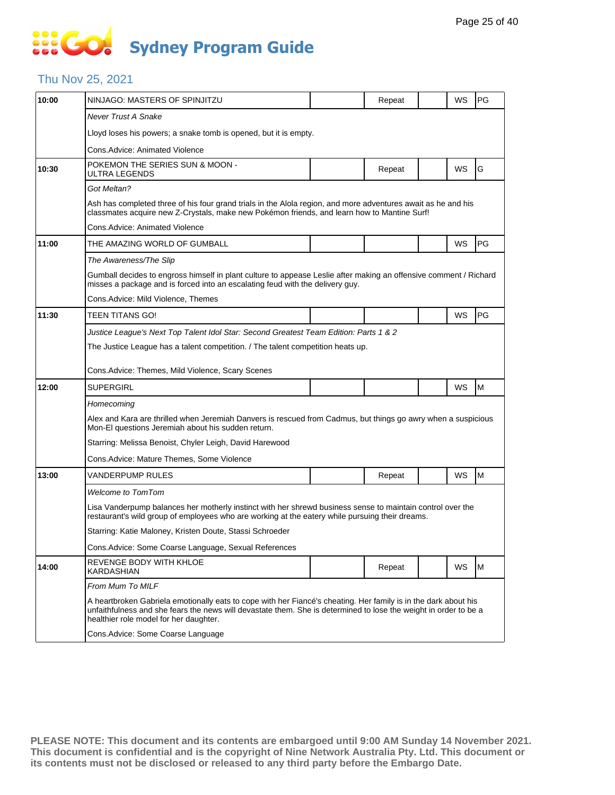# 888 **Sydney Program Guide**

#### Thu Nov 25, 2021

| 10:00 | NINJAGO: MASTERS OF SPINJITZU                                                                                                                                                                                                                                                 |  | Repeat |  | WS        | PG |  |  |  |
|-------|-------------------------------------------------------------------------------------------------------------------------------------------------------------------------------------------------------------------------------------------------------------------------------|--|--------|--|-----------|----|--|--|--|
|       | <b>Never Trust A Snake</b>                                                                                                                                                                                                                                                    |  |        |  |           |    |  |  |  |
|       | Lloyd loses his powers; a snake tomb is opened, but it is empty.                                                                                                                                                                                                              |  |        |  |           |    |  |  |  |
|       | Cons. Advice: Animated Violence                                                                                                                                                                                                                                               |  |        |  |           |    |  |  |  |
| 10:30 | POKEMON THE SERIES SUN & MOON -<br>ULTRA LEGENDS                                                                                                                                                                                                                              |  | Repeat |  | WS        | G  |  |  |  |
|       | Got Meltan?                                                                                                                                                                                                                                                                   |  |        |  |           |    |  |  |  |
|       | Ash has completed three of his four grand trials in the Alola region, and more adventures await as he and his<br>classmates acquire new Z-Crystals, make new Pokémon friends, and learn how to Mantine Surf!                                                                  |  |        |  |           |    |  |  |  |
|       | Cons.Advice: Animated Violence                                                                                                                                                                                                                                                |  |        |  |           |    |  |  |  |
| 11:00 | THE AMAZING WORLD OF GUMBALL                                                                                                                                                                                                                                                  |  |        |  | WS        | PG |  |  |  |
|       | The Awareness/The Slip                                                                                                                                                                                                                                                        |  |        |  |           |    |  |  |  |
|       | Gumball decides to engross himself in plant culture to appease Leslie after making an offensive comment / Richard<br>misses a package and is forced into an escalating feud with the delivery guy.                                                                            |  |        |  |           |    |  |  |  |
|       | Cons.Advice: Mild Violence, Themes                                                                                                                                                                                                                                            |  |        |  |           |    |  |  |  |
| 11:30 | TEEN TITANS GO!                                                                                                                                                                                                                                                               |  |        |  | <b>WS</b> | PG |  |  |  |
|       | Justice League's Next Top Talent Idol Star: Second Greatest Team Edition: Parts 1 & 2                                                                                                                                                                                         |  |        |  |           |    |  |  |  |
|       | The Justice League has a talent competition. / The talent competition heats up.                                                                                                                                                                                               |  |        |  |           |    |  |  |  |
|       | Cons. Advice: Themes, Mild Violence, Scary Scenes                                                                                                                                                                                                                             |  |        |  |           |    |  |  |  |
| 12:00 | <b>SUPERGIRL</b>                                                                                                                                                                                                                                                              |  |        |  | WS        | M  |  |  |  |
|       | Homecoming                                                                                                                                                                                                                                                                    |  |        |  |           |    |  |  |  |
|       | Alex and Kara are thrilled when Jeremiah Danvers is rescued from Cadmus, but things go awry when a suspicious<br>Mon-El questions Jeremiah about his sudden return.                                                                                                           |  |        |  |           |    |  |  |  |
|       | Starring: Melissa Benoist, Chyler Leigh, David Harewood                                                                                                                                                                                                                       |  |        |  |           |    |  |  |  |
|       | Cons.Advice: Mature Themes, Some Violence                                                                                                                                                                                                                                     |  |        |  |           |    |  |  |  |
| 13:00 | VANDERPUMP RULES                                                                                                                                                                                                                                                              |  | Repeat |  | WS        | M  |  |  |  |
|       | <b>Welcome to TomTom</b>                                                                                                                                                                                                                                                      |  |        |  |           |    |  |  |  |
|       | Lisa Vanderpump balances her motherly instinct with her shrewd business sense to maintain control over the<br>restaurant's wild group of employees who are working at the eatery while pursuing their dreams.                                                                 |  |        |  |           |    |  |  |  |
|       | Starring: Katie Maloney, Kristen Doute, Stassi Schroeder                                                                                                                                                                                                                      |  |        |  |           |    |  |  |  |
|       | Cons. Advice: Some Coarse Language, Sexual References                                                                                                                                                                                                                         |  |        |  |           |    |  |  |  |
| 14:00 | REVENGE BODY WITH KHLOE<br>KARDASHIAN                                                                                                                                                                                                                                         |  | Repeat |  | WS        | M  |  |  |  |
|       | From Mum To MILF                                                                                                                                                                                                                                                              |  |        |  |           |    |  |  |  |
|       | A heartbroken Gabriela emotionally eats to cope with her Fiancé's cheating. Her family is in the dark about his<br>unfaithfulness and she fears the news will devastate them. She is determined to lose the weight in order to be a<br>healthier role model for her daughter. |  |        |  |           |    |  |  |  |
|       | Cons.Advice: Some Coarse Language                                                                                                                                                                                                                                             |  |        |  |           |    |  |  |  |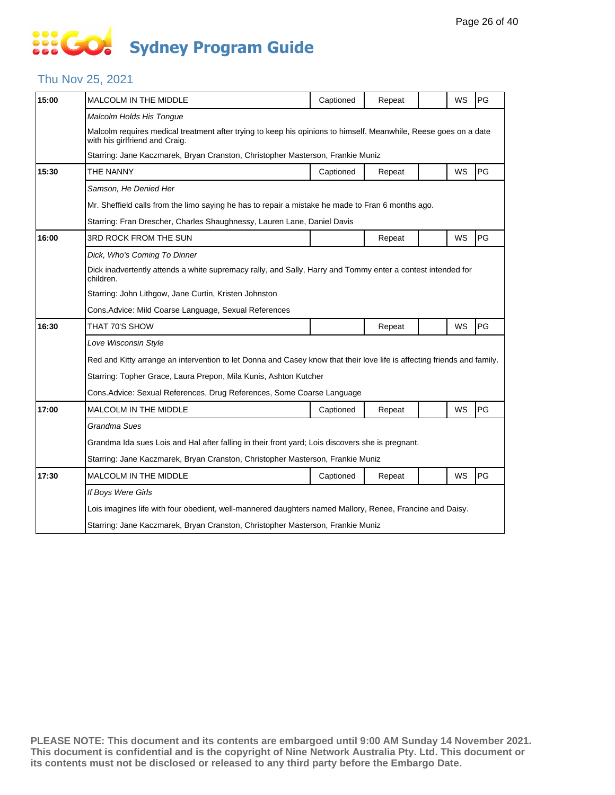# **SOCOL Sydney Program Guide**

### Thu Nov 25, 2021

| 15:00 | MALCOLM IN THE MIDDLE                                                                                                                              | Captioned | Repeat |  | WS        | PG |  |  |
|-------|----------------------------------------------------------------------------------------------------------------------------------------------------|-----------|--------|--|-----------|----|--|--|
|       | Malcolm Holds His Tongue                                                                                                                           |           |        |  |           |    |  |  |
|       | Malcolm requires medical treatment after trying to keep his opinions to himself. Meanwhile, Reese goes on a date<br>with his girlfriend and Craig. |           |        |  |           |    |  |  |
|       | Starring: Jane Kaczmarek, Bryan Cranston, Christopher Masterson, Frankie Muniz                                                                     |           |        |  |           |    |  |  |
| 15:30 | THE NANNY                                                                                                                                          | Captioned | Repeat |  | <b>WS</b> | PG |  |  |
|       | Samson, He Denied Her                                                                                                                              |           |        |  |           |    |  |  |
|       | Mr. Sheffield calls from the limo saying he has to repair a mistake he made to Fran 6 months ago.                                                  |           |        |  |           |    |  |  |
|       | Starring: Fran Drescher, Charles Shaughnessy, Lauren Lane, Daniel Davis                                                                            |           |        |  |           |    |  |  |
| 16:00 | 3RD ROCK FROM THE SUN                                                                                                                              |           | Repeat |  | WS        | PG |  |  |
|       | Dick, Who's Coming To Dinner                                                                                                                       |           |        |  |           |    |  |  |
|       | Dick inadvertently attends a white supremacy rally, and Sally, Harry and Tommy enter a contest intended for<br>children.                           |           |        |  |           |    |  |  |
|       | Starring: John Lithgow, Jane Curtin, Kristen Johnston                                                                                              |           |        |  |           |    |  |  |
|       | Cons. Advice: Mild Coarse Language, Sexual References                                                                                              |           |        |  |           |    |  |  |
| 16:30 | THAT 70'S SHOW                                                                                                                                     |           | Repeat |  | <b>WS</b> | PG |  |  |
|       | Love Wisconsin Style                                                                                                                               |           |        |  |           |    |  |  |
|       | Red and Kitty arrange an intervention to let Donna and Casey know that their love life is affecting friends and family.                            |           |        |  |           |    |  |  |
|       | Starring: Topher Grace, Laura Prepon, Mila Kunis, Ashton Kutcher                                                                                   |           |        |  |           |    |  |  |
|       | Cons. Advice: Sexual References, Drug References, Some Coarse Language                                                                             |           |        |  |           |    |  |  |
| 17:00 | MALCOLM IN THE MIDDLE                                                                                                                              | Captioned | Repeat |  | <b>WS</b> | PG |  |  |
|       | Grandma Sues                                                                                                                                       |           |        |  |           |    |  |  |
|       | Grandma Ida sues Lois and Hal after falling in their front yard; Lois discovers she is pregnant.                                                   |           |        |  |           |    |  |  |
|       | Starring: Jane Kaczmarek, Bryan Cranston, Christopher Masterson, Frankie Muniz                                                                     |           |        |  |           |    |  |  |
| 17:30 | MALCOLM IN THE MIDDLE                                                                                                                              | Captioned | Repeat |  | WS        | PG |  |  |
|       | If Boys Were Girls                                                                                                                                 |           |        |  |           |    |  |  |
|       | Lois imagines life with four obedient, well-mannered daughters named Mallory, Renee, Francine and Daisy.                                           |           |        |  |           |    |  |  |
|       | Starring: Jane Kaczmarek, Bryan Cranston, Christopher Masterson, Frankie Muniz                                                                     |           |        |  |           |    |  |  |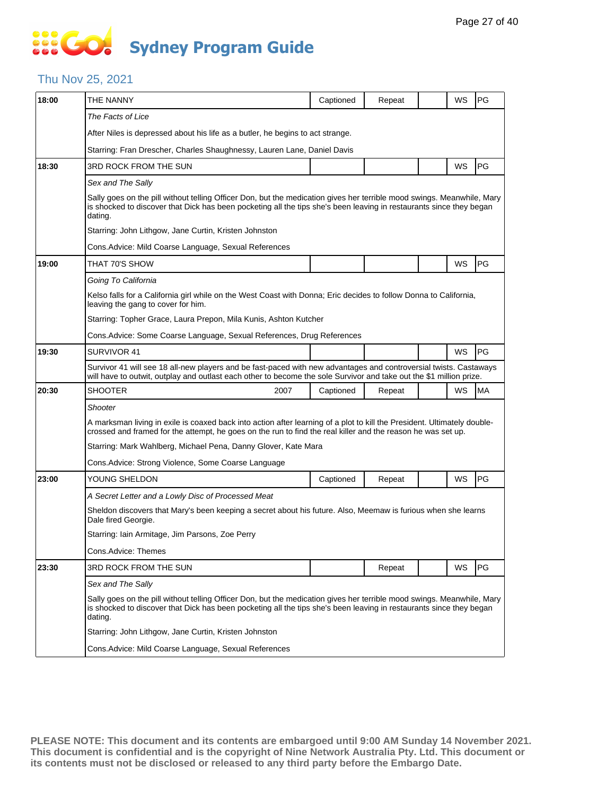# 888 **Sydney Program Guide**

#### Thu Nov 25, 2021

| 18:00 | THE NANNY                                                                                                                                                                                                                                                | Captioned                                                                                                                                                                                                                                     | Repeat |  | WS | <b>PG</b> |  |  |
|-------|----------------------------------------------------------------------------------------------------------------------------------------------------------------------------------------------------------------------------------------------------------|-----------------------------------------------------------------------------------------------------------------------------------------------------------------------------------------------------------------------------------------------|--------|--|----|-----------|--|--|
|       | The Facts of Lice                                                                                                                                                                                                                                        |                                                                                                                                                                                                                                               |        |  |    |           |  |  |
|       | After Niles is depressed about his life as a butler, he begins to act strange.                                                                                                                                                                           |                                                                                                                                                                                                                                               |        |  |    |           |  |  |
|       | Starring: Fran Drescher, Charles Shaughnessy, Lauren Lane, Daniel Davis                                                                                                                                                                                  |                                                                                                                                                                                                                                               |        |  |    |           |  |  |
| 18:30 | 3RD ROCK FROM THE SUN                                                                                                                                                                                                                                    |                                                                                                                                                                                                                                               |        |  | WS | <b>PG</b> |  |  |
|       | Sex and The Sally                                                                                                                                                                                                                                        |                                                                                                                                                                                                                                               |        |  |    |           |  |  |
|       | Sally goes on the pill without telling Officer Don, but the medication gives her terrible mood swings. Meanwhile, Mary<br>is shocked to discover that Dick has been pocketing all the tips she's been leaving in restaurants since they began<br>dating. |                                                                                                                                                                                                                                               |        |  |    |           |  |  |
|       | Starring: John Lithgow, Jane Curtin, Kristen Johnston                                                                                                                                                                                                    |                                                                                                                                                                                                                                               |        |  |    |           |  |  |
|       | Cons.Advice: Mild Coarse Language, Sexual References                                                                                                                                                                                                     |                                                                                                                                                                                                                                               |        |  |    |           |  |  |
| 19:00 | THAT 70'S SHOW                                                                                                                                                                                                                                           |                                                                                                                                                                                                                                               |        |  | WS | PG        |  |  |
|       | Going To California                                                                                                                                                                                                                                      |                                                                                                                                                                                                                                               |        |  |    |           |  |  |
|       | Kelso falls for a California girl while on the West Coast with Donna; Eric decides to follow Donna to California,<br>leaving the gang to cover for him.                                                                                                  |                                                                                                                                                                                                                                               |        |  |    |           |  |  |
|       | Starring: Topher Grace, Laura Prepon, Mila Kunis, Ashton Kutcher                                                                                                                                                                                         |                                                                                                                                                                                                                                               |        |  |    |           |  |  |
|       | Cons.Advice: Some Coarse Language, Sexual References, Drug References                                                                                                                                                                                    |                                                                                                                                                                                                                                               |        |  |    |           |  |  |
| 19:30 | SURVIVOR 41                                                                                                                                                                                                                                              |                                                                                                                                                                                                                                               |        |  | WS | PG        |  |  |
|       | Survivor 41 will see 18 all-new players and be fast-paced with new advantages and controversial twists. Castaways<br>will have to outwit, outplay and outlast each other to become the sole Survivor and take out the \$1 million prize.                 |                                                                                                                                                                                                                                               |        |  |    |           |  |  |
| 20:30 | SHOOTER<br>2007                                                                                                                                                                                                                                          | Captioned                                                                                                                                                                                                                                     | Repeat |  | WS | <b>MA</b> |  |  |
|       | Shooter                                                                                                                                                                                                                                                  |                                                                                                                                                                                                                                               |        |  |    |           |  |  |
|       | A marksman living in exile is coaxed back into action after learning of a plot to kill the President. Ultimately double-<br>crossed and framed for the attempt, he goes on the run to find the real killer and the reason he was set up.                 |                                                                                                                                                                                                                                               |        |  |    |           |  |  |
|       | Starring: Mark Wahlberg, Michael Pena, Danny Glover, Kate Mara                                                                                                                                                                                           |                                                                                                                                                                                                                                               |        |  |    |           |  |  |
|       | Cons.Advice: Strong Violence, Some Coarse Language                                                                                                                                                                                                       |                                                                                                                                                                                                                                               |        |  |    |           |  |  |
| 23:00 | YOUNG SHELDON                                                                                                                                                                                                                                            | Captioned                                                                                                                                                                                                                                     | Repeat |  | WS | PG        |  |  |
|       | A Secret Letter and a Lowly Disc of Processed Meat                                                                                                                                                                                                       |                                                                                                                                                                                                                                               |        |  |    |           |  |  |
|       | Sheldon discovers that Mary's been keeping a secret about his future. Also, Meemaw is furious when she learns<br>Dale fired Georgie.                                                                                                                     |                                                                                                                                                                                                                                               |        |  |    |           |  |  |
|       | Starring: Iain Armitage, Jim Parsons, Zoe Perry                                                                                                                                                                                                          |                                                                                                                                                                                                                                               |        |  |    |           |  |  |
|       | Cons.Advice: Themes                                                                                                                                                                                                                                      |                                                                                                                                                                                                                                               |        |  |    |           |  |  |
| 23:30 | 3RD ROCK FROM THE SUN                                                                                                                                                                                                                                    |                                                                                                                                                                                                                                               | Repeat |  | WS | PG        |  |  |
|       | Sex and The Sally                                                                                                                                                                                                                                        |                                                                                                                                                                                                                                               |        |  |    |           |  |  |
|       | dating.                                                                                                                                                                                                                                                  | Sally goes on the pill without telling Officer Don, but the medication gives her terrible mood swings. Meanwhile, Mary<br>is shocked to discover that Dick has been pocketing all the tips she's been leaving in restaurants since they began |        |  |    |           |  |  |
|       | Starring: John Lithgow, Jane Curtin, Kristen Johnston                                                                                                                                                                                                    |                                                                                                                                                                                                                                               |        |  |    |           |  |  |
|       | Cons.Advice: Mild Coarse Language, Sexual References                                                                                                                                                                                                     |                                                                                                                                                                                                                                               |        |  |    |           |  |  |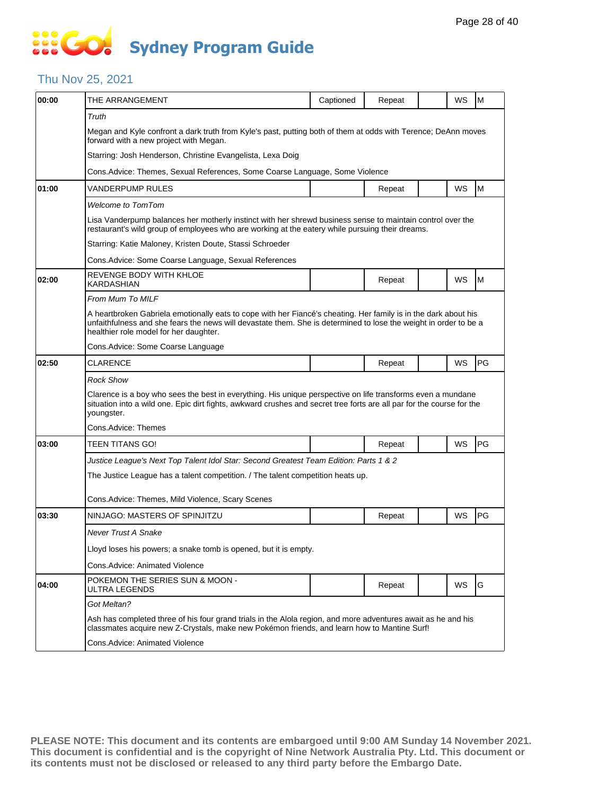## **SO GO Sydney Program Guide**

#### Thu Nov 25, 2021

| 00:00 | THE ARRANGEMENT                                                                                                                                                                                                                                                               | Captioned | Repeat |  | WS | M  |  |  |
|-------|-------------------------------------------------------------------------------------------------------------------------------------------------------------------------------------------------------------------------------------------------------------------------------|-----------|--------|--|----|----|--|--|
|       | Truth                                                                                                                                                                                                                                                                         |           |        |  |    |    |  |  |
|       | Megan and Kyle confront a dark truth from Kyle's past, putting both of them at odds with Terence; DeAnn moves<br>forward with a new project with Megan.                                                                                                                       |           |        |  |    |    |  |  |
|       | Starring: Josh Henderson, Christine Evangelista, Lexa Doig                                                                                                                                                                                                                    |           |        |  |    |    |  |  |
|       | Cons. Advice: Themes, Sexual References, Some Coarse Language, Some Violence                                                                                                                                                                                                  |           |        |  |    |    |  |  |
| 01:00 | VANDERPUMP RULES                                                                                                                                                                                                                                                              |           | Repeat |  | WS | M  |  |  |
|       | <b>Welcome to TomTom</b>                                                                                                                                                                                                                                                      |           |        |  |    |    |  |  |
|       | Lisa Vanderpump balances her motherly instinct with her shrewd business sense to maintain control over the<br>restaurant's wild group of employees who are working at the eatery while pursuing their dreams.                                                                 |           |        |  |    |    |  |  |
|       | Starring: Katie Maloney, Kristen Doute, Stassi Schroeder                                                                                                                                                                                                                      |           |        |  |    |    |  |  |
|       | Cons.Advice: Some Coarse Language, Sexual References                                                                                                                                                                                                                          |           |        |  |    |    |  |  |
| 02:00 | REVENGE BODY WITH KHLOE<br>KARDASHIAN                                                                                                                                                                                                                                         |           | Repeat |  | WS | M  |  |  |
|       | <b>From Mum To MILF</b>                                                                                                                                                                                                                                                       |           |        |  |    |    |  |  |
|       | A heartbroken Gabriela emotionally eats to cope with her Fiancé's cheating. Her family is in the dark about his<br>unfaithfulness and she fears the news will devastate them. She is determined to lose the weight in order to be a<br>healthier role model for her daughter. |           |        |  |    |    |  |  |
|       | Cons. Advice: Some Coarse Language                                                                                                                                                                                                                                            |           |        |  |    |    |  |  |
| 02:50 | CLARENCE                                                                                                                                                                                                                                                                      |           | Repeat |  | WS | PG |  |  |
|       | <b>Rock Show</b>                                                                                                                                                                                                                                                              |           |        |  |    |    |  |  |
|       | Clarence is a boy who sees the best in everything. His unique perspective on life transforms even a mundane<br>situation into a wild one. Epic dirt fights, awkward crushes and secret tree forts are all par for the course for the<br>youngster.                            |           |        |  |    |    |  |  |
|       | Cons.Advice: Themes                                                                                                                                                                                                                                                           |           |        |  |    |    |  |  |
| 03:00 | TEEN TITANS GO!                                                                                                                                                                                                                                                               |           | Repeat |  | WS | PG |  |  |
|       | Justice League's Next Top Talent Idol Star: Second Greatest Team Edition: Parts 1 & 2                                                                                                                                                                                         |           |        |  |    |    |  |  |
|       | The Justice League has a talent competition. / The talent competition heats up.                                                                                                                                                                                               |           |        |  |    |    |  |  |
|       | Cons.Advice: Themes, Mild Violence, Scary Scenes                                                                                                                                                                                                                              |           |        |  |    |    |  |  |
| 03:30 | NINJAGO: MASTERS OF SPINJITZU                                                                                                                                                                                                                                                 |           | Repeat |  | WS | PG |  |  |
|       | Never Trust A Snake                                                                                                                                                                                                                                                           |           |        |  |    |    |  |  |
|       | Lloyd loses his powers; a snake tomb is opened, but it is empty.                                                                                                                                                                                                              |           |        |  |    |    |  |  |
|       | Cons.Advice: Animated Violence                                                                                                                                                                                                                                                |           |        |  |    |    |  |  |
| 04:00 | POKEMON THE SERIES SUN & MOON -<br>ULTRA LEGENDS                                                                                                                                                                                                                              |           | Repeat |  | WS | G  |  |  |
|       | Got Meltan?                                                                                                                                                                                                                                                                   |           |        |  |    |    |  |  |
|       | Ash has completed three of his four grand trials in the Alola region, and more adventures await as he and his<br>classmates acquire new Z-Crystals, make new Pokémon friends, and learn how to Mantine Surf!                                                                  |           |        |  |    |    |  |  |
|       | Cons.Advice: Animated Violence                                                                                                                                                                                                                                                |           |        |  |    |    |  |  |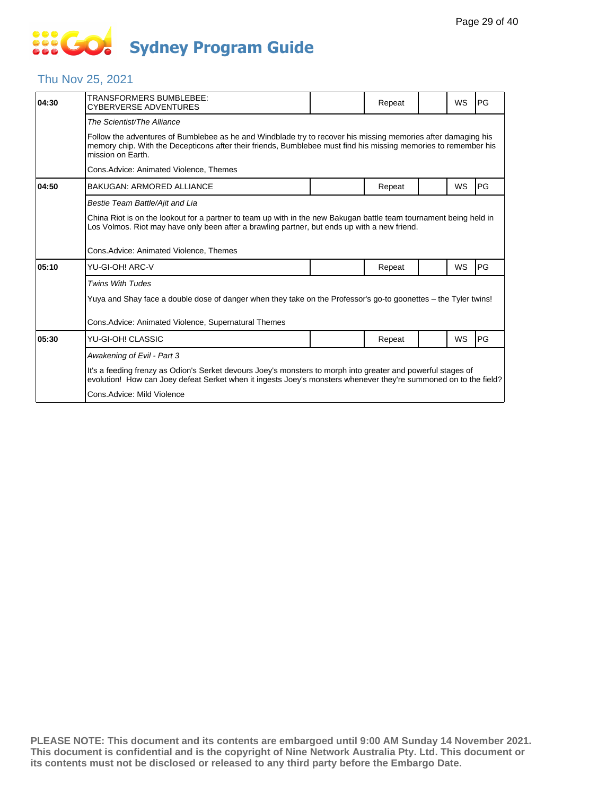# **SIS GO Sydney Program Guide**

### Thu Nov 25, 2021

| 04:30 | TRANSFORMERS BUMBLEBEE:<br>CYBERVERSE ADVENTURES                                                                                                                                                                                                      |  | Repeat |  | WS | PG |  |  |  |
|-------|-------------------------------------------------------------------------------------------------------------------------------------------------------------------------------------------------------------------------------------------------------|--|--------|--|----|----|--|--|--|
|       | The Scientist/The Alliance                                                                                                                                                                                                                            |  |        |  |    |    |  |  |  |
|       | Follow the adventures of Bumblebee as he and Windblade try to recover his missing memories after damaging his<br>memory chip. With the Decepticons after their friends, Bumblebee must find his missing memories to remember his<br>mission on Earth. |  |        |  |    |    |  |  |  |
|       | Cons.Advice: Animated Violence, Themes                                                                                                                                                                                                                |  |        |  |    |    |  |  |  |
| 04:50 | <b>BAKUGAN: ARMORED ALLIANCE</b>                                                                                                                                                                                                                      |  | Repeat |  | WS | PG |  |  |  |
|       | Bestie Team Battle/Ajit and Lia                                                                                                                                                                                                                       |  |        |  |    |    |  |  |  |
|       | China Riot is on the lookout for a partner to team up with in the new Bakugan battle team tournament being held in<br>Los Volmos. Riot may have only been after a brawling partner, but ends up with a new friend.                                    |  |        |  |    |    |  |  |  |
|       | Cons.Advice: Animated Violence, Themes                                                                                                                                                                                                                |  |        |  |    |    |  |  |  |
| 05:10 | YU-GI-OH! ARC-V                                                                                                                                                                                                                                       |  | Repeat |  | WS | PG |  |  |  |
|       | <b>Twins With Tudes</b>                                                                                                                                                                                                                               |  |        |  |    |    |  |  |  |
|       | Yuya and Shay face a double dose of danger when they take on the Professor's go-to goonettes – the Tyler twins!                                                                                                                                       |  |        |  |    |    |  |  |  |
|       | Cons.Advice: Animated Violence, Supernatural Themes                                                                                                                                                                                                   |  |        |  |    |    |  |  |  |
| 05:30 | YU-GI-OH! CLASSIC                                                                                                                                                                                                                                     |  | Repeat |  | WS | PG |  |  |  |
|       | Awakening of Evil - Part 3                                                                                                                                                                                                                            |  |        |  |    |    |  |  |  |
|       | It's a feeding frenzy as Odion's Serket devours Joey's monsters to morph into greater and powerful stages of<br>evolution! How can Joey defeat Serket when it ingests Joey's monsters whenever they're summoned on to the field?                      |  |        |  |    |    |  |  |  |
|       | Cons.Advice: Mild Violence                                                                                                                                                                                                                            |  |        |  |    |    |  |  |  |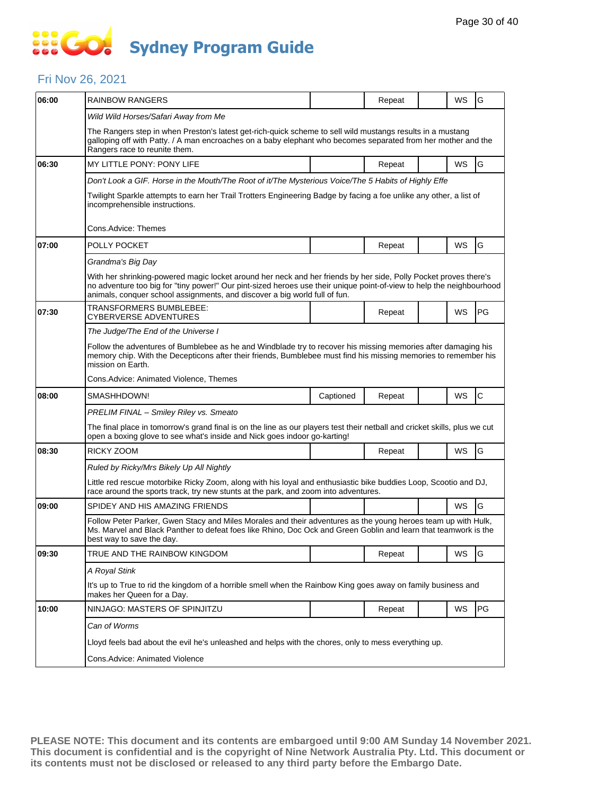# **SO GO Sydney Program Guide**

### Fri Nov 26, 2021

| 06:00 | RAINBOW RANGERS                                                                                                                                                                                                                                                                                                         |           | Repeat |  | WS | G            |  |  |
|-------|-------------------------------------------------------------------------------------------------------------------------------------------------------------------------------------------------------------------------------------------------------------------------------------------------------------------------|-----------|--------|--|----|--------------|--|--|
|       | Wild Wild Horses/Safari Away from Me                                                                                                                                                                                                                                                                                    |           |        |  |    |              |  |  |
|       | The Rangers step in when Preston's latest get-rich-quick scheme to sell wild mustangs results in a mustang<br>galloping off with Patty. / A man encroaches on a baby elephant who becomes separated from her mother and the<br>Rangers race to reunite them.                                                            |           |        |  |    |              |  |  |
| 06:30 | MY LITTLE PONY: PONY LIFE                                                                                                                                                                                                                                                                                               |           | Repeat |  | WS | G            |  |  |
|       | Don't Look a GIF. Horse in the Mouth/The Root of it/The Mysterious Voice/The 5 Habits of Highly Effe                                                                                                                                                                                                                    |           |        |  |    |              |  |  |
|       | Twilight Sparkle attempts to earn her Trail Trotters Engineering Badge by facing a foe unlike any other, a list of<br>incomprehensible instructions.                                                                                                                                                                    |           |        |  |    |              |  |  |
|       | Cons.Advice: Themes                                                                                                                                                                                                                                                                                                     |           |        |  |    |              |  |  |
| 07:00 | POLLY POCKET                                                                                                                                                                                                                                                                                                            |           | Repeat |  | WS | G            |  |  |
|       | Grandma's Big Day                                                                                                                                                                                                                                                                                                       |           |        |  |    |              |  |  |
|       | With her shrinking-powered magic locket around her neck and her friends by her side, Polly Pocket proves there's<br>no adventure too big for "tiny power!" Our pint-sized heroes use their unique point-of-view to help the neighbourhood<br>animals, conquer school assignments, and discover a big world full of fun. |           |        |  |    |              |  |  |
| 07:30 | TRANSFORMERS BUMBLEBEE:<br>CYBERVERSE ADVENTURES                                                                                                                                                                                                                                                                        |           | Repeat |  | WS | PG           |  |  |
|       | The Judge/The End of the Universe I                                                                                                                                                                                                                                                                                     |           |        |  |    |              |  |  |
|       | Follow the adventures of Bumblebee as he and Windblade try to recover his missing memories after damaging his<br>memory chip. With the Decepticons after their friends, Bumblebee must find his missing memories to remember his<br>mission on Earth.                                                                   |           |        |  |    |              |  |  |
|       | Cons.Advice: Animated Violence, Themes                                                                                                                                                                                                                                                                                  |           |        |  |    |              |  |  |
| 08:00 | SMASHHDOWN!                                                                                                                                                                                                                                                                                                             | Captioned | Repeat |  | WS | $\mathsf{C}$ |  |  |
|       | PRELIM FINAL - Smiley Riley vs. Smeato                                                                                                                                                                                                                                                                                  |           |        |  |    |              |  |  |
|       | The final place in tomorrow's grand final is on the line as our players test their netball and cricket skills, plus we cut<br>open a boxing glove to see what's inside and Nick goes indoor go-karting!                                                                                                                 |           |        |  |    |              |  |  |
| 08:30 | RICKY ZOOM                                                                                                                                                                                                                                                                                                              |           | Repeat |  | WS | G            |  |  |
|       | Ruled by Ricky/Mrs Bikely Up All Nightly                                                                                                                                                                                                                                                                                |           |        |  |    |              |  |  |
|       | Little red rescue motorbike Ricky Zoom, along with his loyal and enthusiastic bike buddies Loop, Scootio and DJ,<br>race around the sports track, try new stunts at the park, and zoom into adventures.                                                                                                                 |           |        |  |    |              |  |  |
| 09:00 | SPIDEY AND HIS AMAZING FRIENDS                                                                                                                                                                                                                                                                                          |           |        |  | WS | G            |  |  |
|       | Follow Peter Parker, Gwen Stacy and Miles Morales and their adventures as the young heroes team up with Hulk,<br>Ms. Marvel and Black Panther to defeat foes like Rhino, Doc Ock and Green Goblin and learn that teamwork is the<br>best way to save the day.                                                           |           |        |  |    |              |  |  |
| 09:30 | TRUE AND THE RAINBOW KINGDOM                                                                                                                                                                                                                                                                                            |           | Repeat |  | WS | G            |  |  |
|       | A Royal Stink                                                                                                                                                                                                                                                                                                           |           |        |  |    |              |  |  |
|       | It's up to True to rid the kingdom of a horrible smell when the Rainbow King goes away on family business and<br>makes her Queen for a Day.                                                                                                                                                                             |           |        |  |    |              |  |  |
| 10:00 | NINJAGO: MASTERS OF SPINJITZU                                                                                                                                                                                                                                                                                           |           | Repeat |  | WS | PG           |  |  |
|       | Can of Worms                                                                                                                                                                                                                                                                                                            |           |        |  |    |              |  |  |
|       | Lloyd feels bad about the evil he's unleashed and helps with the chores, only to mess everything up.                                                                                                                                                                                                                    |           |        |  |    |              |  |  |
|       | Cons.Advice: Animated Violence                                                                                                                                                                                                                                                                                          |           |        |  |    |              |  |  |
|       |                                                                                                                                                                                                                                                                                                                         |           |        |  |    |              |  |  |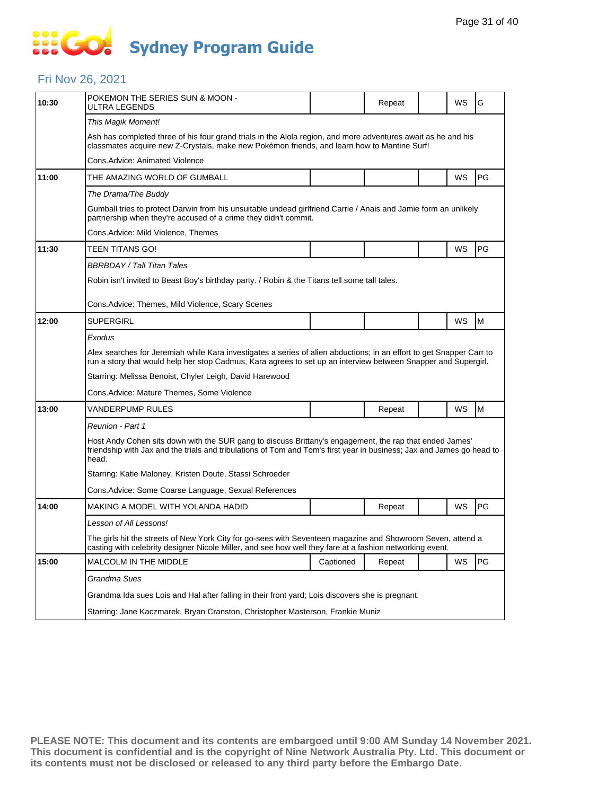# **SOCOL Sydney Program Guide**

### Fri Nov 26, 2021

| 10:30 | POKEMON THE SERIES SUN & MOON -<br>ULTRA LEGENDS                                                                                                                                                                                          |           | Repeat |  | WS | G  |  |  |  |
|-------|-------------------------------------------------------------------------------------------------------------------------------------------------------------------------------------------------------------------------------------------|-----------|--------|--|----|----|--|--|--|
|       | This Magik Moment!                                                                                                                                                                                                                        |           |        |  |    |    |  |  |  |
|       | Ash has completed three of his four grand trials in the Alola region, and more adventures await as he and his<br>classmates acquire new Z-Crystals, make new Pokémon friends, and learn how to Mantine Surf!                              |           |        |  |    |    |  |  |  |
|       | Cons.Advice: Animated Violence                                                                                                                                                                                                            |           |        |  |    |    |  |  |  |
| 11:00 | THE AMAZING WORLD OF GUMBALL                                                                                                                                                                                                              |           |        |  | WS | PG |  |  |  |
|       | The Drama/The Buddy                                                                                                                                                                                                                       |           |        |  |    |    |  |  |  |
|       | Gumball tries to protect Darwin from his unsuitable undead girlfriend Carrie / Anais and Jamie form an unlikely<br>partnership when they're accused of a crime they didn't commit.                                                        |           |        |  |    |    |  |  |  |
|       | Cons.Advice: Mild Violence. Themes                                                                                                                                                                                                        |           |        |  |    |    |  |  |  |
| 11:30 | TEEN TITANS GO!                                                                                                                                                                                                                           |           |        |  | WS | PG |  |  |  |
|       | BBRBDAY / Tall Titan Tales                                                                                                                                                                                                                |           |        |  |    |    |  |  |  |
|       | Robin isn't invited to Beast Boy's birthday party. / Robin & the Titans tell some tall tales.                                                                                                                                             |           |        |  |    |    |  |  |  |
|       | Cons.Advice: Themes, Mild Violence, Scary Scenes                                                                                                                                                                                          |           |        |  |    |    |  |  |  |
| 12:00 | <b>SUPERGIRL</b>                                                                                                                                                                                                                          |           |        |  | WS | M  |  |  |  |
|       | Exodus                                                                                                                                                                                                                                    |           |        |  |    |    |  |  |  |
|       | Alex searches for Jeremiah while Kara investigates a series of alien abductions; in an effort to get Snapper Carr to<br>run a story that would help her stop Cadmus, Kara agrees to set up an interview between Snapper and Supergirl.    |           |        |  |    |    |  |  |  |
|       | Starring: Melissa Benoist, Chyler Leigh, David Harewood                                                                                                                                                                                   |           |        |  |    |    |  |  |  |
|       | Cons.Advice: Mature Themes, Some Violence                                                                                                                                                                                                 |           |        |  |    |    |  |  |  |
| 13:00 | VANDERPUMP RULES                                                                                                                                                                                                                          |           | Repeat |  | WS | M  |  |  |  |
|       | Reunion - Part 1                                                                                                                                                                                                                          |           |        |  |    |    |  |  |  |
|       | Host Andy Cohen sits down with the SUR gang to discuss Brittany's engagement, the rap that ended James'<br>friendship with Jax and the trials and tribulations of Tom and Tom's first year in business; Jax and James go head to<br>head. |           |        |  |    |    |  |  |  |
|       | Starring: Katie Maloney, Kristen Doute, Stassi Schroeder                                                                                                                                                                                  |           |        |  |    |    |  |  |  |
|       | Cons. Advice: Some Coarse Language, Sexual References                                                                                                                                                                                     |           |        |  |    |    |  |  |  |
| 14:00 | MAKING A MODEL WITH YOLANDA HADID                                                                                                                                                                                                         |           | Repeat |  | WS | PG |  |  |  |
|       | Lesson of All Lessons!                                                                                                                                                                                                                    |           |        |  |    |    |  |  |  |
|       | The girls hit the streets of New York City for go-sees with Seventeen magazine and Showroom Seven, attend a<br>casting with celebrity designer Nicole Miller, and see how well they fare at a fashion networking event.                   |           |        |  |    |    |  |  |  |
| 15:00 | MALCOLM IN THE MIDDLE                                                                                                                                                                                                                     | Captioned | Repeat |  | WS | PG |  |  |  |
|       |                                                                                                                                                                                                                                           |           |        |  |    |    |  |  |  |
|       | Grandma Sues                                                                                                                                                                                                                              |           |        |  |    |    |  |  |  |
|       |                                                                                                                                                                                                                                           |           |        |  |    |    |  |  |  |
|       | Grandma Ida sues Lois and Hal after falling in their front yard; Lois discovers she is pregnant.<br>Starring: Jane Kaczmarek, Bryan Cranston, Christopher Masterson, Frankie Muniz                                                        |           |        |  |    |    |  |  |  |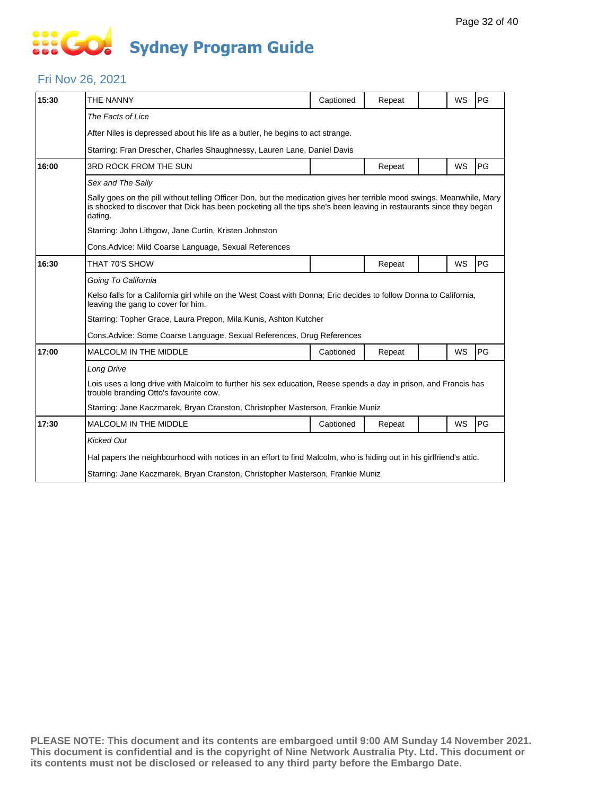# **SO GO Sydney Program Guide**

### Fri Nov 26, 2021

| 15:30 | THE NANNY                                                                                                                                                                                                                                                | Captioned | Repeat |  | WS        | PG |  |  |  |
|-------|----------------------------------------------------------------------------------------------------------------------------------------------------------------------------------------------------------------------------------------------------------|-----------|--------|--|-----------|----|--|--|--|
|       | The Facts of Lice                                                                                                                                                                                                                                        |           |        |  |           |    |  |  |  |
|       | After Niles is depressed about his life as a butler, he begins to act strange.                                                                                                                                                                           |           |        |  |           |    |  |  |  |
|       | Starring: Fran Drescher, Charles Shaughnessy, Lauren Lane, Daniel Davis                                                                                                                                                                                  |           |        |  |           |    |  |  |  |
| 16:00 | 3RD ROCK FROM THE SUN                                                                                                                                                                                                                                    |           | Repeat |  | WS        | PG |  |  |  |
|       | Sex and The Sally                                                                                                                                                                                                                                        |           |        |  |           |    |  |  |  |
|       | Sally goes on the pill without telling Officer Don, but the medication gives her terrible mood swings. Meanwhile, Mary<br>is shocked to discover that Dick has been pocketing all the tips she's been leaving in restaurants since they began<br>dating. |           |        |  |           |    |  |  |  |
|       | Starring: John Lithgow, Jane Curtin, Kristen Johnston                                                                                                                                                                                                    |           |        |  |           |    |  |  |  |
|       | Cons. Advice: Mild Coarse Language, Sexual References                                                                                                                                                                                                    |           |        |  |           |    |  |  |  |
| 16:30 | THAT 70'S SHOW                                                                                                                                                                                                                                           |           | Repeat |  | <b>WS</b> | PG |  |  |  |
|       | Going To California                                                                                                                                                                                                                                      |           |        |  |           |    |  |  |  |
|       | Kelso falls for a California girl while on the West Coast with Donna; Eric decides to follow Donna to California,<br>leaving the gang to cover for him.                                                                                                  |           |        |  |           |    |  |  |  |
|       | Starring: Topher Grace, Laura Prepon, Mila Kunis, Ashton Kutcher                                                                                                                                                                                         |           |        |  |           |    |  |  |  |
|       | Cons. Advice: Some Coarse Language, Sexual References, Drug References                                                                                                                                                                                   |           |        |  |           |    |  |  |  |
| 17:00 | <b>MALCOLM IN THE MIDDLE</b>                                                                                                                                                                                                                             | Captioned | Repeat |  | <b>WS</b> | PG |  |  |  |
|       | Long Drive                                                                                                                                                                                                                                               |           |        |  |           |    |  |  |  |
|       | Lois uses a long drive with Malcolm to further his sex education, Reese spends a day in prison, and Francis has<br>trouble branding Otto's favourite cow.                                                                                                |           |        |  |           |    |  |  |  |
|       | Starring: Jane Kaczmarek, Bryan Cranston, Christopher Masterson, Frankie Muniz                                                                                                                                                                           |           |        |  |           |    |  |  |  |
| 17:30 | <b>MALCOLM IN THE MIDDLE</b>                                                                                                                                                                                                                             | Captioned | Repeat |  | WS        | PG |  |  |  |
|       | <b>Kicked Out</b>                                                                                                                                                                                                                                        |           |        |  |           |    |  |  |  |
|       | Hal papers the neighbourhood with notices in an effort to find Malcolm, who is hiding out in his girlfriend's attic.                                                                                                                                     |           |        |  |           |    |  |  |  |
|       | Starring: Jane Kaczmarek, Bryan Cranston, Christopher Masterson, Frankie Muniz                                                                                                                                                                           |           |        |  |           |    |  |  |  |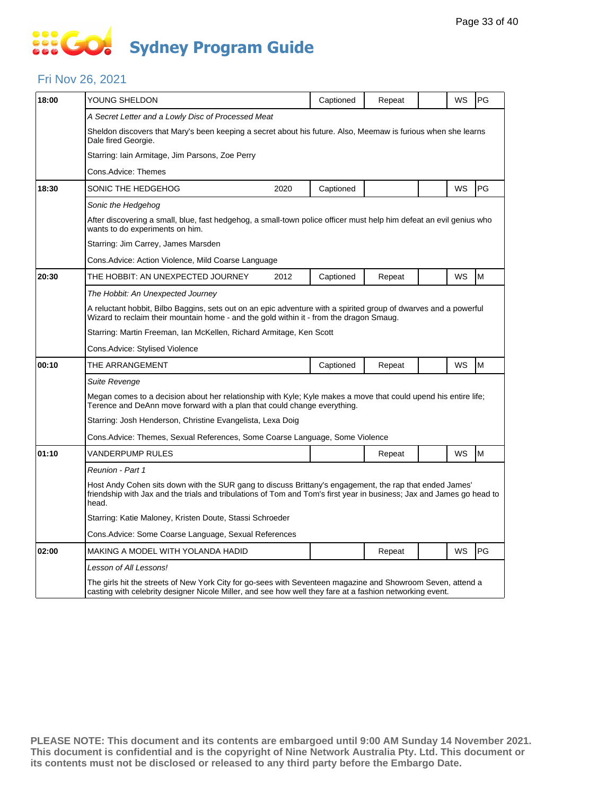# **SOCOL Sydney Program Guide**

### Fri Nov 26, 2021

| 18:00 | YOUNG SHELDON                                                                                                                                                                                                                             |                                                                                                                                                                                                                         | Captioned | Repeat |  | WS | PG |  |  |
|-------|-------------------------------------------------------------------------------------------------------------------------------------------------------------------------------------------------------------------------------------------|-------------------------------------------------------------------------------------------------------------------------------------------------------------------------------------------------------------------------|-----------|--------|--|----|----|--|--|
|       | A Secret Letter and a Lowly Disc of Processed Meat                                                                                                                                                                                        |                                                                                                                                                                                                                         |           |        |  |    |    |  |  |
|       | Sheldon discovers that Mary's been keeping a secret about his future. Also, Meemaw is furious when she learns<br>Dale fired Georgie.                                                                                                      |                                                                                                                                                                                                                         |           |        |  |    |    |  |  |
|       | Starring: Iain Armitage, Jim Parsons, Zoe Perry                                                                                                                                                                                           |                                                                                                                                                                                                                         |           |        |  |    |    |  |  |
|       | Cons.Advice: Themes                                                                                                                                                                                                                       |                                                                                                                                                                                                                         |           |        |  |    |    |  |  |
| 18:30 | SONIC THE HEDGEHOG                                                                                                                                                                                                                        | 2020                                                                                                                                                                                                                    | Captioned |        |  | WS | PG |  |  |
|       | Sonic the Hedgehog                                                                                                                                                                                                                        |                                                                                                                                                                                                                         |           |        |  |    |    |  |  |
|       | After discovering a small, blue, fast hedgehog, a small-town police officer must help him defeat an evil genius who<br>wants to do experiments on him.                                                                                    |                                                                                                                                                                                                                         |           |        |  |    |    |  |  |
|       | Starring: Jim Carrey, James Marsden                                                                                                                                                                                                       |                                                                                                                                                                                                                         |           |        |  |    |    |  |  |
|       | Cons.Advice: Action Violence, Mild Coarse Language                                                                                                                                                                                        |                                                                                                                                                                                                                         |           |        |  |    |    |  |  |
| 20:30 | THE HOBBIT: AN UNEXPECTED JOURNEY                                                                                                                                                                                                         | 2012                                                                                                                                                                                                                    | Captioned | Repeat |  | WS | M  |  |  |
|       | The Hobbit: An Unexpected Journey                                                                                                                                                                                                         |                                                                                                                                                                                                                         |           |        |  |    |    |  |  |
|       | A reluctant hobbit, Bilbo Baggins, sets out on an epic adventure with a spirited group of dwarves and a powerful<br>Wizard to reclaim their mountain home - and the gold within it - from the dragon Smaug.                               |                                                                                                                                                                                                                         |           |        |  |    |    |  |  |
|       | Starring: Martin Freeman, Ian McKellen, Richard Armitage, Ken Scott                                                                                                                                                                       |                                                                                                                                                                                                                         |           |        |  |    |    |  |  |
|       | Cons.Advice: Stylised Violence                                                                                                                                                                                                            |                                                                                                                                                                                                                         |           |        |  |    |    |  |  |
| 00:10 | THE ARRANGEMENT                                                                                                                                                                                                                           |                                                                                                                                                                                                                         | Captioned | Repeat |  | WS | M  |  |  |
|       | Suite Revenge                                                                                                                                                                                                                             |                                                                                                                                                                                                                         |           |        |  |    |    |  |  |
|       | Megan comes to a decision about her relationship with Kyle; Kyle makes a move that could upend his entire life;<br>Terence and DeAnn move forward with a plan that could change everything.                                               |                                                                                                                                                                                                                         |           |        |  |    |    |  |  |
|       |                                                                                                                                                                                                                                           | Starring: Josh Henderson, Christine Evangelista, Lexa Doig                                                                                                                                                              |           |        |  |    |    |  |  |
|       | Cons.Advice: Themes, Sexual References, Some Coarse Language, Some Violence                                                                                                                                                               |                                                                                                                                                                                                                         |           |        |  |    |    |  |  |
| 01:10 | VANDERPUMP RULES                                                                                                                                                                                                                          |                                                                                                                                                                                                                         |           | Repeat |  | WS | M  |  |  |
|       | Reunion - Part 1                                                                                                                                                                                                                          |                                                                                                                                                                                                                         |           |        |  |    |    |  |  |
|       | Host Andy Cohen sits down with the SUR gang to discuss Brittany's engagement, the rap that ended James'<br>friendship with Jax and the trials and tribulations of Tom and Tom's first year in business; Jax and James go head to<br>head. |                                                                                                                                                                                                                         |           |        |  |    |    |  |  |
|       | Starring: Katie Maloney, Kristen Doute, Stassi Schroeder                                                                                                                                                                                  |                                                                                                                                                                                                                         |           |        |  |    |    |  |  |
|       | Cons.Advice: Some Coarse Language, Sexual References                                                                                                                                                                                      |                                                                                                                                                                                                                         |           |        |  |    |    |  |  |
| 02:00 | MAKING A MODEL WITH YOLANDA HADID                                                                                                                                                                                                         |                                                                                                                                                                                                                         |           | Repeat |  | WS | PG |  |  |
|       | Lesson of All Lessons!                                                                                                                                                                                                                    |                                                                                                                                                                                                                         |           |        |  |    |    |  |  |
|       |                                                                                                                                                                                                                                           | The girls hit the streets of New York City for go-sees with Seventeen magazine and Showroom Seven, attend a<br>casting with celebrity designer Nicole Miller, and see how well they fare at a fashion networking event. |           |        |  |    |    |  |  |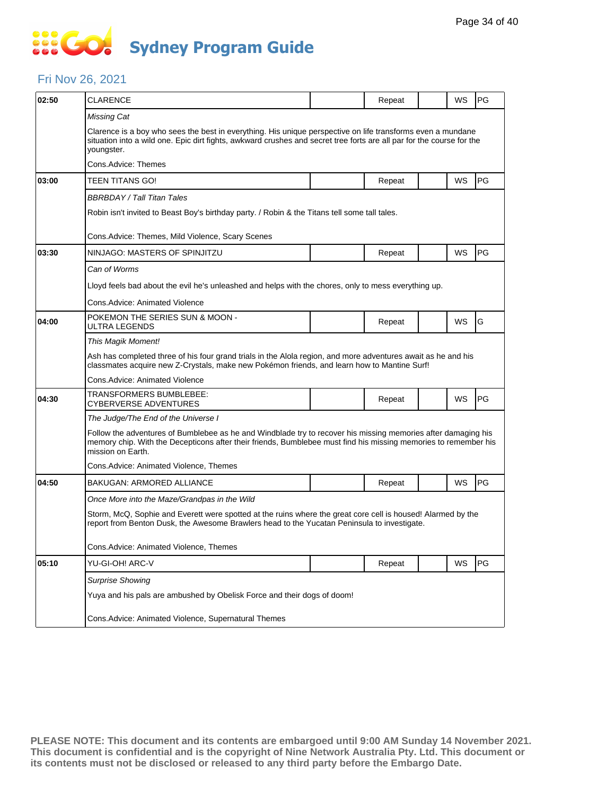# **SO GO Sydney Program Guide**

### Fri Nov 26, 2021

| 02:50 | <b>CLARENCE</b>                                                                                                                                                                                                                                       |  | Repeat |  | WS | PG |  |  |  |
|-------|-------------------------------------------------------------------------------------------------------------------------------------------------------------------------------------------------------------------------------------------------------|--|--------|--|----|----|--|--|--|
|       | Missing Cat                                                                                                                                                                                                                                           |  |        |  |    |    |  |  |  |
|       | Clarence is a boy who sees the best in everything. His unique perspective on life transforms even a mundane<br>situation into a wild one. Epic dirt fights, awkward crushes and secret tree forts are all par for the course for the<br>youngster.    |  |        |  |    |    |  |  |  |
|       | Cons.Advice: Themes                                                                                                                                                                                                                                   |  |        |  |    |    |  |  |  |
| 03:00 | TEEN TITANS GO!                                                                                                                                                                                                                                       |  | Repeat |  | WS | PG |  |  |  |
|       | BBRBDAY / Tall Titan Tales                                                                                                                                                                                                                            |  |        |  |    |    |  |  |  |
|       | Robin isn't invited to Beast Boy's birthday party. / Robin & the Titans tell some tall tales.                                                                                                                                                         |  |        |  |    |    |  |  |  |
|       | Cons. Advice: Themes, Mild Violence, Scary Scenes                                                                                                                                                                                                     |  |        |  |    |    |  |  |  |
| 03:30 | NINJAGO: MASTERS OF SPINJITZU                                                                                                                                                                                                                         |  | Repeat |  | WS | PG |  |  |  |
|       | Can of Worms                                                                                                                                                                                                                                          |  |        |  |    |    |  |  |  |
|       | Lloyd feels bad about the evil he's unleashed and helps with the chores, only to mess everything up.                                                                                                                                                  |  |        |  |    |    |  |  |  |
|       | Cons. Advice: Animated Violence                                                                                                                                                                                                                       |  |        |  |    |    |  |  |  |
| 04:00 | POKEMON THE SERIES SUN & MOON -<br>ULTRA LEGENDS                                                                                                                                                                                                      |  | Repeat |  | WS | G  |  |  |  |
|       | This Magik Moment!                                                                                                                                                                                                                                    |  |        |  |    |    |  |  |  |
|       | Ash has completed three of his four grand trials in the Alola region, and more adventures await as he and his<br>classmates acquire new Z-Crystals, make new Pokémon friends, and learn how to Mantine Surf!                                          |  |        |  |    |    |  |  |  |
|       | Cons.Advice: Animated Violence                                                                                                                                                                                                                        |  |        |  |    |    |  |  |  |
| 04:30 | TRANSFORMERS BUMBLEBEE:<br>CYBERVERSE ADVENTURES                                                                                                                                                                                                      |  | Repeat |  | WS | PG |  |  |  |
|       | The Judge/The End of the Universe I                                                                                                                                                                                                                   |  |        |  |    |    |  |  |  |
|       | Follow the adventures of Bumblebee as he and Windblade try to recover his missing memories after damaging his<br>memory chip. With the Decepticons after their friends, Bumblebee must find his missing memories to remember his<br>mission on Earth. |  |        |  |    |    |  |  |  |
|       | Cons. Advice: Animated Violence, Themes                                                                                                                                                                                                               |  |        |  |    |    |  |  |  |
| 04:50 | BAKUGAN: ARMORED ALLIANCE                                                                                                                                                                                                                             |  | Repeat |  | WS | PG |  |  |  |
|       | Once More into the Maze/Grandpas in the Wild                                                                                                                                                                                                          |  |        |  |    |    |  |  |  |
|       | Storm, McQ, Sophie and Everett were spotted at the ruins where the great core cell is housed! Alarmed by the<br>report from Benton Dusk, the Awesome Brawlers head to the Yucatan Peninsula to investigate.                                           |  |        |  |    |    |  |  |  |
|       | Cons.Advice: Animated Violence, Themes                                                                                                                                                                                                                |  |        |  |    |    |  |  |  |
| 05:10 | YU-GI-OH! ARC-V                                                                                                                                                                                                                                       |  | Repeat |  | WS | PG |  |  |  |
|       | <b>Surprise Showing</b>                                                                                                                                                                                                                               |  |        |  |    |    |  |  |  |
|       | Yuya and his pals are ambushed by Obelisk Force and their dogs of doom!                                                                                                                                                                               |  |        |  |    |    |  |  |  |
|       | Cons.Advice: Animated Violence, Supernatural Themes                                                                                                                                                                                                   |  |        |  |    |    |  |  |  |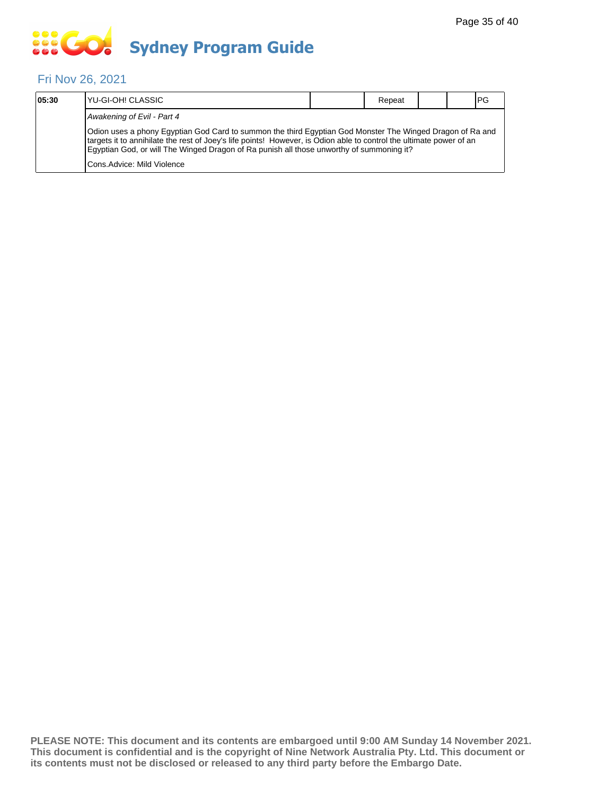# **... Go Sydney Program Guide**

### Fri Nov 26, 2021

| 05:30                                                                                                                                                                                                                                                                                                                        | YU-GI-OH! CLASSIC           |  | Repeat |  |  | <b>PG</b> |
|------------------------------------------------------------------------------------------------------------------------------------------------------------------------------------------------------------------------------------------------------------------------------------------------------------------------------|-----------------------------|--|--------|--|--|-----------|
|                                                                                                                                                                                                                                                                                                                              | Awakening of Evil - Part 4  |  |        |  |  |           |
| Odion uses a phony Egyptian God Card to summon the third Egyptian God Monster The Winged Dragon of Ra and<br>targets it to annihilate the rest of Joey's life points! However, is Odion able to control the ultimate power of an<br>Eqyptian God, or will The Winged Dragon of Ra punish all those unworthy of summoning it? |                             |  |        |  |  |           |
|                                                                                                                                                                                                                                                                                                                              | Cons. Advice: Mild Violence |  |        |  |  |           |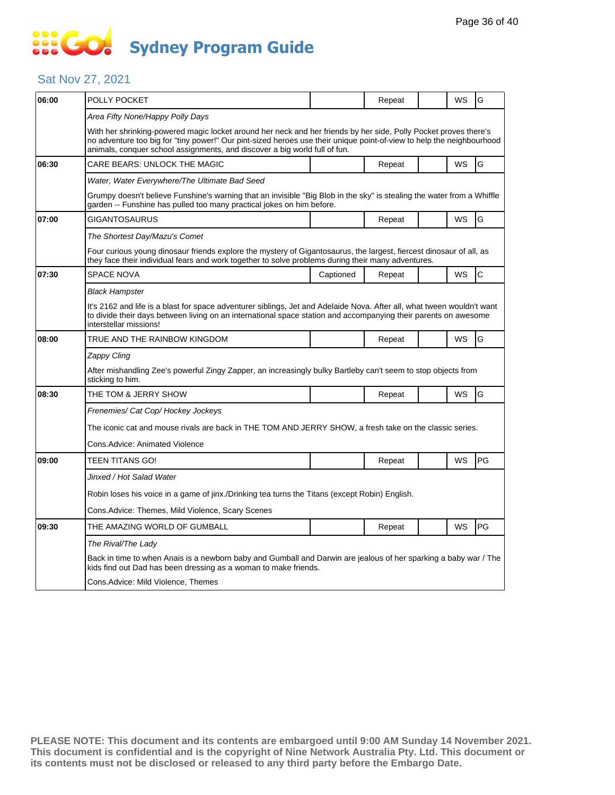# **SOCOL Sydney Program Guide**

### Sat Nov 27, 2021

| 06:00 | POLLY POCKET                                                                                                                                                                                                                                                                                                            |           | Repeat |  | WS | G            |  |  |  |
|-------|-------------------------------------------------------------------------------------------------------------------------------------------------------------------------------------------------------------------------------------------------------------------------------------------------------------------------|-----------|--------|--|----|--------------|--|--|--|
|       | Area Fifty None/Happy Polly Days                                                                                                                                                                                                                                                                                        |           |        |  |    |              |  |  |  |
|       | With her shrinking-powered magic locket around her neck and her friends by her side, Polly Pocket proves there's<br>no adventure too big for "tiny power!" Our pint-sized heroes use their unique point-of-view to help the neighbourhood<br>animals, conquer school assignments, and discover a big world full of fun. |           |        |  |    |              |  |  |  |
| 06:30 | CARE BEARS: UNLOCK THE MAGIC                                                                                                                                                                                                                                                                                            |           | Repeat |  | WS | G            |  |  |  |
|       | Water, Water Everywhere/The Ultimate Bad Seed                                                                                                                                                                                                                                                                           |           |        |  |    |              |  |  |  |
|       | Grumpy doesn't believe Funshine's warning that an invisible "Big Blob in the sky" is stealing the water from a Whiffle<br>garden -- Funshine has pulled too many practical jokes on him before.                                                                                                                         |           |        |  |    |              |  |  |  |
| 07:00 | GIGANTOSAURUS                                                                                                                                                                                                                                                                                                           |           | Repeat |  | WS | G            |  |  |  |
|       | The Shortest Day/Mazu's Comet                                                                                                                                                                                                                                                                                           |           |        |  |    |              |  |  |  |
|       | Four curious young dinosaur friends explore the mystery of Gigantosaurus, the largest, fiercest dinosaur of all, as<br>they face their individual fears and work together to solve problems during their many adventures.                                                                                               |           |        |  |    |              |  |  |  |
| 07:30 | <b>SPACE NOVA</b>                                                                                                                                                                                                                                                                                                       | Captioned | Repeat |  | WS | $\mathsf{C}$ |  |  |  |
|       | <b>Black Hampster</b>                                                                                                                                                                                                                                                                                                   |           |        |  |    |              |  |  |  |
|       | It's 2162 and life is a blast for space adventurer siblings, Jet and Adelaide Nova. After all, what tween wouldn't want<br>to divide their days between living on an international space station and accompanying their parents on awesome<br>interstellar missions!                                                    |           |        |  |    |              |  |  |  |
| 08:00 | TRUE AND THE RAINBOW KINGDOM                                                                                                                                                                                                                                                                                            |           | Repeat |  | WS | G            |  |  |  |
|       | Zappy Cling                                                                                                                                                                                                                                                                                                             |           |        |  |    |              |  |  |  |
|       | After mishandling Zee's powerful Zingy Zapper, an increasingly bulky Bartleby can't seem to stop objects from<br>sticking to him.                                                                                                                                                                                       |           |        |  |    |              |  |  |  |
| 08:30 | THE TOM & JERRY SHOW                                                                                                                                                                                                                                                                                                    |           | Repeat |  | WS | G            |  |  |  |
|       | Frenemies/ Cat Cop/ Hockey Jockeys                                                                                                                                                                                                                                                                                      |           |        |  |    |              |  |  |  |
|       | The iconic cat and mouse rivals are back in THE TOM AND JERRY SHOW, a fresh take on the classic series.                                                                                                                                                                                                                 |           |        |  |    |              |  |  |  |
|       | Cons.Advice: Animated Violence                                                                                                                                                                                                                                                                                          |           |        |  |    |              |  |  |  |
| 09:00 | TEEN TITANS GO!                                                                                                                                                                                                                                                                                                         |           | Repeat |  | WS | PG           |  |  |  |
|       | Jinxed / Hot Salad Water                                                                                                                                                                                                                                                                                                |           |        |  |    |              |  |  |  |
|       | Robin loses his voice in a game of jinx./Drinking tea turns the Titans (except Robin) English.                                                                                                                                                                                                                          |           |        |  |    |              |  |  |  |
|       | Cons.Advice: Themes, Mild Violence, Scary Scenes                                                                                                                                                                                                                                                                        |           |        |  |    |              |  |  |  |
| 09:30 | THE AMAZING WORLD OF GUMBALL                                                                                                                                                                                                                                                                                            |           | Repeat |  | WS | PG           |  |  |  |
|       | The Rival/The Lady                                                                                                                                                                                                                                                                                                      |           |        |  |    |              |  |  |  |
|       | Back in time to when Anais is a newborn baby and Gumball and Darwin are jealous of her sparking a baby war / The<br>kids find out Dad has been dressing as a woman to make friends.                                                                                                                                     |           |        |  |    |              |  |  |  |
|       | Cons. Advice: Mild Violence, Themes                                                                                                                                                                                                                                                                                     |           |        |  |    |              |  |  |  |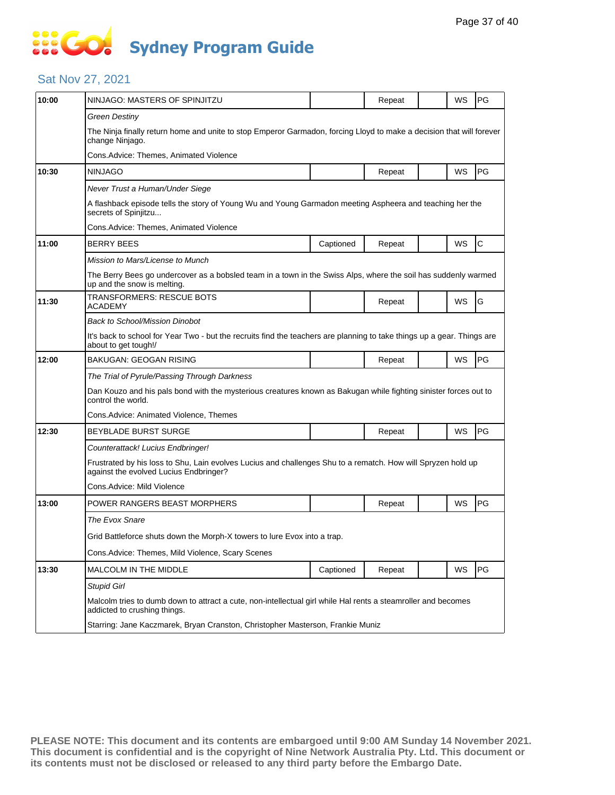# **SOCOL Sydney Program Guide**

### Sat Nov 27, 2021

| 10:00 | NINJAGO: MASTERS OF SPINJITZU                                                                                                                          |           | Repeat |  | WS | PG           |  |  |  |
|-------|--------------------------------------------------------------------------------------------------------------------------------------------------------|-----------|--------|--|----|--------------|--|--|--|
|       | Green Destiny                                                                                                                                          |           |        |  |    |              |  |  |  |
|       | The Ninja finally return home and unite to stop Emperor Garmadon, forcing Lloyd to make a decision that will forever<br>change Ninjago.                |           |        |  |    |              |  |  |  |
|       | Cons.Advice: Themes, Animated Violence                                                                                                                 |           |        |  |    |              |  |  |  |
| 10:30 | <b>NINJAGO</b>                                                                                                                                         |           | Repeat |  | WS | PG           |  |  |  |
|       | Never Trust a Human/Under Siege                                                                                                                        |           |        |  |    |              |  |  |  |
|       | A flashback episode tells the story of Young Wu and Young Garmadon meeting Aspheera and teaching her the<br>secrets of Spinjitzu                       |           |        |  |    |              |  |  |  |
|       | Cons.Advice: Themes, Animated Violence                                                                                                                 |           |        |  |    |              |  |  |  |
| 11:00 | <b>BERRY BEES</b>                                                                                                                                      | Captioned | Repeat |  | WS | $\mathsf{C}$ |  |  |  |
|       | Mission to Mars/License to Munch                                                                                                                       |           |        |  |    |              |  |  |  |
|       | The Berry Bees go undercover as a bobsled team in a town in the Swiss Alps, where the soil has suddenly warmed<br>up and the snow is melting.          |           |        |  |    |              |  |  |  |
| 11:30 | TRANSFORMERS: RESCUE BOTS<br>ACADEMY                                                                                                                   |           | Repeat |  | WS | G            |  |  |  |
|       | Back to School/Mission Dinobot                                                                                                                         |           |        |  |    |              |  |  |  |
|       | It's back to school for Year Two - but the recruits find the teachers are planning to take things up a gear. Things are<br>about to get tough!/        |           |        |  |    |              |  |  |  |
| 12:00 | BAKUGAN: GEOGAN RISING                                                                                                                                 |           | Repeat |  | WS | PG           |  |  |  |
|       | The Trial of Pyrule/Passing Through Darkness                                                                                                           |           |        |  |    |              |  |  |  |
|       | Dan Kouzo and his pals bond with the mysterious creatures known as Bakugan while fighting sinister forces out to<br>control the world.                 |           |        |  |    |              |  |  |  |
|       | Cons.Advice: Animated Violence, Themes                                                                                                                 |           |        |  |    |              |  |  |  |
| 12:30 | BEYBLADE BURST SURGE                                                                                                                                   |           | Repeat |  | WS | PG           |  |  |  |
|       | Counterattack! Lucius Endbringer!                                                                                                                      |           |        |  |    |              |  |  |  |
|       | Frustrated by his loss to Shu, Lain evolves Lucius and challenges Shu to a rematch. How will Spryzen hold up<br>against the evolved Lucius Endbringer? |           |        |  |    |              |  |  |  |
|       | Cons.Advice: Mild Violence                                                                                                                             |           |        |  |    |              |  |  |  |
| 13:00 | POWER RANGERS BEAST MORPHERS                                                                                                                           |           | Repeat |  | WS | PG           |  |  |  |
|       | The Evox Snare                                                                                                                                         |           |        |  |    |              |  |  |  |
|       | Grid Battleforce shuts down the Morph-X towers to lure Evox into a trap.                                                                               |           |        |  |    |              |  |  |  |
|       | Cons.Advice: Themes, Mild Violence, Scary Scenes                                                                                                       |           |        |  |    |              |  |  |  |
| 13:30 | MALCOLM IN THE MIDDLE                                                                                                                                  | Captioned | Repeat |  | WS | PG           |  |  |  |
|       | <b>Stupid Girl</b>                                                                                                                                     |           |        |  |    |              |  |  |  |
|       | Malcolm tries to dumb down to attract a cute, non-intellectual girl while Hal rents a steamroller and becomes<br>addicted to crushing things.          |           |        |  |    |              |  |  |  |
|       | Starring: Jane Kaczmarek, Bryan Cranston, Christopher Masterson, Frankie Muniz                                                                         |           |        |  |    |              |  |  |  |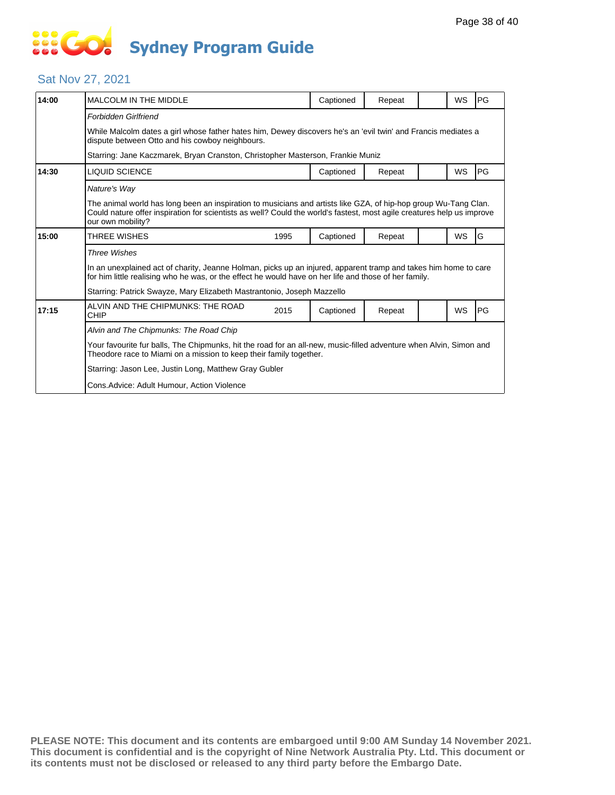# **SIS GO Sydney Program Guide**

### Sat Nov 27, 2021

| Forbidden Girlfriend<br>dispute between Otto and his cowboy neighbours.<br>Starring: Jane Kaczmarek, Bryan Cranston, Christopher Masterson, Frankie Muniz<br>14:30<br>LIQUID SCIENCE<br>WS<br>Captioned<br>Repeat<br>Nature's Way | PG                                                                                                                                                                                                                                                             |  |  |  |  |  |  |
|-----------------------------------------------------------------------------------------------------------------------------------------------------------------------------------------------------------------------------------|----------------------------------------------------------------------------------------------------------------------------------------------------------------------------------------------------------------------------------------------------------------|--|--|--|--|--|--|
|                                                                                                                                                                                                                                   |                                                                                                                                                                                                                                                                |  |  |  |  |  |  |
|                                                                                                                                                                                                                                   | While Malcolm dates a girl whose father hates him, Dewey discovers he's an 'evil twin' and Francis mediates a                                                                                                                                                  |  |  |  |  |  |  |
|                                                                                                                                                                                                                                   |                                                                                                                                                                                                                                                                |  |  |  |  |  |  |
|                                                                                                                                                                                                                                   | PG                                                                                                                                                                                                                                                             |  |  |  |  |  |  |
|                                                                                                                                                                                                                                   |                                                                                                                                                                                                                                                                |  |  |  |  |  |  |
|                                                                                                                                                                                                                                   | The animal world has long been an inspiration to musicians and artists like GZA, of hip-hop group Wu-Tang Clan.<br>Could nature offer inspiration for scientists as well? Could the world's fastest, most agile creatures help us improve<br>our own mobility? |  |  |  |  |  |  |
| 15:00<br>WS<br>THREE WISHES<br>Captioned<br>1995<br>Repeat                                                                                                                                                                        | G                                                                                                                                                                                                                                                              |  |  |  |  |  |  |
| <b>Three Wishes</b>                                                                                                                                                                                                               |                                                                                                                                                                                                                                                                |  |  |  |  |  |  |
| for him little realising who he was, or the effect he would have on her life and those of her family.                                                                                                                             | In an unexplained act of charity, Jeanne Holman, picks up an injured, apparent tramp and takes him home to care                                                                                                                                                |  |  |  |  |  |  |
| Starring: Patrick Swayze, Mary Elizabeth Mastrantonio, Joseph Mazzello                                                                                                                                                            |                                                                                                                                                                                                                                                                |  |  |  |  |  |  |
| ALVIN AND THE CHIPMUNKS: THE ROAD<br>17:15<br>WS<br>2015<br>Captioned<br>Repeat<br>CHIP                                                                                                                                           | PG                                                                                                                                                                                                                                                             |  |  |  |  |  |  |
| Alvin and The Chipmunks: The Road Chip                                                                                                                                                                                            |                                                                                                                                                                                                                                                                |  |  |  |  |  |  |
| Theodore race to Miami on a mission to keep their family together.                                                                                                                                                                | Your favourite fur balls, The Chipmunks, hit the road for an all-new, music-filled adventure when Alvin, Simon and                                                                                                                                             |  |  |  |  |  |  |
| Starring: Jason Lee, Justin Long, Matthew Gray Gubler                                                                                                                                                                             |                                                                                                                                                                                                                                                                |  |  |  |  |  |  |
| Cons.Advice: Adult Humour, Action Violence                                                                                                                                                                                        |                                                                                                                                                                                                                                                                |  |  |  |  |  |  |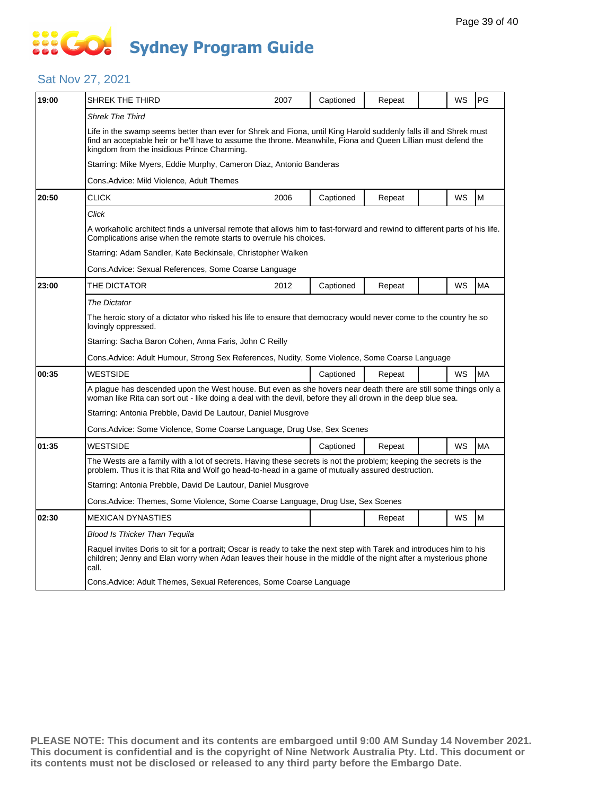# **... Go Sydney Program Guide**

### Sat Nov 27, 2021

| 19:00 | SHREK THE THIRD                                                                                                                                                                                                                                                                    | 2007                                                                                                                                                                                              | Captioned | Repeat |  | WS | PG        |  |
|-------|------------------------------------------------------------------------------------------------------------------------------------------------------------------------------------------------------------------------------------------------------------------------------------|---------------------------------------------------------------------------------------------------------------------------------------------------------------------------------------------------|-----------|--------|--|----|-----------|--|
|       | <b>Shrek The Third</b>                                                                                                                                                                                                                                                             |                                                                                                                                                                                                   |           |        |  |    |           |  |
|       | Life in the swamp seems better than ever for Shrek and Fiona, until King Harold suddenly falls ill and Shrek must<br>find an acceptable heir or he'll have to assume the throne. Meanwhile, Fiona and Queen Lillian must defend the<br>kingdom from the insidious Prince Charming. |                                                                                                                                                                                                   |           |        |  |    |           |  |
|       | Starring: Mike Myers, Eddie Murphy, Cameron Diaz, Antonio Banderas                                                                                                                                                                                                                 |                                                                                                                                                                                                   |           |        |  |    |           |  |
|       | Cons.Advice: Mild Violence, Adult Themes                                                                                                                                                                                                                                           |                                                                                                                                                                                                   |           |        |  |    |           |  |
| 20:50 | <b>CLICK</b>                                                                                                                                                                                                                                                                       | 2006                                                                                                                                                                                              | Captioned | Repeat |  | WS | M         |  |
|       | Click                                                                                                                                                                                                                                                                              |                                                                                                                                                                                                   |           |        |  |    |           |  |
|       |                                                                                                                                                                                                                                                                                    | A workaholic architect finds a universal remote that allows him to fast-forward and rewind to different parts of his life.<br>Complications arise when the remote starts to overrule his choices. |           |        |  |    |           |  |
|       | Starring: Adam Sandler, Kate Beckinsale, Christopher Walken                                                                                                                                                                                                                        |                                                                                                                                                                                                   |           |        |  |    |           |  |
|       | Cons. Advice: Sexual References, Some Coarse Language                                                                                                                                                                                                                              |                                                                                                                                                                                                   |           |        |  |    |           |  |
| 23:00 | THE DICTATOR                                                                                                                                                                                                                                                                       | 2012                                                                                                                                                                                              | Captioned | Repeat |  | WS | MA        |  |
|       | <b>The Dictator</b>                                                                                                                                                                                                                                                                |                                                                                                                                                                                                   |           |        |  |    |           |  |
|       | The heroic story of a dictator who risked his life to ensure that democracy would never come to the country he so<br>lovingly oppressed.                                                                                                                                           |                                                                                                                                                                                                   |           |        |  |    |           |  |
|       | Starring: Sacha Baron Cohen, Anna Faris, John C Reilly                                                                                                                                                                                                                             |                                                                                                                                                                                                   |           |        |  |    |           |  |
|       | Cons.Advice: Adult Humour, Strong Sex References, Nudity, Some Violence, Some Coarse Language                                                                                                                                                                                      |                                                                                                                                                                                                   |           |        |  |    |           |  |
| 00:35 | <b>WESTSIDE</b>                                                                                                                                                                                                                                                                    |                                                                                                                                                                                                   | Captioned | Repeat |  | WS | <b>MA</b> |  |
|       | A plague has descended upon the West house. But even as she hovers near death there are still some things only a<br>woman like Rita can sort out - like doing a deal with the devil, before they all drown in the deep blue sea.                                                   |                                                                                                                                                                                                   |           |        |  |    |           |  |
|       | Starring: Antonia Prebble, David De Lautour, Daniel Musgrove                                                                                                                                                                                                                       |                                                                                                                                                                                                   |           |        |  |    |           |  |
|       | Cons. Advice: Some Violence, Some Coarse Language, Drug Use, Sex Scenes                                                                                                                                                                                                            |                                                                                                                                                                                                   |           |        |  |    |           |  |
| 01:35 | <b>WESTSIDE</b>                                                                                                                                                                                                                                                                    |                                                                                                                                                                                                   | Captioned | Repeat |  | WS | MA        |  |
|       | The Wests are a family with a lot of secrets. Having these secrets is not the problem; keeping the secrets is the<br>problem. Thus it is that Rita and Wolf go head-to-head in a game of mutually assured destruction.                                                             |                                                                                                                                                                                                   |           |        |  |    |           |  |
|       | Starring: Antonia Prebble, David De Lautour, Daniel Musgrove                                                                                                                                                                                                                       |                                                                                                                                                                                                   |           |        |  |    |           |  |
|       | Cons.Advice: Themes, Some Violence, Some Coarse Language, Drug Use, Sex Scenes                                                                                                                                                                                                     |                                                                                                                                                                                                   |           |        |  |    |           |  |
| 02:30 | <b>MEXICAN DYNASTIES</b>                                                                                                                                                                                                                                                           |                                                                                                                                                                                                   |           | Repeat |  | WS | M         |  |
|       | Blood Is Thicker Than Tequila                                                                                                                                                                                                                                                      |                                                                                                                                                                                                   |           |        |  |    |           |  |
|       | Raquel invites Doris to sit for a portrait; Oscar is ready to take the next step with Tarek and introduces him to his<br>children; Jenny and Elan worry when Adan leaves their house in the middle of the night after a mysterious phone<br>call.                                  |                                                                                                                                                                                                   |           |        |  |    |           |  |
|       | Cons. Advice: Adult Themes, Sexual References, Some Coarse Language                                                                                                                                                                                                                |                                                                                                                                                                                                   |           |        |  |    |           |  |